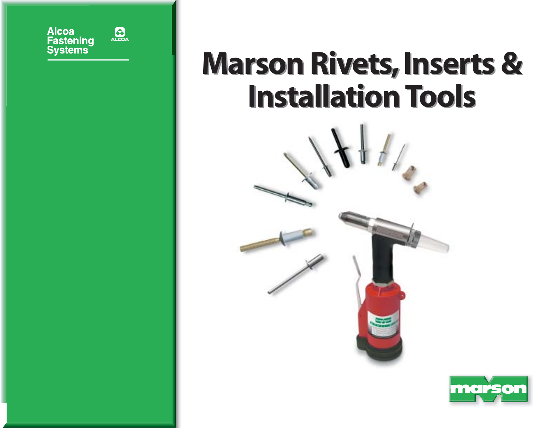

# **Marson Rivets, Inserts & Marson Rivets, Inserts & Installation Tools Installation Tools**



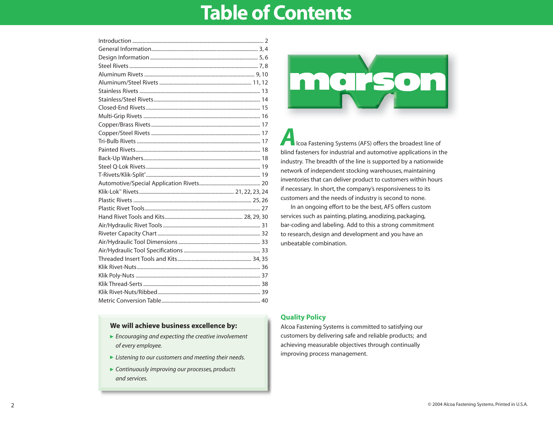### **Table of Contents**

### **We will achieve business excellence by:**

- *Encouraging and expecting the creative involvement of every employee.*
- *Listening to our customers and meeting their needs.*
- *Continuously improving our processes, products and services.*



*A*lcoa Fastening Systems (AFS) offers the broadest line of blind fasteners for industrial and automotive applications in the industry. The breadth of the line is supported by a nationwide network of independent stocking warehouses, maintaining inventories that can deliver product to customers within hours if necessary. In short, the company's responsiveness to its customers and the needs of industry is second to none.

In an ongoing effort to be the best, AFS offers custom services such as painting, plating, anodizing, packaging, bar-coding and labeling. Add to this a strong commitment to research, design and development and you have an unbeatable combination.

#### **Quality Policy**

Alcoa Fastening Systems is committed to satisfying our customers by delivering safe and reliable products; and achieving measurable objectives through continually improving process management.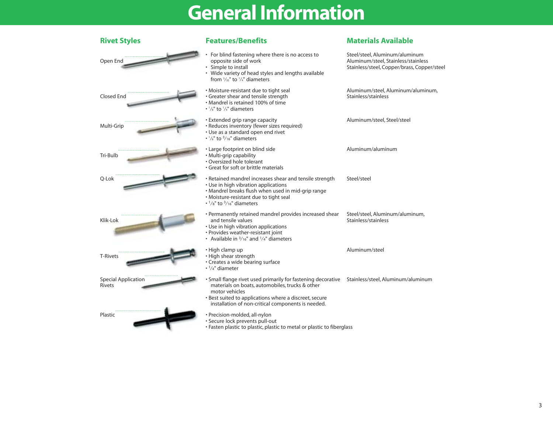## **General Information**

| <b>Rivet Styles</b>                         | <b>Features/Benefits</b>                                                                                                                                                                                                                                                             | <b>Materials Available</b>                                                                                           |
|---------------------------------------------|--------------------------------------------------------------------------------------------------------------------------------------------------------------------------------------------------------------------------------------------------------------------------------------|----------------------------------------------------------------------------------------------------------------------|
| Open End                                    | For blind fastening where there is no access to<br>opposite side of work<br>• Simple to install<br>• Wide variety of head styles and lengths available<br>from $\frac{3}{32}$ " to $\frac{1}{4}$ " diameters                                                                         | Steel/steel, Aluminum/aluminum<br>Aluminum/steel, Stainless/stainless<br>Stainless/steel, Copper/brass, Copper/steel |
| <b>Closed End</b>                           | • Moisture-resistant due to tight seal<br>· Greater shear and tensile strength<br>• Mandrel is retained 100% of time<br>$\cdot$ $\frac{1}{8}$ " to $\frac{1}{4}$ " diameters                                                                                                         | Aluminum/steel, Aluminum/aluminum,<br>Stainless/stainless                                                            |
| Multi-Grip                                  | • Extended grip range capacity<br>· Reduces inventory (fewer sizes required)<br>• Use as a standard open end rivet<br>$\cdot$ $1/s$ " to $3/16$ " diameters                                                                                                                          | Aluminum/steel, Steel/steel                                                                                          |
| Tri-Bulb                                    | • Large footprint on blind side<br>· Multi-grip capability<br>• Oversized hole tolerant<br>• Great for soft or brittle materials                                                                                                                                                     | Aluminum/aluminum                                                                                                    |
| Q-Lok                                       | • Retained mandrel increases shear and tensile strength<br>• Use in high vibration applications<br>. Mandrel breaks flush when used in mid-grip range<br>· Moisture-resistant due to tight seal<br>$\cdot$ $1/s$ " to $3/16$ " diameters                                             | Steel/steel                                                                                                          |
| Klik-Lok                                    | • Permanently retained mandrel provides increased shear<br>and tensile values<br>• Use in high vibration applications<br>• Provides weather-resistant joint<br>• Available in $\frac{3}{16}$ " and $\frac{1}{4}$ " diameters                                                         | Steel/steel, Aluminum/aluminum,<br>Stainless/stainless                                                               |
| <b>T-Rivets</b>                             | · High clamp up<br>· High shear strength<br>• Creates a wide bearing surface<br>$\cdot$ 1/4" diameter                                                                                                                                                                                | Aluminum/steel                                                                                                       |
| <b>Special Application</b><br><b>Rivets</b> | . Small flange rivet used primarily for fastening decorative Stainless/steel, Aluminum/aluminum<br>materials on boats, automobiles, trucks & other<br>motor vehicles<br>• Best suited to applications where a discreet, secure<br>installation of non-critical components is needed. |                                                                                                                      |
| Plastic                                     | · Precision-molded, all-nylon<br>· Secure lock prevents pull-out<br>· Fasten plastic to plastic, plastic to metal or plastic to fiberglass                                                                                                                                           |                                                                                                                      |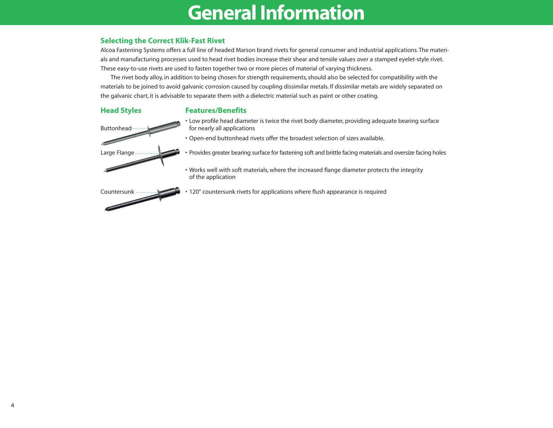### **General Information**

#### **Selecting the Correct Klik-Fast Rivet**

Alcoa Fastening Systems offers a full line of headed Marson brand rivets for general consumer and industrial applications. The materials and manufacturing processes used to head rivet bodies increase their shear and tensile values over a stamped eyelet-style rivet. These easy-to-use rivets are used to fasten together two or more pieces of material of varying thickness.

The rivet body alloy, in addition to being chosen for strength requirements, should also be selected for compatibility with the materials to be joined to avoid galvanic corrosion caused by coupling dissimilar metals. If dissimilar metals are widely separated on the galvanic chart, it is advisable to separate them with a dielectric material such as paint or other coating.

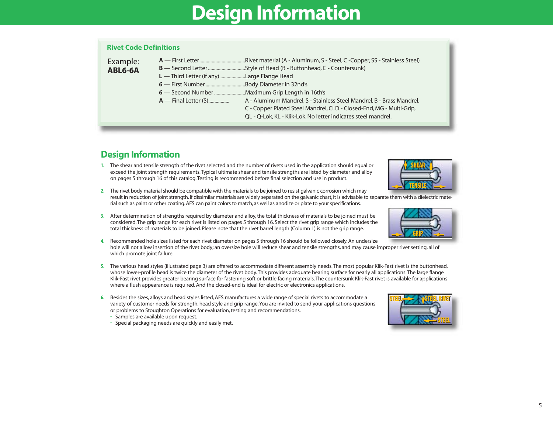## **Design Information**

#### **Rivet Code Definitions**

| A - Aluminum Mandrel, S - Stainless Steel Mandrel, B - Brass Mandrel, |
|-----------------------------------------------------------------------|
|                                                                       |

**hara Steel Mandrel, B - Brass Mandrel, B - Stainless Steel Mandrel, B - Standard** C - Copper Plated Steel Mandrel, CLD - Closed-End, MG - Multi-Grip,

QL - Q-Lok, KL - Klik-Lok. No letter indicates steel mandrel.

### **Design Information**

- **1.** The shear and tensile strength of the rivet selected and the number of rivets used in the application should equal or exceed the joint strength requirements.Typical ultimate shear and tensile strengths are listed by diameter and alloy on pages 5 through 16 of this catalog.Testing is recommended before final selection and use in product.
- **2.** The rivet body material should be compatible with the materials to be joined to resist galvanic corrosion which may result in reduction of joint strength. If dissimilar materials are widely separated on the galvanic chart, it is advisable to separate them with a dielectric material such as paint or other coating. AFS can paint colors to match, as well as anodize or plate to your specifications.
- **3.** After determination of strengths required by diameter and alloy, the total thickness of materials to be joined must be considered.The grip range for each rivet is listed on pages 5 through 16. Select the rivet grip range which includes the total thickness of materials to be joined. Please note that the rivet barrel length (Column L) is not the grip range.
- **4.** Recommended hole sizes listed for each rivet diameter on pages 5 through 16 should be followed closely. An undersize hole will not allow insertion of the rivet body; an oversize hole will reduce shear and tensile strengths, and may cause improper rivet setting, all of which promote joint failure.
- **5.** The various head styles (illustrated page 3) are offered to accommodate different assembly needs.The most popular Klik-Fast rivet is the buttonhead, whose lower-profile head is twice the diameter of the rivet body.This provides adequate bearing surface for nearly all applications.The large flange Klik-Fast rivet provides greater bearing surface for fastening soft or brittle facing materials.The countersunk Klik-Fast rivet is available for applications where a flush appearance is required. And the closed-end is ideal for electric or electronics applications.
- **6.** Besides the sizes, alloys and head styles listed, AFS manufactures a wide range of special rivets to accommodate a variety of customer needs for strength, head style and grip range.You are invited to send your applications questions or problems to Stoughton Operations for evaluation, testing and recommendations.
	- Samples are available upon request.
	- Special packaging needs are quickly and easily met.



**GRIP**





**SHEAR**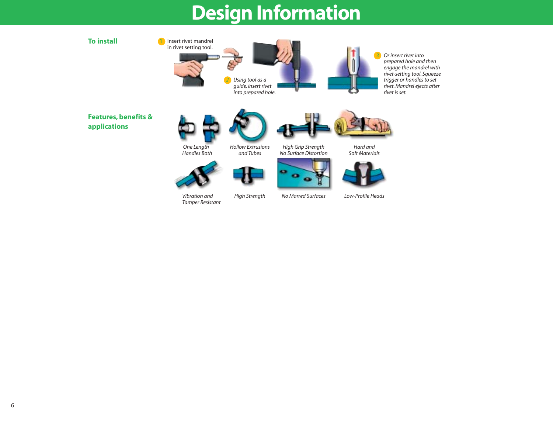## **Design Information**

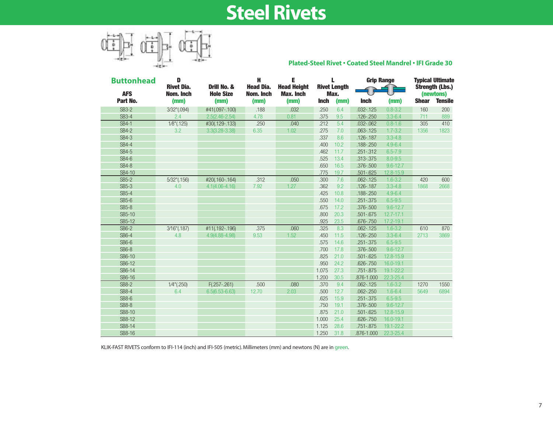## **Steel Rivets**



#### **Plated-Steel Rivet • Coated Steel Mandrel • IFI Grade 30**

| <b>Buttonhead</b> | D                              | н<br>Е                          |                               |                                        |             | <b>Grip Range</b>           | <b>Typical Ultimate</b><br><b>Strength (Lbs.)</b> |              |              |                |
|-------------------|--------------------------------|---------------------------------|-------------------------------|----------------------------------------|-------------|-----------------------------|---------------------------------------------------|--------------|--------------|----------------|
| <b>AFS</b>        | <b>Rivet Dia.</b><br>Nom. Inch | Drill No. &<br><b>Hole Size</b> | <b>Head Dia.</b><br>Nom. Inch | <b>Head Height</b><br><b>Max. Inch</b> |             | <b>Rivet Length</b><br>Max. |                                                   |              |              | (newtons)      |
| Part No.          | (mm)                           | (mm)                            | (mm)                          | (mm)                                   | <b>Inch</b> | (mm)                        | <b>Inch</b>                                       | (mm)         | <b>Shear</b> | <b>Tensile</b> |
| <b>SB3-2</b>      | 3/32"(.094)                    | #41(.097-.100)                  | .188                          | .032                                   | .250        | 6.4                         | $.032 - .125$                                     | $0.8 - 3.2$  | 160          | 200            |
| <b>SB3-4</b>      | 2.4                            | $2.5(2.46 - 2.54)$              | 4.78                          | 0.81                                   | .375        | 9.5                         | $.126 - .250$                                     | $3.3 - 6.4$  | 711          | 889            |
| <b>SB4-1</b>      | $1/8$ "(.125)                  | #30(.129-.133)                  | .250                          | .040                                   | .212        | 5.4                         | $.032 - .062$                                     | $0.8 - 1.6$  | 305          | 410            |
| <b>SB4-2</b>      | 3.2                            | $3.3(3.28 - 3.38)$              | 6.35                          | 1.02                                   | .275        | 7.0                         | $.063 - .125$                                     | $1.7 - 3.2$  | 1356         | 1823           |
| <b>SB4-3</b>      |                                |                                 |                               |                                        | .337        | 8.6                         | .126-.187                                         | $3.3 - 4.8$  |              |                |
| <b>SB4-4</b>      |                                |                                 |                               |                                        | .400        | 10.2                        | $.188 - .250$                                     | $4.9 - 6.4$  |              |                |
| SB4-5             |                                |                                 |                               |                                        | .462        | 11.7                        | $.251 - .312$                                     | $6.5 - 7.9$  |              |                |
| SB4-6             |                                |                                 |                               |                                        | .525        | 13.4                        | .313-.375                                         | $8.0 - 9.5$  |              |                |
| <b>SB4-8</b>      |                                |                                 |                               |                                        | .650        | 16.5                        | $.376 - .500$                                     | $9.6 - 12.7$ |              |                |
| SB4-10            |                                |                                 |                               |                                        | .775        | 19.7                        | $.501 - .625$                                     | 12.8-15.9    |              |                |
| <b>SB5-2</b>      | 5⁄32"(.156)                    | #20(.160-.164)                  | .312                          | .050                                   | .300        | 7.6                         | $.062 - .125$                                     | $1.6 - 3.2$  | 420          | 600            |
| <b>SB5-3</b>      | 4.0                            | $4.1(4.06 - 4.16)$              | 7.92                          | 1.27                                   | .362        | 9.2                         | $.126 - .187$                                     | $3.3 - 4.8$  | 1868         | 2668           |
| <b>SB5-4</b>      |                                |                                 |                               |                                        | .425        | 10.8                        | .188-.250                                         | $4.9 - 6.4$  |              |                |
| <b>SB5-6</b>      |                                |                                 |                               |                                        | .550        | 14.0                        | $.251 - .375$                                     | $6.5 - 9.5$  |              |                |
| <b>SB5-8</b>      |                                |                                 |                               |                                        | .675        | 17.2                        | $.376 - .500$                                     | $9.6 - 12.7$ |              |                |
| SB5-10            |                                |                                 |                               |                                        | .800        | 20.3                        | $.501 - .675$                                     | 12.7-17.1    |              |                |
| SB5-12            |                                |                                 |                               |                                        | .925        | 23.5                        | .676 - .750                                       | 17.2-19.1    |              |                |
| <b>SB6-2</b>      | 3/16"(.187)                    | #11(.192-.196)                  | .375                          | .060                                   | .325        | 8.3                         | $.062 - .125$                                     | $1.6 - 3.2$  | 610          | 870            |
| <b>SB6-4</b>      | 4.8                            | $4.9(4.88 - 4.98)$              | 9.53                          | 1.52                                   | .450        | 11.5                        | $.126 - .250$                                     | $3.3 - 6.4$  | 2713         | 3869           |
| <b>SB6-6</b>      |                                |                                 |                               |                                        | .575        | 14.6                        | $.251 - .375$                                     | $6.5 - 9.5$  |              |                |
| <b>SB6-8</b>      |                                |                                 |                               |                                        | .700        | 17.8                        | .376-.500                                         | $9.6 - 12.7$ |              |                |
| SB6-10            |                                |                                 |                               |                                        | .825        | 21.0                        | $.501 - .625$                                     | 12.8-15.9    |              |                |
| SB6-12            |                                |                                 |                               |                                        | .950        | 24.2                        | $.626 - .750$                                     | 16.0-19.1    |              |                |
| SB6-14            |                                |                                 |                               |                                        | 1.075       | 27.3                        | $.751 - .875$                                     | 19.1-22.2    |              |                |
| SB6-16            |                                |                                 |                               |                                        | 1.200       | 30.5                        | .876-1.000                                        | 22.3-25.4    |              |                |
| <b>SB8-2</b>      | $1/4$ "(.250)                  | $F(.257-.261)$                  | .500                          | .080                                   | .370        | 9.4                         | $.062 - .125$                                     | $1.6 - 3.2$  | 1270         | 1550           |
| <b>SB8-4</b>      | 6.4                            | $6.5(6.53 - 6.63)$              | 12.70                         | 2.03                                   | .500        | 12.7                        | $.062 - .250$                                     | $1.6 - 6.4$  | 5649         | 6894           |
| <b>SB8-6</b>      |                                |                                 |                               |                                        | .625        | 15.9                        | $.251 - .375$                                     | $6.5 - 9.5$  |              |                |
| <b>SB8-8</b>      |                                |                                 |                               |                                        | .750        | 19.1                        | .376-.500                                         | $9.6 - 12.7$ |              |                |
| SB8-10            |                                |                                 |                               |                                        | .875        | 21.0                        | $.501 - .625$                                     | 12.8-15.9    |              |                |
| SB8-12            |                                |                                 |                               |                                        | 1.000       | 25.4                        | $.626 - .750$                                     | 16.0-19.1    |              |                |
| SB8-14            |                                |                                 |                               |                                        | 1.125       | 28.6                        | $.751 - .875$                                     | 19.1-22.2    |              |                |
| SB8-16            |                                |                                 |                               |                                        | 1.250       | 31.8                        | .876-1.000                                        | 22.3-25.4    |              |                |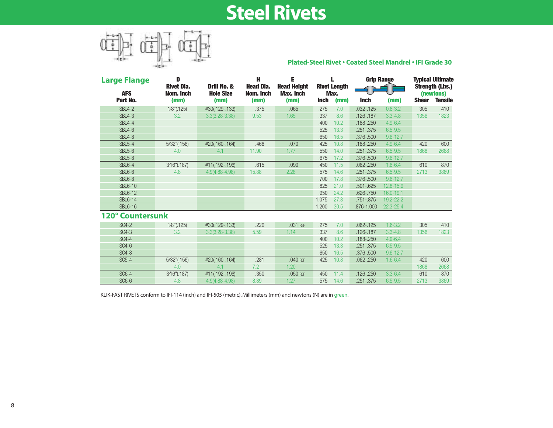## **Steel Rivets**



#### **Plated-Steel Rivet • Coated Steel Mandrel • IFI Grade 30**

| <b>Large Flange</b> | D                              |                                 | H                             | Е                                      |             |                             | <b>Grip Range</b> |              | <b>Typical Ultimate</b> |                                     |
|---------------------|--------------------------------|---------------------------------|-------------------------------|----------------------------------------|-------------|-----------------------------|-------------------|--------------|-------------------------|-------------------------------------|
| <b>AFS</b>          | <b>Rivet Dia.</b><br>Nom. Inch | Drill No. &<br><b>Hole Size</b> | <b>Head Dia.</b><br>Nom. Inch | <b>Head Height</b><br><b>Max. Inch</b> |             | <b>Rivet Length</b><br>Max. |                   |              |                         | <b>Strength (Lbs.)</b><br>(newtons) |
| Part No.            | (mm)                           | (mm)                            | (mm)                          | (mm)                                   | <b>Inch</b> | (mm)                        | <b>Inch</b>       | (mm)         | <b>Shear</b>            | <b>Tensile</b>                      |
| <b>SBL4-2</b>       | $1/8$ "(.125)                  | #30(.129-.133)                  | .375                          | .065                                   | .275        | 7.0                         | $.032 - .125$     | $0.8 - 3.2$  | 305                     | 410                                 |
| <b>SBL4-3</b>       | 3.2                            | $3.3(3.28 - 3.38)$              | 9.53                          | 1.65                                   | .337        | 8.6                         | $.126 - .187$     | $3.3 - 4.8$  | 1356                    | 1823                                |
| <b>SBL4-4</b>       |                                |                                 |                               |                                        | .400        | 10.2                        | $.188 - .250$     | $4.9 - 6.4$  |                         |                                     |
| <b>SBL4-6</b>       |                                |                                 |                               |                                        | .525        | 13.3                        | $.251 - .375$     | $6.5 - 9.5$  |                         |                                     |
| <b>SBL4-8</b>       |                                |                                 |                               |                                        | .650        | 16.5                        | .376-.500         | $9.6 - 12.7$ |                         |                                     |
| <b>SBL5-4</b>       | $5/32$ " $(.156)$              | #20(.160-.164)                  | .468                          | .070                                   | .425        | 10.8                        | $.188 - .250$     | $4.9 - 6.4$  | 420                     | 600                                 |
| <b>SBL5-6</b>       | 4.0                            | 4.1                             | 11.90                         | 1.77                                   | .550        | 14.0                        | $.251 - .375$     | $6.5 - 9.5$  | 1868                    | 2668                                |
| <b>SBL5-8</b>       |                                |                                 |                               |                                        | .675        | 17.2                        | .376-.500         | $9.6 - 12.7$ |                         |                                     |
| <b>SBL6-4</b>       | 3/16"(.187)                    | #11(.192-.196)                  | .615                          | .090                                   | .450        | 11.5                        | $.062 - .250$     | $1.6 - 6.4$  | 610                     | 870                                 |
| SBL6-6              | 4.8                            | 4.9(4.88-4.98)                  | 15.88                         | 2.28                                   | .575        | 14.6                        | $.251 - .375$     | $6.5 - 9.5$  | 2713                    | 3869                                |
| SBL6-8              |                                |                                 |                               |                                        | .700        | 17.8                        | .376-.500         | $9.6 - 12.7$ |                         |                                     |
| <b>SBL6-10</b>      |                                |                                 |                               |                                        | .825        | 21.0                        | $.501 - .625$     | 12.8-15.9    |                         |                                     |
| <b>SBL6-12</b>      |                                |                                 |                               |                                        | .950        | 24.2                        | $.626 - .750$     | 16.0-19.1    |                         |                                     |
| <b>SBL6-14</b>      |                                |                                 |                               |                                        | 1.075       | 27.3                        | $.751 - .875$     | 19.2-22.2    |                         |                                     |
| <b>SBL6-16</b>      |                                |                                 |                               |                                        | 1.200       | 30.5                        | .876-1.000        | 22.3-25.4    |                         |                                     |
| 120° Countersunk    |                                |                                 |                               |                                        |             |                             |                   |              |                         |                                     |
| <b>SC4-2</b>        | $1/8$ "(.125)                  | #30(.129-.133)                  | .220                          | .031 REF                               | .275        | 7.0                         | $.062 - .125$     | $1.6 - 3.2$  | 305                     | 410                                 |
| <b>SC4-3</b>        | 3.2                            | $3.3(3.28 - 3.38)$              | 5.59                          | 1.14                                   | .337        | 8.6                         | $.126 - .187$     | $3.3 - 4.8$  | 1356                    | 1823                                |
| <b>SC4-4</b>        |                                |                                 |                               |                                        | .400        | 10.2                        | $.188 - .250$     | $4.9 - 6.4$  |                         |                                     |
| <b>SC4-6</b>        |                                |                                 |                               |                                        | .525        | 13.3                        | $.251 - .375$     | $6.5 - 9.5$  |                         |                                     |
| <b>SC4-8</b>        |                                |                                 |                               |                                        | .650        | 16.5                        | .376-.500         | $9.6 - 12.7$ |                         |                                     |
| <b>SC5-4</b>        | $5/32$ " $(.156)$              | #20(.160-.164)                  | .281                          | .040 REF                               | .425        | 10.8                        | $.062 - .250$     | $1.6 - 6.4$  | 420                     | 600                                 |
|                     | 4.0                            | 4.1                             | 7.2                           | 1.20                                   |             |                             |                   |              | 1868                    | 2668                                |
| <b>SC6-4</b>        | 3/16"(.187)                    | #11(.192-.196)                  | .350                          | .050 REF                               | .450        | 11.4                        | $.126 - .250$     | $3.3 - 6.4$  | 610                     | 870                                 |
| $SC6-6$             | 4.8                            | 4.9(4.88-4.98)                  | 8.89                          | 1.27                                   | .575        | 14.6                        | .251 - .375       | $6.5 - 9.5$  | 2713                    | 3869                                |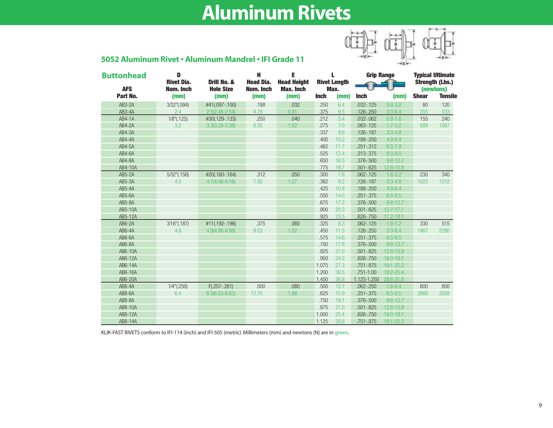## **Aluminum Rivets**



| <b>Buttonhead</b> | D                              | Drill No. &        | н                             | E                                      |             | L.                          | <b>Grip Range</b> |               | <b>Typical Ultimate</b><br><b>Strength (Lbs.)</b> |                |
|-------------------|--------------------------------|--------------------|-------------------------------|----------------------------------------|-------------|-----------------------------|-------------------|---------------|---------------------------------------------------|----------------|
| <b>AFS</b>        | <b>Rivet Dia.</b><br>Nom. Inch | <b>Hole Size</b>   | <b>Head Dia.</b><br>Nom. Inch | <b>Head Height</b><br><b>Max. Inch</b> |             | <b>Rivet Length</b><br>Max. |                   |               |                                                   | (newtons)      |
| Part No.          | (mm)                           | (mm)               | (mm)                          | (mm)                                   | <b>Inch</b> | (mm)                        | <b>Inch</b>       | (mm)          | <b>Shear</b>                                      | <b>Tensile</b> |
| <b>AB3-2A</b>     | 3/32"(.094)                    | #41(.097-.100)     | .188                          | .032                                   | .250        | 6.4                         | $.032 - .125$     | $0.8 - 3.2$   | 80                                                | 120            |
| AB3-4A            | 2.4                            | $2.5(2.46 - 2.54)$ | 4.78                          | 0.81                                   | .375        | 9.5                         | $.126 - .250$     | $3.3 - 6.4$   | 355                                               | 533            |
| <b>AB4-1A</b>     | $1/8$ "(.125)                  | #30(.129-.133)     | .250                          | .040                                   | .212        | 5.4                         | $.032 - .062$     | $0.8 - 1.6$   | 155                                               | 240            |
| <b>AB4-2A</b>     | 3.2                            | $3.3(3.28 - 3.38)$ | 6.35                          | 1.02                                   | .275        | 7.0                         | $.063 - .125$     | $1.7 - 3.2$   | 689                                               | 1067           |
| AB4-3A            |                                |                    |                               |                                        | .337        | 8.6                         | $.126 - .187$     | $3.3 - 4.8$   |                                                   |                |
| <b>AB4-4A</b>     |                                |                    |                               |                                        | .400        | 10.2                        | .188-.250         | $4.9 - 6.4$   |                                                   |                |
| <b>AB4-5A</b>     |                                |                    |                               |                                        | .462        | 11.7                        | $.251 - .312$     | $6.5 - 7.9$   |                                                   |                |
| AB4-6A            |                                |                    |                               |                                        | .525        | 13.4                        | .313-.375         | $8.0 - 9.5$   |                                                   |                |
| AB4-8A            |                                |                    |                               |                                        | .650        | 16.5                        | .376-.500         | $9.6 - 12.7$  |                                                   |                |
| AB4-10A           |                                |                    |                               |                                        | .775        | 19.7                        | $.501 - .625$     | 12.8-15.9     |                                                   |                |
| <b>AB5-2A</b>     | 5/32"(.156)                    | #20(.160-.164)     | .312                          | .050                                   | .300        | 7.6                         | $.062 - .125$     | $1.6 - 3.2$   | 230                                               | 340            |
| <b>AB5-3A</b>     | 4.0                            | $4.1(4.06 - 4.16)$ | 7.92                          | 1.27                                   | .362        | 9.2                         | .126-.187         | $3.3 - 4.8$   | 1023                                              | 1512           |
| $AB5 - 4A$        |                                |                    |                               |                                        | .425        | 10.8                        | .188-.250         | $4.9 - 6.4$   |                                                   |                |
| AB5-6A            |                                |                    |                               |                                        | .550        | 14.0                        | $.251 - .375$     | $6.5 - 9.5$   |                                                   |                |
| <b>AB5-8A</b>     |                                |                    |                               |                                        | .675        | 17.2                        | .376-.500         | $9.6 - 12.7$  |                                                   |                |
| AB5-10A           |                                |                    |                               |                                        | .800        | 20.3                        | $.501 - .625$     | $12.7 - 17.1$ |                                                   |                |
| AB5-12A           |                                |                    |                               |                                        | .925        | 23.5                        | $.626 - .750$     | 17.2-19.1     |                                                   |                |
| AB6-2A            | 3/16"(.187)                    | #11(.192-.196)     | .375                          | .060                                   | .325        | 8.3                         | $.062 - .125$     | $1.6 - 3.2$   | 330                                               | 515            |
| AB6-4A            | 4.8                            | $4.9(4.88 - 4.98)$ | 9.53                          | 1.52                                   | .450        | 11.5                        | $.126 - .250$     | $3.3 - 6.4$   | 1467                                              | 2290           |
| AB6-6A            |                                |                    |                               |                                        | .575        | 14.6                        | $.251 - .375$     | $6.5 - 9.5$   |                                                   |                |
| <b>AB6-8A</b>     |                                |                    |                               |                                        | .700        | 17.8                        | .376-.500         | $9.6 - 12.7$  |                                                   |                |
| AB6-10A           |                                |                    |                               |                                        | .825        | 21.0                        | $.501 - .625$     | 12.8-15.9     |                                                   |                |
| AB6-12A           |                                |                    |                               |                                        | .950        | 24.2                        | $.626 - .750$     | 16.0-19.1     |                                                   |                |
| AB6-14A           |                                |                    |                               |                                        | 1.075       | 27.3                        | .751 - .875       | 19.1-22.2     |                                                   |                |
| AB6-16A           |                                |                    |                               |                                        | 1.200       | 30.5                        | $.751 - 1.00$     | 19.2-25.4     |                                                   |                |
| AB6-20A           |                                |                    |                               |                                        | 1.450       | 36.8                        | 1.125-1.250       | 28.6-31.8     |                                                   |                |
| <b>AB8-4A</b>     | $1/4$ "(.250)                  | $F(.257-.261)$     | .500                          | .080                                   | .500        | 12.7                        | $.062 - .250$     | $1.6 - 6.4$   | 600                                               | 800            |
| <b>AB8-6A</b>     | 6.4                            | $6.5(6.53 - 6.63)$ | 12.70                         | 1.88                                   | .625        | 15.9                        | $.251 - .375$     | $6.5 - 9.5$   | 2668                                              | 3558           |
| <b>AB8-8A</b>     |                                |                    |                               |                                        | .750        | 19.1                        | $.376 - .500$     | $9.6 - 12.7$  |                                                   |                |
| AB8-10A           |                                |                    |                               |                                        | .875        | 21.0                        | $.501 - .625$     | 12.8-15.9     |                                                   |                |
| AB8-12A           |                                |                    |                               |                                        | 1.000       | 25.4                        | $.626 - .750$     | $16.0 - 19.1$ |                                                   |                |
| AB8-14A           |                                |                    |                               |                                        | 1.125       | 28.6                        | .751 - .875       | 19.1-22.2     |                                                   |                |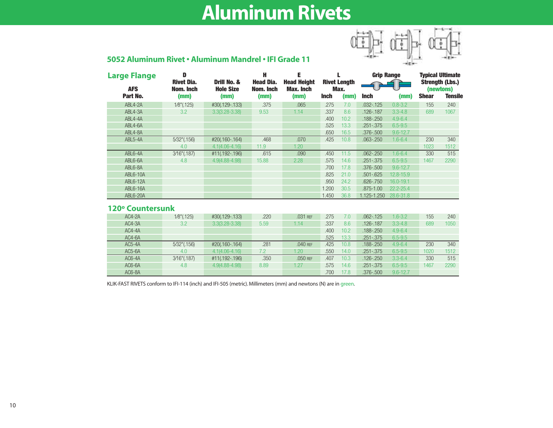## **Aluminum Rivets**



### **5052 Aluminum Rivet • Aluminum Mandrel • IFI Grade 11**

| <b>Large Flange</b> | D                              |                                 | н                             | Е                               |             |                             |               | <b>Grip Range</b> |              | <b>Typical Ultimate</b>             |
|---------------------|--------------------------------|---------------------------------|-------------------------------|---------------------------------|-------------|-----------------------------|---------------|-------------------|--------------|-------------------------------------|
| <b>AFS</b>          | <b>Rivet Dia.</b><br>Nom. Inch | Drill No. &<br><b>Hole Size</b> | <b>Head Dia.</b><br>Nom. Inch | <b>Head Height</b><br>Max. Inch |             | <b>Rivet Length</b><br>Max. |               |                   |              | <b>Strength (Lbs.)</b><br>(newtons) |
| Part No.            | (mm)                           | (mm)                            | (mm)                          | (mm)                            | <b>Inch</b> | (mm)                        | <b>Inch</b>   | (mm)              | <b>Shear</b> | <b>Tensile</b>                      |
| ABL4-2A             | $1/8$ "(.125)                  | #30(.129-.133)                  | .375                          | .065                            | .275        | 7.0                         | $.032 - .125$ | $0.8 - 3.2$       | 155          | 240                                 |
| ABL4-3A             | 3.2                            | $3.3(3.28 - 3.38)$              | 9.53                          | 1.14                            | .337        | 8.6                         | $.126 - .187$ | $3.3 - 4.8$       | 689          | 1067                                |
| ABL4-4A             |                                |                                 |                               |                                 | .400        | 10.2                        | .188-.250     | $4.9 - 6.4$       |              |                                     |
| ABL4-6A             |                                |                                 |                               |                                 | .525        | 13.3                        | $.251 - .375$ | $6.5 - 9.5$       |              |                                     |
| ABL4-8A             |                                |                                 |                               |                                 | .650        | 16.5                        | .376-.500     | $9.6 - 12.7$      |              |                                     |
| ABL5-4A             | 5/32"(.156)                    | #20(.160-.164)                  | .468                          | .070                            | .425        | 10.8                        | $.063 - .250$ | $1.6 - 6.4$       | 230          | 340                                 |
|                     | 4.0                            | $4.1(4.06 - 4.16)$              | 11.9                          | 1.20                            |             |                             |               |                   | 1023         | 1512                                |
| ABL6-4A             | 3/16"(.187)                    | #11(.192-.196)                  | .615                          | .090                            | .450        | 11.5                        | $.062 - .250$ | $1.6 - 6.4$       | 330          | 515                                 |
| ABL6-6A             | 4.8                            | 4.9(4.88-4.98)                  | 15.88                         | 2.28                            | .575        | 14.6                        | $.251 - .375$ | $6.5 - 9.5$       | 1467         | 2290                                |
| ABL6-8A             |                                |                                 |                               |                                 | .700        | 17.8                        | .376-.500     | $9.6 - 12.7$      |              |                                     |
| <b>ABL6-10A</b>     |                                |                                 |                               |                                 | .825        | 21.0                        | $.501 - .625$ | 12.8-15.9         |              |                                     |
| <b>ABL6-12A</b>     |                                |                                 |                               |                                 | .950        | 24.2                        | .626 - .750   | 16.0-19.1         |              |                                     |
| ABL6-16A            |                                |                                 |                               |                                 | 1.200       | 30.5                        | .875-1.00     | 22.2-25.4         |              |                                     |
| <b>ABL6-20A</b>     |                                |                                 |                               |                                 | 1.450       | 36.8                        | 1.125-1.250   | 28.6-31.8         |              |                                     |
| 120° Countersunk    |                                |                                 |                               |                                 |             |                             |               |                   |              |                                     |
| $AC4-2A$            | $1/8$ "(.125)                  | #30(.129-.133)                  | .220                          | .031 REF                        | .275        | 7.0                         | $.062 - .125$ | $1.6 - 3.2$       | 155          | 240                                 |
| AC4-3A              | 3.2                            | $3.3(3.28 - 3.38)$              | 5.59                          | 1.14                            | .337        | 8.6                         | .126-.187     | $3.3 - 4.8$       | 689          | 1050                                |
| AC4-4A              |                                |                                 |                               |                                 | .400        | 10.2                        | .188-.250     | $4.9 - 6.4$       |              |                                     |
| AC4-6A              |                                |                                 |                               |                                 | .525        | 13.3                        | .251 - .375   | $6.5 - 9.5$       |              |                                     |
| AC5-4A              | 5/32"(.156)                    | #20(.160-.164)                  | .281                          | $.040$ REF                      | .425        | 10.8                        | .188-.250     | $4.9 - 6.4$       | 230          | 340                                 |

AC5-6A 4.0 4.1(4.06-4.16) 7.2 1.20 .550 14.0 .251-.375 6.5-9.5 1020 1512 AC6-4A 3⁄16"(.187) #11(.192-.196) .350 .050 REF .407 10.3 .126-.250 3.3-6.4 330 515 AC6-6A 4.8 4.9(4.88-4.98) 8.89 1.27 .575 14.6 .251-.375 6.5-9.5 1467 2290

AC6-8A .700 17.8 .376-.500 9.6-12.7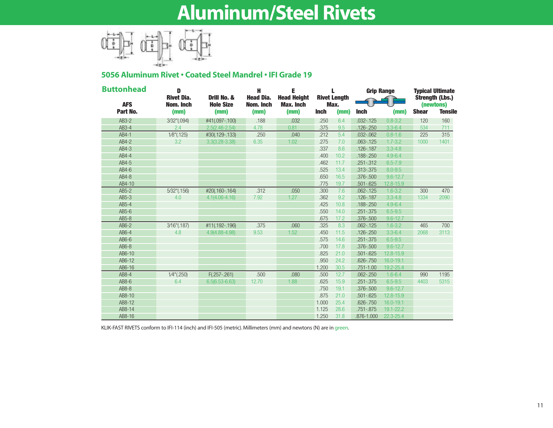## **Aluminum/Steel Rivets**



### **5056 Aluminum Rivet • Coated Steel Mandrel • IFI Grade 19**

| <b>Buttonhead</b>      | D<br><b>Rivet Dia.</b><br>Drill No. & |                          | н<br><b>Head Dia.</b> | L<br><b>Rivet Length</b> |             | <b>Grip Range</b> |               | <b>Typical Ultimate</b><br><b>Strength (Lbs.)</b> |              |                             |
|------------------------|---------------------------------------|--------------------------|-----------------------|--------------------------|-------------|-------------------|---------------|---------------------------------------------------|--------------|-----------------------------|
| <b>AFS</b><br>Part No. | Nom. Inch<br>(mm)                     | <b>Hole Size</b><br>(mm) | Nom. Inch<br>(mm)     | <b>Max. Inch</b><br>(mm) | <b>Inch</b> | Max.<br>(mm)      | <b>Inch</b>   | (mm)                                              | <b>Shear</b> | (newtons)<br><b>Tensile</b> |
| AB3-2                  | 3/32"(.094)                           | #41(.097-.100)           | .188                  | .032                     | .250        | 6.4               | $.032 - .125$ | $0.8 - 3.2$                                       | 120          | 160                         |
| $AB3-4$                | 2.4                                   | $2.5(2.46 - 2.54)$       | 4.78                  | 0.81                     | .375        | 9.5               | $.126 - .250$ | $3.3 - 6.4$                                       | 534          | 711                         |
| AB4-1                  | $1/8$ "(.125)                         | #30(.129-.133)           | .250                  | .040                     | .212        | 5.4               | $.032 - .062$ | $0.8 - 1.6$                                       | 225          | 315                         |
| AB4-2                  | 3.2                                   | $3.3(3.28 - 3.38)$       | 6.35                  | 1.02                     | .275        | 7.0               | $.063 - .125$ | $1.7 - 3.2$                                       | 1000         | 1401                        |
| AB4-3                  |                                       |                          |                       |                          | .337        | 8.6               | $.126 - .187$ | $3.3 - 4.8$                                       |              |                             |
| AB4-4                  |                                       |                          |                       |                          | .400        | 10.2              | $.188 - .250$ | $4.9 - 6.4$                                       |              |                             |
| AB4-5                  |                                       |                          |                       |                          | .462        | 11.7              | $.251 - .312$ | $6.5 - 7.9$                                       |              |                             |
| $AB4-6$                |                                       |                          |                       |                          | .525        | 13.4              | .313-.375     | $8.0 - 9.5$                                       |              |                             |
| AB4-8                  |                                       |                          |                       |                          | .650        | 16.5              | $.376 - .500$ | $9.6 - 12.7$                                      |              |                             |
| AB4-10                 |                                       |                          |                       |                          | .775        | 19.7              | $.501 - .625$ | 12.8-15.9                                         |              |                             |
| $AB5-2$                | $5/32$ "(.156)                        | #20(.160-.164)           | .312                  | .050                     | .300        | 7.6               | $.062 - .125$ | $1.6 - 3.2$                                       | 300          | 470                         |
| $AB5-3$                | 4.0                                   | $4.1(4.06 - 4.16)$       | 7.92                  | 1.27                     | .362        | 9.2               | $.126 - .187$ | $3.3 - 4.8$                                       | 1334         | 2090                        |
| $AB5-4$                |                                       |                          |                       |                          | .425        | 10.8              | $.188 - .250$ | $4.9 - 6.4$                                       |              |                             |
| $AB5-6$                |                                       |                          |                       |                          | .550        | 14.0              | $.251-.375$   | $6.5 - 9.5$                                       |              |                             |
| AB5-8                  |                                       |                          |                       |                          | .675        | 17.2              | $.376 - .500$ | $9.6 - 12.7$                                      |              |                             |
| $AB6-2$                | 3/16"(.187)                           | #11(.192-.196)           | .375                  | .060                     | .325        | 8.3               | $.062 - .125$ | $1.6 - 3.2$                                       | 465          | 700                         |
| $AB6-4$                | 4.8                                   | 4.9(4.88-4.98)           | 9.53                  | 1.52                     | .450        | 11.5              | $.126 - .250$ | $3.3 - 6.4$                                       | 2068         | 3113                        |
| $AB6-6$                |                                       |                          |                       |                          | .575        | 14.6              | $.251-.375$   | $6.5 - 9.5$                                       |              |                             |
| $AB6-8$                |                                       |                          |                       |                          | .700        | 17.8              | $.376 - .500$ | $9.6 - 12.7$                                      |              |                             |
| AB6-10                 |                                       |                          |                       |                          | .825        | 21.0              | $.501 - .625$ | $12.8 - 15.9$                                     |              |                             |
| AB6-12                 |                                       |                          |                       |                          | .950        | 24.2              | $.626 - .750$ | 16.0-19.1                                         |              |                             |
| AB6-16                 |                                       |                          |                       |                          | 1.200       | 30.5              | $.751 - 1.00$ | 19.2-25.4                                         |              |                             |
| $AB8-4$                | $1/4$ "(.250)                         | $F(.257-.261)$           | .500                  | .080                     | .500        | 12.7              | $.062 - .250$ | $1.6 - 6.4$                                       | 990          | 1195                        |
| $AB8-6$                | 6.4                                   | $6.5(6.53 - 6.63)$       | 12.70                 | 1.88                     | .625        | 15.9              | $.251-.375$   | $6.5 - 9.5$                                       | 4403         | 5315                        |
| $AB8-8$                |                                       |                          |                       |                          | .750        | 19.1              | .376-.500     | $9.6 - 12.7$                                      |              |                             |
| AB8-10                 |                                       |                          |                       |                          | .875        | 21.0              | $.501 - .625$ | 12.8-15.9                                         |              |                             |
| AB8-12                 |                                       |                          |                       |                          | 1.000       | 25.4              | $.626 - .750$ | 16.0-19.1                                         |              |                             |
| AB8-14                 |                                       |                          |                       |                          | 1.125       | 28.6              | $.751 - .875$ | 19.1-22.2                                         |              |                             |
| AB8-16                 |                                       |                          |                       |                          | 1.250       | 31.8              | .876-1.000    | $22.3 - 25.4$                                     |              |                             |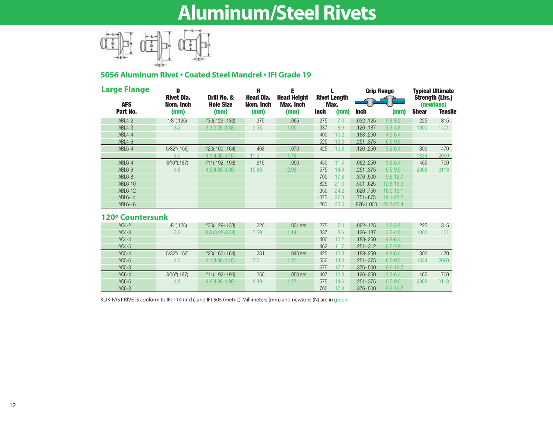## **Aluminum/Steel Rivets**



### **5056 Aluminum Rivet • Coated Steel Mandrel • IFI Grade 19**

| <b>Large Flange</b>    | D                                      |                                         | Н                                     | Е                                              |             |                                     | <b>Grip Range</b> |              | <b>Typical Ultimate</b> |                                                       |
|------------------------|----------------------------------------|-----------------------------------------|---------------------------------------|------------------------------------------------|-------------|-------------------------------------|-------------------|--------------|-------------------------|-------------------------------------------------------|
| <b>AFS</b><br>Part No. | <b>Rivet Dia.</b><br>Nom. Inch<br>(mm) | Drill No. &<br><b>Hole Size</b><br>(mm) | <b>Head Dia.</b><br>Nom. Inch<br>(mm) | <b>Head Height</b><br><b>Max. Inch</b><br>(mm) | <b>Inch</b> | <b>Rivet Length</b><br>Max.<br>(mm) | <b>Inch</b>       | (mm)         | <b>Shear</b>            | <b>Strength (Lbs.)</b><br>(newtons)<br><b>Tensile</b> |
| ABL4-2                 | $1/8$ "(.125)                          | #30(.129-.133)                          | .375                                  | .065                                           | .275        | 7.0                                 | $.032 - .125$     | $0.8 - 3.2$  | 225                     | 315                                                   |
| <b>ABL4-3</b>          | 3.2                                    | $3.3(3.28 - 3.38)$                      | 9.53                                  | 1.65                                           | .337        | 8.6                                 | .126-.187         | $3.3 - 4.8$  | 1000                    | 1401                                                  |
| ABL4-4                 |                                        |                                         |                                       |                                                | .400        | 10.2                                | .188-.250         | $4.9 - 6.4$  |                         |                                                       |
| $ABL4-6$               |                                        |                                         |                                       |                                                | .525        | 13.3                                |                   | $6.5 - 9.5$  |                         |                                                       |
|                        |                                        |                                         |                                       |                                                |             |                                     | .251 - .375       |              |                         |                                                       |
| <b>ABL5-4</b>          | $5/32$ " $(.156)$                      | #20(.160-.164)                          | .468                                  | .070                                           | .425        | 10.8                                | $.126 - .250$     | $3.2 - 6.4$  | 300                     | 470                                                   |
|                        | 4.0                                    | $4.1(4.06 - 4.16)$                      | 11.9                                  | 1.78                                           |             |                                     |                   |              | 1334                    | 2090                                                  |
| ABL6-4                 | $3/16$ "(.187)                         | #11(.192-.196)                          | .615                                  | .090                                           | .450        | 11.5                                | $.062 - .250$     | $1.6 - 6.4$  | 465                     | 700                                                   |
| $ABL6-6$               | 4.8                                    | 4.9(4.88-4.98)                          | 15.88                                 | 2.08                                           | .575        | 14.6                                | $.251 - .375$     | $6.5 - 9.5$  | 2068                    | 3113                                                  |
| ABL6-8                 |                                        |                                         |                                       |                                                | .700        | 17.8                                | .376-.500         | $9.6 - 12.7$ |                         |                                                       |
| ABL6-10                |                                        |                                         |                                       |                                                | .825        | 21.0                                | $.501 - .625$     | 12.8-15.9    |                         |                                                       |
| ABL6-12                |                                        |                                         |                                       |                                                | .950        | 24.2                                | .626 - .750       | 16.0-19.1    |                         |                                                       |
| ABL6-14                |                                        |                                         |                                       |                                                | 1.075       | 27.3                                | .751 - .875       | 19.1-22.2    |                         |                                                       |
| ABL6-16                |                                        |                                         |                                       |                                                | 1.200       | 30.5                                | .876-1.000        | 22.3-25.4    |                         |                                                       |
| 120° Countersunk       |                                        |                                         |                                       |                                                |             |                                     |                   |              |                         |                                                       |
| $AC4-2$                | $1/8$ "(.125)                          | #30(.129-.133)                          | .220                                  | .031 REF                                       | .275        | 7.0                                 | $.062 - .125$     | $1.6 - 3.2$  | 225                     | 315                                                   |
| $AC4-3$                | 3.2                                    | $3.3(3.28-3.38)$                        | 5.59                                  | 1.14                                           | .337        | 8.6                                 | .126-.187         | $3.3 - 4.8$  | 1000                    | 1401                                                  |
|                        |                                        |                                         |                                       |                                                |             |                                     |                   |              |                         |                                                       |

| AU4-3   | -3.Z              | .J.J 1J.ZO-J.JOI   | ວ.ວອ | I. I 4   | .৩૭7 | O.O  | $120 - 101$   | -0.0-4.0     | I UUU I | 140 I |
|---------|-------------------|--------------------|------|----------|------|------|---------------|--------------|---------|-------|
| $AC4-4$ |                   |                    |      |          | .400 | 10.2 | $.188 - .250$ | $4.9 - 6.4$  |         |       |
| $AC4-5$ |                   |                    |      |          | .462 | 11.7 | $.251 - .312$ | $6.5 - 7.9$  |         |       |
| $AC5-4$ | $5/32$ " $(.156)$ | #20(.160-.164)     | .281 | .040 REF | .425 | 10.8 | $.188 - .250$ | $4.9 - 6.4$  | 300     | 470   |
| $AC5-6$ | 4.0               | $4.1(4.06 - 4.16)$ | 7.2  | 1.20     | .550 | 14.0 | $.251 - .375$ | $6.5 - 9.5$  | 1334    | 2090  |
| $AC5-8$ |                   |                    |      |          | .675 | 17.2 | $.376 - .500$ | $9.6 - 12.7$ |         |       |
| $AC6-4$ | $3/16$ "(.187)    | #11(.192-.196)     | .350 | .050 REF | .407 | 10.3 | $.126 - .250$ | $3.3 - 6.4$  | 465     | 700   |
| $AC6-6$ | 4.8               | 4.9(4.88-4.98)     | 8.89 | .27      | .575 | 14.6 | $.251 - .375$ | $6.5 - 9.5$  | 2068    | 3113  |
| $AC6-8$ |                   |                    |      |          | .700 | 17.8 | .376-.500     | $9.6 - 12.7$ |         |       |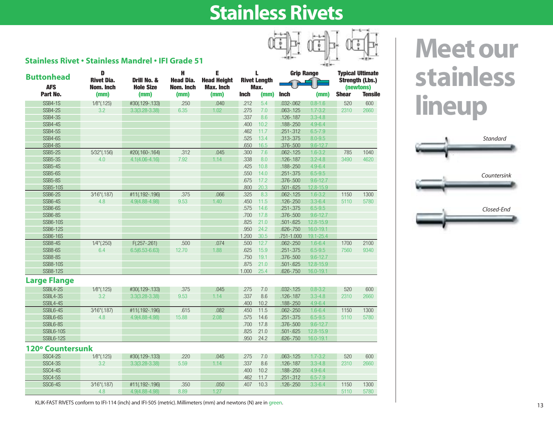## **Stainless Rivets**



| <b>Buttonhead</b>      | D<br><b>Rivet Dia.</b><br>Drill No. & |                          | H<br><b>Head Dia.</b> | Е<br><b>Head Height</b>  | L<br><b>Rivet Length</b> |              | <b>Grip Range</b> |              | <b>Typical Ultimate</b><br><b>Strength (Lbs.)</b> |                             |
|------------------------|---------------------------------------|--------------------------|-----------------------|--------------------------|--------------------------|--------------|-------------------|--------------|---------------------------------------------------|-----------------------------|
| <b>AFS</b><br>Part No. | Nom. Inch<br>(mm)                     | <b>Hole Size</b><br>(mm) | Nom. Inch<br>(mm)     | <b>Max. Inch</b><br>(mm) | <b>Inch</b>              | Max.<br>(mm) | <b>Inch</b>       | (mm)         | <b>Shear</b>                                      | (newtons)<br><b>Tensile</b> |
| <b>SSB4-1S</b>         | $1/8$ "(.125)                         | #30(.129-.133)           | .250                  | .040                     | .212                     | 5.4          | $.032 - .062$     | $0.8 - 1.6$  | 520                                               | 600                         |
| <b>SSB4-2S</b>         | 3.2                                   | $3.3(3.28 - 3.38)$       | 6.35                  | 1.02                     | .275                     | 7.0          | $.063 - .125$     | $1.7 - 3.2$  | 2310                                              | 2660                        |
| <b>SSB4-3S</b>         |                                       |                          |                       |                          | .337                     | 8.6          | .126-.187         | $3.3 - 4.8$  |                                                   |                             |
| <b>SSB4-4S</b>         |                                       |                          |                       |                          | .400                     | 10.2         | .188-.250         | $4.9 - 6.4$  |                                                   |                             |
| <b>SSB4-5S</b>         |                                       |                          |                       |                          | .462                     | 11.7         | $.251 - .312$     | $6.5 - 7.9$  |                                                   |                             |
| SSB4-6S                |                                       |                          |                       |                          | .525                     | 13.4         | .313-.375         | $8.0 - 9.5$  |                                                   |                             |
| <b>SSB4-8S</b>         |                                       |                          |                       |                          | .650                     | 16.5         | .376-.500         | $9.6 - 12.7$ |                                                   |                             |
| <b>SSB5-2S</b>         | 5/32"(.156)                           | #20(.160-.164)           | .312                  | .045                     | .300                     | 7.6          | $.062 - .125$     | $1.6 - 3.2$  | 785                                               | 1040                        |
| <b>SSB5-3S</b>         | 4.0                                   | $4.1(4.06 - 4.16)$       | 7.92                  | 1.14                     | .338                     | 8.0          | .126-.187         | $3.2 - 4.8$  | 3490                                              | 4620                        |
| <b>SSB5-4S</b>         |                                       |                          |                       |                          | .425                     | 10.8         | .188-.250         | $4.9 - 6.4$  |                                                   |                             |
| <b>SSB5-6S</b>         |                                       |                          |                       |                          | .550                     | 14.0         | $.251-.375$       | $6.5 - 9.5$  |                                                   |                             |
| <b>SSB5-8S</b>         |                                       |                          |                       |                          | .675                     | 17.2         | .376-.500         | $9.6 - 12.7$ |                                                   |                             |
| <b>SSB5-10S</b>        |                                       |                          |                       |                          | .800                     | 20.3         | $.501 - .625$     | 12.8-15.9    |                                                   |                             |
| <b>SSB6-2S</b>         | 3/16"(.187)                           | #11(.192-.196)           | .375                  | .066                     | .325                     | 8.3          | $.062 - .125$     | $1.6 - 3.2$  | 1150                                              | 1300                        |
| <b>SSB6-4S</b>         | 4.8                                   | 4.9(4.88-4.98)           | 9.53                  | 1.40                     | .450                     | 11.5         | .126-.250         | $3.3 - 6.4$  | 5110                                              | 5780                        |
| SSB6-6S                |                                       |                          |                       |                          | .575                     | 14.6         | $.251 - .375$     | $6.5 - 9.5$  |                                                   |                             |
| <b>SSB6-8S</b>         |                                       |                          |                       |                          | .700                     | 17.8         | .376-.500         | $9.6 - 12.7$ |                                                   |                             |
| <b>SSB6-10S</b>        |                                       |                          |                       |                          | .825                     | 21.0         | $.501 - .625$     | 12.8-15.9    |                                                   |                             |
| <b>SSB6-12S</b>        |                                       |                          |                       |                          | .950                     | 24.2         | $.626 - .750$     | 16.0-19.1    |                                                   |                             |
| <b>SSB6-16S</b>        |                                       |                          |                       |                          | 1.200                    | 30.5         | .751-1.000        | 19.1-25.4    |                                                   |                             |
| <b>SSB8-4S</b>         | $1/4$ "(.250)                         | $F(.257-.261)$           | .500                  | .074                     | .500                     | 12.7         | $.062 - .250$     | $1.6 - 6.4$  | 1700                                              | 2100                        |
| SSB8-6S                | 6.4                                   | $6.5(6.53 - 6.63)$       | 12.70                 | 1.88                     | .625                     | 15.9         | $.251 - .375$     | $6.5 - 9.5$  | 7560                                              | 9340                        |
| <b>SSB8-8S</b>         |                                       |                          |                       |                          | .750                     | 19.1         | .376-.500         | $9.6 - 12.7$ |                                                   |                             |
| <b>SSB8-10S</b>        |                                       |                          |                       |                          | .875                     | 21.0         | $.501 - .625$     | 12.8-15.9    |                                                   |                             |
| <b>SSB8-12S</b>        |                                       |                          |                       |                          | 1.000                    | 25.4         | .626-.750         | 16.0-19.1    |                                                   |                             |
| <b>Large Flange</b>    |                                       |                          |                       |                          |                          |              |                   |              |                                                   |                             |
| SSBL4-2S               | $1/8$ "(.125)                         | #30(.129-.133)           | .375                  | .045                     | .275                     | 7.0          | $.032 - .125$     | $0.8 - 3.2$  | 520                                               | 600                         |
| SSBL4-3S               | 3.2                                   | $3.3(3.28 - 3.38)$       | 9.53                  | 1.14                     | .337                     | 8.6          | .126-.187         | $3.3 - 4.8$  | 2310                                              | 2660                        |
| SSBL4-4S               |                                       |                          |                       |                          | .400                     | 10.2         | .188-.250         | $4.9 - 6.4$  |                                                   |                             |
| SSBL6-4S               | 3/16"(.187)                           | #11(.192-.196)           | .615                  | .082                     | .450                     | 11.5         | $.062 - .250$     | $1.6 - 6.4$  | 1150                                              | 1300                        |
| SSBL6-6S               | 4.8                                   | 4.9(4.88-4.98)           | 15.88                 | 2.08                     | .575                     | 14.6         | $.251 - .375$     | $6.5 - 9.5$  | 5110                                              | 5780                        |
| SSBL6-8S               |                                       |                          |                       |                          | .700                     | 17.8         | .376-.500         | $9.6 - 12.7$ |                                                   |                             |
| <b>SSBL6-10S</b>       |                                       |                          |                       |                          | .825                     | 21.0         | $.501 - .625$     | 12.8-15.9    |                                                   |                             |
| <b>SSBL6-12S</b>       |                                       |                          |                       |                          | .950                     | 24.2         | .626 - .750       | 16.0-19.1    |                                                   |                             |
| 120° Countersunk       |                                       |                          |                       |                          |                          |              |                   |              |                                                   |                             |
| <b>SSC4-2S</b>         | $1/8$ "(.125)                         | #30(.129-.133)           | .220                  | .045                     | .275                     | 7.0          | $.063 - .125$     | $1.7 - 3.2$  | 520                                               | 600                         |
| <b>SSC4-3S</b>         | 3.2                                   | $3.3(3.28 - 3.38)$       | 5.59                  | 1.14                     | .337                     | 8.6          | .126-.187         | $3.3 - 4.8$  | 2310                                              | 2660                        |
| <b>SSC4-4S</b>         |                                       |                          |                       |                          | .400                     | 10.2         | .188-.250         | $4.9 - 6.4$  |                                                   |                             |
| <b>SSC4-5S</b>         |                                       |                          |                       |                          | .462                     | 11.7         | .251 - .312       | $6.5 - 7.9$  |                                                   |                             |
| SSC6-4S                | 3/16"(.187)                           | #11(.192-.196)           | .350                  | .050                     | .407                     | 10.3         | $.126 - .250$     | $3.3 - 6.4$  | 1150                                              | 1300                        |
|                        | 4.8                                   | 4.9(4.88-4.98)           | 8.89                  | 1.27                     |                          |              |                   |              | 5110                                              | 5780                        |

**stainless lineup**

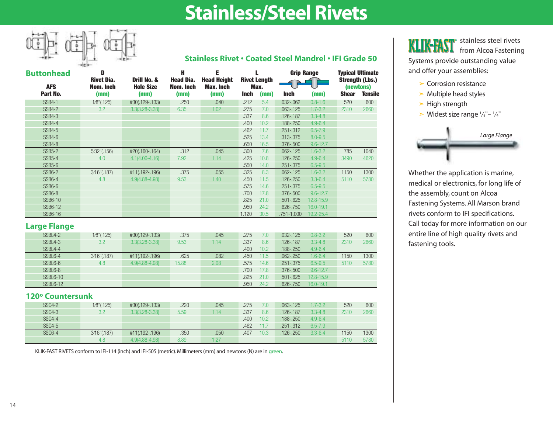## **Stainless/Steel Rivets**



### **Stainless Rivet • Coated Steel Mandrel • IFI Grade 50**

| <b>Buttonhead</b>      | D<br><b>Rivet Dia.</b> | Drill No. &              | н<br><b>Head Dia.</b> | Е<br><b>Head Height</b>  |             | <b>Rivet Length</b> |               | <b>Grip Range</b> |              | <b>Typical Ultimate</b><br><b>Strength (Lbs.)</b> |
|------------------------|------------------------|--------------------------|-----------------------|--------------------------|-------------|---------------------|---------------|-------------------|--------------|---------------------------------------------------|
| <b>AFS</b><br>Part No. | Nom. Inch<br>(mm)      | <b>Hole Size</b><br>(mm) | Nom. Inch<br>(mm)     | <b>Max. Inch</b><br>(mm) | <b>Inch</b> | Max.<br>(mm)        | <b>Inch</b>   | (mm)              | <b>Shear</b> | (newtons)<br><b>Tensile</b>                       |
| <b>SSB4-1</b>          | $1/8$ "(.125)          | #30(.129-.133)           | .250                  | .040                     | .212        | 5.4                 | $.032 - .062$ | $0.8 - 1.6$       | 520          | 600                                               |
| <b>SSB4-2</b>          | 3.2                    | $3.3(3.28 - 3.38)$       | 6.35                  | 1.02                     | .275        | 7.0                 | $.063 - .125$ | $1.7 - 3.2$       | 2310         | 2660                                              |
| <b>SSB4-3</b>          |                        |                          |                       |                          | .337        | 8.6                 | $.126 - .187$ | $3.3 - 4.8$       |              |                                                   |
| <b>SSB4-4</b>          |                        |                          |                       |                          | .400        | 10.2 <sub>1</sub>   | $.188 - .250$ | $4.9 - 6.4$       |              |                                                   |
| <b>SSB4-5</b>          |                        |                          |                       |                          | .462        | 11.7                | $.251 - .312$ | $6.5 - 7.9$       |              |                                                   |
| SSB4-6                 |                        |                          |                       |                          | .525        | 13.4                | $.313 - .375$ | $8.0 - 9.5$       |              |                                                   |
| SSB4-8                 |                        |                          |                       |                          | .650        | 16.5                | $.376 - .500$ | $9.6 - 12.7$      |              |                                                   |
| <b>SSB5-2</b>          | $5/32$ " $(.156)$      | #20(.160-.164)           | .312                  | .045                     | .300        | 7.6                 | $.062 - .125$ | $1.6 - 3.2$       | 785          | 1040                                              |
| <b>SSB5-4</b>          | 4.0                    | $4.1(4.06 - 4.16)$       | 7.92                  | 1.14                     | .425        | 10.8                | $.126 - .250$ | $4.9 - 6.4$       | 3490         | 4620                                              |
| $SSB5-6$               |                        |                          |                       |                          | .550        | 14.0                | $.251 - .375$ | $6.5 - 9.5$       |              |                                                   |
| <b>SSB6-2</b>          | $3/16$ "(.187)         | #11(.192-.196)           | .375                  | .055                     | .325        | 8.3                 | $.062 - .125$ | $1.6 - 3.2$       | 1150         | 1300                                              |
| <b>SSB6-4</b>          | 4.8                    | $4.9(4.88 - 4.98)$       | 9.53                  | 1.40                     | .450        | 11.5                | $.126 - .250$ | $3.3 - 6.4$       | 5110         | 5780                                              |
| SSB6-6                 |                        |                          |                       |                          | .575        | 14.6                | $.251 - .375$ | $6.5 - 9.5$       |              |                                                   |
| SSB6-8                 |                        |                          |                       |                          | .700        | 17.8                | .376-.500     | $9.6 - 12.7$      |              |                                                   |
| SSB6-10                |                        |                          |                       |                          | .825        | 21.0                | $.501 - .625$ | $12.8 - 15.9$     |              |                                                   |
| SSB6-12                |                        |                          |                       |                          | .950        | 24.2                | $.626 - .750$ | 16.0-19.1         |              |                                                   |
| SSB6-16                |                        |                          |                       |                          | 1.120       | 30.5                | .751-1.000    | $19.2 - 25.4$     |              |                                                   |

#### **Large Flange**

| SSBL4-2        | 1/8"(.125)     | #30(.129-.133)     | .375  | .045 | .275 | 7.0  | $.032 - 125$  | $0.8 - 3.2$   | 520  | 600  |
|----------------|----------------|--------------------|-------|------|------|------|---------------|---------------|------|------|
| SSBL4-3        | 3.2            | $3.3(3.28 - 3.38)$ | 9.53  | 1.14 | .337 | 8.6  | $.126 - .187$ | $3.3 - 4.8$   | 2310 | 2660 |
| <b>SSBL4-4</b> |                |                    |       |      | .400 | 10.2 | $.188 - .250$ | $4.9 - 6.4$   |      |      |
| SSBL6-4        | $3/16$ "(.187) | #11(.192-.196)     | .625  | .082 | .450 | 11.5 | $.062 - .250$ | $1.6 - 6.4$   | 1150 | 1300 |
| SSBL6-6        | 4.8            | 4.9(4.88-4.98)     | 15.88 | 2.08 | .575 | 14.6 | $.251 - .375$ | $6.5 - 9.5$   | 5110 | 5780 |
| SSBL6-8        |                |                    |       |      | .700 | 17.8 | $.376 - .500$ | $9.6 - 12.7$  |      |      |
| SSBL6-10       |                |                    |       |      | .825 | 21.0 | $.501 - .625$ | $12.8 - 15.9$ |      |      |
| SSBL6-12       |                |                    |       |      | .950 | 24.2 | $.626 - .750$ | 16.0-19.1     |      |      |

#### **120º Countersunk**

| <b>SSC4-2</b> | 1/8"(.125)        | #30(.129-.133)     | .220 | .045 | .275 |      | $.063 - .125$ | $1.7 - 3.2$ | 520  | 600  |
|---------------|-------------------|--------------------|------|------|------|------|---------------|-------------|------|------|
| <b>SSC4-3</b> | 3.2               | $3.3(3.28 - 3.38)$ | 5.59 | 1.14 | .337 | 8.6  | $.126 - .187$ | $3.3 - 4.8$ | 2310 | 2660 |
| <b>SSC4-4</b> |                   |                    |      |      | .400 | 10.2 | $.188 - .250$ | $4.9 - 6.4$ |      |      |
| <b>SSC4-5</b> |                   |                    |      |      | .462 | 11.7 | $.251 - .312$ | $6.5 - 7.9$ |      |      |
| <b>SSC6-4</b> | $3/16$ " $(.187)$ | #11(.192-.196)     | .350 | .050 | .407 | 10.3 | $.126 - .250$ | $3.3 - 6.4$ | 1150 | 1300 |
|               | 4.8               | 4.9(4.88-4.98)     | 8.89 | 27   |      |      |               |             | 5110 | 5780 |

KLIK-FAST RIVETS conform to IFI-114 (inch) and IFI-505 (metric). Millimeters (mm) and newtons (N) are in green.

stainless steel rivets **KLIK-FAST** from Alcoa Fastening

Systems provide outstanding value and offer your assemblies:

- ➣ Corrosion resistance
- $\triangleright$  Multiple head styles
- $\blacktriangleright$  High strength
- $\triangleright$  Widest size range  $\frac{1}{8}$ "- $\frac{1}{4}$ "



Whether the application is marine, medical or electronics, for long life of the assembly, count on Alcoa Fastening Systems. All Marson brand rivets conform to IFI specifications. Call today for more information on our entire line of high quality rivets and fastening tools.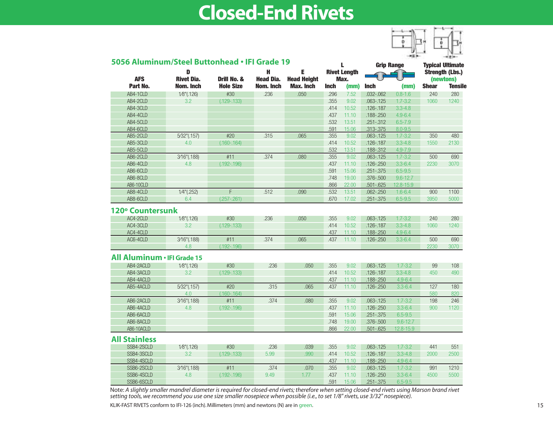## **Closed-End Rivets**



| <b>Grip Range</b><br>I.<br>E<br><b>Rivet Length</b><br>D<br>н<br><b>AFS</b><br><b>Rivet Dia.</b><br><b>Head Dia.</b><br>Drill No. &<br><b>Head Height</b><br>Max.<br>Part No.<br><b>Hole Size</b><br>Nom. Inch<br>Nom. Inch<br><b>Max. Inch</b><br><b>Inch</b><br><b>Shear</b><br><b>Inch</b><br>(mm)<br>(mm)<br>AB4-1CLD<br>#30<br>.236<br>.050<br>240<br>$1/8$ "(.126)<br>.296<br>7.52<br>$.032 - .062$<br>$0.8 - 1.6$<br>AB4-2CLD<br>3.2<br>$(.129-.133)$<br>.355<br>9.02<br>$.063 - .125$<br>$1.7 - 3.2$<br>1060<br>AB4-3CLD<br>.126-.187<br>$3.3 - 4.8$<br>.414<br>10.52<br>AB4-4CLD<br>.437<br>$.188 - .250$<br>$4.9 - 6.4$<br>11.10<br>AB4-5CLD<br>.532<br>13.51<br>$.251 - .312$<br>$6.5 - 7.9$<br>AB4-6CLD<br>$8.0 - 9.5$<br>.591<br>15.06<br>.313-.375<br>#20<br>AB5-2CLD<br>$5/32$ "(.157)<br>.315<br>.065<br>.355<br>$.063 - .125$<br>$1.7 - 3.2$<br>350<br>9.02<br>$3.3 - 4.8$<br>AB5-3CLD<br>4.0<br>$(.160-.164)$<br>.414<br>10.52<br>$.126 - .187$<br>1550<br>AB5-5CLD<br>.532<br>$4.9 - 7.9$<br>13.51<br>.188-.312<br>AB6-2CLD<br>3/16"(.188)<br>#11<br>.374<br>.080<br>.355<br>$.063 - .125$<br>$1.7 - 3.2$<br>9.02<br>500<br>AB6-4CLD<br>$(.192-.196)$<br>$.126 - .250$<br>$3.3 - 6.4$<br>2230<br>4.8<br>.437<br>11.10<br>AB6-6CLD<br>$6.5 - 9.5$<br>.591<br>15.06<br>$.251 - .375$<br>AB6-8CLD<br>.748<br>19.00<br>.376-.500<br>$9.6 - 12.7$<br>12.8-15.9<br>AB6-10CLD<br>.866<br>22.00<br>$.501 - .625$<br>AB8-4CLD<br>$1/4$ "(.252)<br>F<br>.512<br>.090<br>.532<br>13.51<br>$.062 - .250$<br>$1.6 - 6.4$<br>900<br>AB8-6CLD<br>6.4<br>$(.257-.261)$<br>.670<br>17.02<br>$.251 - .375$<br>$6.5 - 9.5$<br>3950<br>120° Countersunk<br>AC4-2CLD<br>#30<br>.236<br>.050<br>$1.7 - 3.2$<br>240<br>1/8"(.126)<br>.355<br>9.02<br>$.063 - .125$<br>AC4-3CLD<br>.126-.187<br>$3.3 - 4.8$<br>3.2<br>$(.129-.133)$<br>.414<br>10.52<br>1060<br>AC4-4CLD<br>.437<br>11.10<br>.188-.250<br>$4.9 - 6.4$<br>#11<br>AC6-4CLD<br>3/16"(.188)<br>.374<br>.065<br>.437<br>11.10<br>.126-.250<br>$3.3 - 6.4$<br>500<br>4.8<br>$(.192-.196)$<br>2230<br>All Aluminum . IFI Grade 15<br>AB4-2ACLD<br>$1/8$ "(.126)<br>#30<br>.236<br>$1.7 - 3.2$<br>.050<br>.355<br>9.02<br>$.063 - .125$<br>99<br>AB4-3ACLD<br>3.2<br>.414<br>10.52<br>$.126 - .187$<br>$3.3 - 4.8$<br>450<br>$(.129-.133)$<br>AB4-4ACLD<br>.188-.250<br>$4.9 - 6.4$<br>.437<br>11.10<br>#20<br>.315<br>.437<br>AB5-4ACLD<br>5/32"(.157)<br>.065<br>11.10<br>$.126 - .250$<br>$3.3 - 6.4$<br>127<br>$(.160-.164)$<br>580<br>4.0<br>AB6-2ACLD<br>#11<br>.374<br>.080<br>198<br>3/16"(.188)<br>.355<br>9.02<br>$.063 - .125$<br>$1.7 - 3.2$<br>AB6-4ACLD<br>$(.192-.196)$<br>$.126 - .250$<br>$3.3 - 6.4$<br>900<br>4.8<br>.437<br>11.10<br>AB6-6ACLD<br>$.251 - .375$<br>$6.5 - 9.5$<br>.591<br>15.06<br>AB6-8ACLD<br>.748<br>19.00<br>.376-.500<br>$9.6 - 12.7$<br>AB6-10ACLD<br>.866<br>12.8-15.9<br>22.00<br>$.501 - .625$<br><b>All Stainless</b> | <b>Typical Ultimate</b><br><b>Strength (Lbs.)</b><br>(newtons)<br><b>Tensile</b><br>280<br>1240<br>480<br>2130 |  |
|------------------------------------------------------------------------------------------------------------------------------------------------------------------------------------------------------------------------------------------------------------------------------------------------------------------------------------------------------------------------------------------------------------------------------------------------------------------------------------------------------------------------------------------------------------------------------------------------------------------------------------------------------------------------------------------------------------------------------------------------------------------------------------------------------------------------------------------------------------------------------------------------------------------------------------------------------------------------------------------------------------------------------------------------------------------------------------------------------------------------------------------------------------------------------------------------------------------------------------------------------------------------------------------------------------------------------------------------------------------------------------------------------------------------------------------------------------------------------------------------------------------------------------------------------------------------------------------------------------------------------------------------------------------------------------------------------------------------------------------------------------------------------------------------------------------------------------------------------------------------------------------------------------------------------------------------------------------------------------------------------------------------------------------------------------------------------------------------------------------------------------------------------------------------------------------------------------------------------------------------------------------------------------------------------------------------------------------------------------------------------------------------------------------------------------------------------------------------------------------------------------------------------------------------------------------------------------------------------------------------------------------------------------------------------------------------------------------------------------------------------------------------------------------------------------------------------------------------------------------------------------------------------------------------|----------------------------------------------------------------------------------------------------------------|--|
|                                                                                                                                                                                                                                                                                                                                                                                                                                                                                                                                                                                                                                                                                                                                                                                                                                                                                                                                                                                                                                                                                                                                                                                                                                                                                                                                                                                                                                                                                                                                                                                                                                                                                                                                                                                                                                                                                                                                                                                                                                                                                                                                                                                                                                                                                                                                                                                                                                                                                                                                                                                                                                                                                                                                                                                                                                                                                                                        |                                                                                                                |  |
|                                                                                                                                                                                                                                                                                                                                                                                                                                                                                                                                                                                                                                                                                                                                                                                                                                                                                                                                                                                                                                                                                                                                                                                                                                                                                                                                                                                                                                                                                                                                                                                                                                                                                                                                                                                                                                                                                                                                                                                                                                                                                                                                                                                                                                                                                                                                                                                                                                                                                                                                                                                                                                                                                                                                                                                                                                                                                                                        |                                                                                                                |  |
|                                                                                                                                                                                                                                                                                                                                                                                                                                                                                                                                                                                                                                                                                                                                                                                                                                                                                                                                                                                                                                                                                                                                                                                                                                                                                                                                                                                                                                                                                                                                                                                                                                                                                                                                                                                                                                                                                                                                                                                                                                                                                                                                                                                                                                                                                                                                                                                                                                                                                                                                                                                                                                                                                                                                                                                                                                                                                                                        |                                                                                                                |  |
|                                                                                                                                                                                                                                                                                                                                                                                                                                                                                                                                                                                                                                                                                                                                                                                                                                                                                                                                                                                                                                                                                                                                                                                                                                                                                                                                                                                                                                                                                                                                                                                                                                                                                                                                                                                                                                                                                                                                                                                                                                                                                                                                                                                                                                                                                                                                                                                                                                                                                                                                                                                                                                                                                                                                                                                                                                                                                                                        |                                                                                                                |  |
|                                                                                                                                                                                                                                                                                                                                                                                                                                                                                                                                                                                                                                                                                                                                                                                                                                                                                                                                                                                                                                                                                                                                                                                                                                                                                                                                                                                                                                                                                                                                                                                                                                                                                                                                                                                                                                                                                                                                                                                                                                                                                                                                                                                                                                                                                                                                                                                                                                                                                                                                                                                                                                                                                                                                                                                                                                                                                                                        |                                                                                                                |  |
|                                                                                                                                                                                                                                                                                                                                                                                                                                                                                                                                                                                                                                                                                                                                                                                                                                                                                                                                                                                                                                                                                                                                                                                                                                                                                                                                                                                                                                                                                                                                                                                                                                                                                                                                                                                                                                                                                                                                                                                                                                                                                                                                                                                                                                                                                                                                                                                                                                                                                                                                                                                                                                                                                                                                                                                                                                                                                                                        |                                                                                                                |  |
|                                                                                                                                                                                                                                                                                                                                                                                                                                                                                                                                                                                                                                                                                                                                                                                                                                                                                                                                                                                                                                                                                                                                                                                                                                                                                                                                                                                                                                                                                                                                                                                                                                                                                                                                                                                                                                                                                                                                                                                                                                                                                                                                                                                                                                                                                                                                                                                                                                                                                                                                                                                                                                                                                                                                                                                                                                                                                                                        |                                                                                                                |  |
|                                                                                                                                                                                                                                                                                                                                                                                                                                                                                                                                                                                                                                                                                                                                                                                                                                                                                                                                                                                                                                                                                                                                                                                                                                                                                                                                                                                                                                                                                                                                                                                                                                                                                                                                                                                                                                                                                                                                                                                                                                                                                                                                                                                                                                                                                                                                                                                                                                                                                                                                                                                                                                                                                                                                                                                                                                                                                                                        |                                                                                                                |  |
|                                                                                                                                                                                                                                                                                                                                                                                                                                                                                                                                                                                                                                                                                                                                                                                                                                                                                                                                                                                                                                                                                                                                                                                                                                                                                                                                                                                                                                                                                                                                                                                                                                                                                                                                                                                                                                                                                                                                                                                                                                                                                                                                                                                                                                                                                                                                                                                                                                                                                                                                                                                                                                                                                                                                                                                                                                                                                                                        |                                                                                                                |  |
|                                                                                                                                                                                                                                                                                                                                                                                                                                                                                                                                                                                                                                                                                                                                                                                                                                                                                                                                                                                                                                                                                                                                                                                                                                                                                                                                                                                                                                                                                                                                                                                                                                                                                                                                                                                                                                                                                                                                                                                                                                                                                                                                                                                                                                                                                                                                                                                                                                                                                                                                                                                                                                                                                                                                                                                                                                                                                                                        |                                                                                                                |  |
|                                                                                                                                                                                                                                                                                                                                                                                                                                                                                                                                                                                                                                                                                                                                                                                                                                                                                                                                                                                                                                                                                                                                                                                                                                                                                                                                                                                                                                                                                                                                                                                                                                                                                                                                                                                                                                                                                                                                                                                                                                                                                                                                                                                                                                                                                                                                                                                                                                                                                                                                                                                                                                                                                                                                                                                                                                                                                                                        |                                                                                                                |  |
|                                                                                                                                                                                                                                                                                                                                                                                                                                                                                                                                                                                                                                                                                                                                                                                                                                                                                                                                                                                                                                                                                                                                                                                                                                                                                                                                                                                                                                                                                                                                                                                                                                                                                                                                                                                                                                                                                                                                                                                                                                                                                                                                                                                                                                                                                                                                                                                                                                                                                                                                                                                                                                                                                                                                                                                                                                                                                                                        |                                                                                                                |  |
|                                                                                                                                                                                                                                                                                                                                                                                                                                                                                                                                                                                                                                                                                                                                                                                                                                                                                                                                                                                                                                                                                                                                                                                                                                                                                                                                                                                                                                                                                                                                                                                                                                                                                                                                                                                                                                                                                                                                                                                                                                                                                                                                                                                                                                                                                                                                                                                                                                                                                                                                                                                                                                                                                                                                                                                                                                                                                                                        | 690                                                                                                            |  |
|                                                                                                                                                                                                                                                                                                                                                                                                                                                                                                                                                                                                                                                                                                                                                                                                                                                                                                                                                                                                                                                                                                                                                                                                                                                                                                                                                                                                                                                                                                                                                                                                                                                                                                                                                                                                                                                                                                                                                                                                                                                                                                                                                                                                                                                                                                                                                                                                                                                                                                                                                                                                                                                                                                                                                                                                                                                                                                                        | 3070                                                                                                           |  |
|                                                                                                                                                                                                                                                                                                                                                                                                                                                                                                                                                                                                                                                                                                                                                                                                                                                                                                                                                                                                                                                                                                                                                                                                                                                                                                                                                                                                                                                                                                                                                                                                                                                                                                                                                                                                                                                                                                                                                                                                                                                                                                                                                                                                                                                                                                                                                                                                                                                                                                                                                                                                                                                                                                                                                                                                                                                                                                                        |                                                                                                                |  |
|                                                                                                                                                                                                                                                                                                                                                                                                                                                                                                                                                                                                                                                                                                                                                                                                                                                                                                                                                                                                                                                                                                                                                                                                                                                                                                                                                                                                                                                                                                                                                                                                                                                                                                                                                                                                                                                                                                                                                                                                                                                                                                                                                                                                                                                                                                                                                                                                                                                                                                                                                                                                                                                                                                                                                                                                                                                                                                                        |                                                                                                                |  |
|                                                                                                                                                                                                                                                                                                                                                                                                                                                                                                                                                                                                                                                                                                                                                                                                                                                                                                                                                                                                                                                                                                                                                                                                                                                                                                                                                                                                                                                                                                                                                                                                                                                                                                                                                                                                                                                                                                                                                                                                                                                                                                                                                                                                                                                                                                                                                                                                                                                                                                                                                                                                                                                                                                                                                                                                                                                                                                                        |                                                                                                                |  |
|                                                                                                                                                                                                                                                                                                                                                                                                                                                                                                                                                                                                                                                                                                                                                                                                                                                                                                                                                                                                                                                                                                                                                                                                                                                                                                                                                                                                                                                                                                                                                                                                                                                                                                                                                                                                                                                                                                                                                                                                                                                                                                                                                                                                                                                                                                                                                                                                                                                                                                                                                                                                                                                                                                                                                                                                                                                                                                                        | 1100                                                                                                           |  |
|                                                                                                                                                                                                                                                                                                                                                                                                                                                                                                                                                                                                                                                                                                                                                                                                                                                                                                                                                                                                                                                                                                                                                                                                                                                                                                                                                                                                                                                                                                                                                                                                                                                                                                                                                                                                                                                                                                                                                                                                                                                                                                                                                                                                                                                                                                                                                                                                                                                                                                                                                                                                                                                                                                                                                                                                                                                                                                                        | 5000                                                                                                           |  |
|                                                                                                                                                                                                                                                                                                                                                                                                                                                                                                                                                                                                                                                                                                                                                                                                                                                                                                                                                                                                                                                                                                                                                                                                                                                                                                                                                                                                                                                                                                                                                                                                                                                                                                                                                                                                                                                                                                                                                                                                                                                                                                                                                                                                                                                                                                                                                                                                                                                                                                                                                                                                                                                                                                                                                                                                                                                                                                                        | 280<br>1240                                                                                                    |  |
|                                                                                                                                                                                                                                                                                                                                                                                                                                                                                                                                                                                                                                                                                                                                                                                                                                                                                                                                                                                                                                                                                                                                                                                                                                                                                                                                                                                                                                                                                                                                                                                                                                                                                                                                                                                                                                                                                                                                                                                                                                                                                                                                                                                                                                                                                                                                                                                                                                                                                                                                                                                                                                                                                                                                                                                                                                                                                                                        | 690                                                                                                            |  |
|                                                                                                                                                                                                                                                                                                                                                                                                                                                                                                                                                                                                                                                                                                                                                                                                                                                                                                                                                                                                                                                                                                                                                                                                                                                                                                                                                                                                                                                                                                                                                                                                                                                                                                                                                                                                                                                                                                                                                                                                                                                                                                                                                                                                                                                                                                                                                                                                                                                                                                                                                                                                                                                                                                                                                                                                                                                                                                                        | 3070                                                                                                           |  |
|                                                                                                                                                                                                                                                                                                                                                                                                                                                                                                                                                                                                                                                                                                                                                                                                                                                                                                                                                                                                                                                                                                                                                                                                                                                                                                                                                                                                                                                                                                                                                                                                                                                                                                                                                                                                                                                                                                                                                                                                                                                                                                                                                                                                                                                                                                                                                                                                                                                                                                                                                                                                                                                                                                                                                                                                                                                                                                                        |                                                                                                                |  |
|                                                                                                                                                                                                                                                                                                                                                                                                                                                                                                                                                                                                                                                                                                                                                                                                                                                                                                                                                                                                                                                                                                                                                                                                                                                                                                                                                                                                                                                                                                                                                                                                                                                                                                                                                                                                                                                                                                                                                                                                                                                                                                                                                                                                                                                                                                                                                                                                                                                                                                                                                                                                                                                                                                                                                                                                                                                                                                                        |                                                                                                                |  |
|                                                                                                                                                                                                                                                                                                                                                                                                                                                                                                                                                                                                                                                                                                                                                                                                                                                                                                                                                                                                                                                                                                                                                                                                                                                                                                                                                                                                                                                                                                                                                                                                                                                                                                                                                                                                                                                                                                                                                                                                                                                                                                                                                                                                                                                                                                                                                                                                                                                                                                                                                                                                                                                                                                                                                                                                                                                                                                                        |                                                                                                                |  |
|                                                                                                                                                                                                                                                                                                                                                                                                                                                                                                                                                                                                                                                                                                                                                                                                                                                                                                                                                                                                                                                                                                                                                                                                                                                                                                                                                                                                                                                                                                                                                                                                                                                                                                                                                                                                                                                                                                                                                                                                                                                                                                                                                                                                                                                                                                                                                                                                                                                                                                                                                                                                                                                                                                                                                                                                                                                                                                                        | 108<br>490                                                                                                     |  |
|                                                                                                                                                                                                                                                                                                                                                                                                                                                                                                                                                                                                                                                                                                                                                                                                                                                                                                                                                                                                                                                                                                                                                                                                                                                                                                                                                                                                                                                                                                                                                                                                                                                                                                                                                                                                                                                                                                                                                                                                                                                                                                                                                                                                                                                                                                                                                                                                                                                                                                                                                                                                                                                                                                                                                                                                                                                                                                                        |                                                                                                                |  |
|                                                                                                                                                                                                                                                                                                                                                                                                                                                                                                                                                                                                                                                                                                                                                                                                                                                                                                                                                                                                                                                                                                                                                                                                                                                                                                                                                                                                                                                                                                                                                                                                                                                                                                                                                                                                                                                                                                                                                                                                                                                                                                                                                                                                                                                                                                                                                                                                                                                                                                                                                                                                                                                                                                                                                                                                                                                                                                                        |                                                                                                                |  |
|                                                                                                                                                                                                                                                                                                                                                                                                                                                                                                                                                                                                                                                                                                                                                                                                                                                                                                                                                                                                                                                                                                                                                                                                                                                                                                                                                                                                                                                                                                                                                                                                                                                                                                                                                                                                                                                                                                                                                                                                                                                                                                                                                                                                                                                                                                                                                                                                                                                                                                                                                                                                                                                                                                                                                                                                                                                                                                                        | 180                                                                                                            |  |
|                                                                                                                                                                                                                                                                                                                                                                                                                                                                                                                                                                                                                                                                                                                                                                                                                                                                                                                                                                                                                                                                                                                                                                                                                                                                                                                                                                                                                                                                                                                                                                                                                                                                                                                                                                                                                                                                                                                                                                                                                                                                                                                                                                                                                                                                                                                                                                                                                                                                                                                                                                                                                                                                                                                                                                                                                                                                                                                        | 820                                                                                                            |  |
|                                                                                                                                                                                                                                                                                                                                                                                                                                                                                                                                                                                                                                                                                                                                                                                                                                                                                                                                                                                                                                                                                                                                                                                                                                                                                                                                                                                                                                                                                                                                                                                                                                                                                                                                                                                                                                                                                                                                                                                                                                                                                                                                                                                                                                                                                                                                                                                                                                                                                                                                                                                                                                                                                                                                                                                                                                                                                                                        | 246                                                                                                            |  |
|                                                                                                                                                                                                                                                                                                                                                                                                                                                                                                                                                                                                                                                                                                                                                                                                                                                                                                                                                                                                                                                                                                                                                                                                                                                                                                                                                                                                                                                                                                                                                                                                                                                                                                                                                                                                                                                                                                                                                                                                                                                                                                                                                                                                                                                                                                                                                                                                                                                                                                                                                                                                                                                                                                                                                                                                                                                                                                                        | 1120                                                                                                           |  |
|                                                                                                                                                                                                                                                                                                                                                                                                                                                                                                                                                                                                                                                                                                                                                                                                                                                                                                                                                                                                                                                                                                                                                                                                                                                                                                                                                                                                                                                                                                                                                                                                                                                                                                                                                                                                                                                                                                                                                                                                                                                                                                                                                                                                                                                                                                                                                                                                                                                                                                                                                                                                                                                                                                                                                                                                                                                                                                                        |                                                                                                                |  |
|                                                                                                                                                                                                                                                                                                                                                                                                                                                                                                                                                                                                                                                                                                                                                                                                                                                                                                                                                                                                                                                                                                                                                                                                                                                                                                                                                                                                                                                                                                                                                                                                                                                                                                                                                                                                                                                                                                                                                                                                                                                                                                                                                                                                                                                                                                                                                                                                                                                                                                                                                                                                                                                                                                                                                                                                                                                                                                                        |                                                                                                                |  |
| SSB4-2SCLD<br>#30<br>.236<br>.355<br>9.02<br>$1.7 - 3.2$<br>$1/8$ "(.126)<br>.039<br>$.063 - .125$<br>441                                                                                                                                                                                                                                                                                                                                                                                                                                                                                                                                                                                                                                                                                                                                                                                                                                                                                                                                                                                                                                                                                                                                                                                                                                                                                                                                                                                                                                                                                                                                                                                                                                                                                                                                                                                                                                                                                                                                                                                                                                                                                                                                                                                                                                                                                                                                                                                                                                                                                                                                                                                                                                                                                                                                                                                                              |                                                                                                                |  |
| SSB4-3SCLD<br>3.2<br>$(.129-.133)$<br>5.99<br>.990<br>.414<br>10.52<br>$.126 - .187$<br>$3.3 - 4.8$<br>2000                                                                                                                                                                                                                                                                                                                                                                                                                                                                                                                                                                                                                                                                                                                                                                                                                                                                                                                                                                                                                                                                                                                                                                                                                                                                                                                                                                                                                                                                                                                                                                                                                                                                                                                                                                                                                                                                                                                                                                                                                                                                                                                                                                                                                                                                                                                                                                                                                                                                                                                                                                                                                                                                                                                                                                                                            |                                                                                                                |  |
| SSB4-4SCLD<br>.437<br>$4.9 - 6.4$<br>11.10<br>.188-.250                                                                                                                                                                                                                                                                                                                                                                                                                                                                                                                                                                                                                                                                                                                                                                                                                                                                                                                                                                                                                                                                                                                                                                                                                                                                                                                                                                                                                                                                                                                                                                                                                                                                                                                                                                                                                                                                                                                                                                                                                                                                                                                                                                                                                                                                                                                                                                                                                                                                                                                                                                                                                                                                                                                                                                                                                                                                | 551                                                                                                            |  |
| SSB6-2SCLD<br>3/16"(.188)<br>#11<br>.374<br>.070<br>.355<br>9.02<br>$.063 - .125$<br>$1.7 - 3.2$<br>991                                                                                                                                                                                                                                                                                                                                                                                                                                                                                                                                                                                                                                                                                                                                                                                                                                                                                                                                                                                                                                                                                                                                                                                                                                                                                                                                                                                                                                                                                                                                                                                                                                                                                                                                                                                                                                                                                                                                                                                                                                                                                                                                                                                                                                                                                                                                                                                                                                                                                                                                                                                                                                                                                                                                                                                                                | 2500                                                                                                           |  |
| SSB6-4SCLD<br>4.8<br>$(.192-.196)$<br>9.49<br>.437<br>$.126 - .250$<br>$3.3 - 6.4$<br>1.77<br>11.10<br>4500                                                                                                                                                                                                                                                                                                                                                                                                                                                                                                                                                                                                                                                                                                                                                                                                                                                                                                                                                                                                                                                                                                                                                                                                                                                                                                                                                                                                                                                                                                                                                                                                                                                                                                                                                                                                                                                                                                                                                                                                                                                                                                                                                                                                                                                                                                                                                                                                                                                                                                                                                                                                                                                                                                                                                                                                            |                                                                                                                |  |
| SSB6-6SCLD<br>.591<br>$6.5 - 9.5$<br>15.06<br>$.251 - .375$                                                                                                                                                                                                                                                                                                                                                                                                                                                                                                                                                                                                                                                                                                                                                                                                                                                                                                                                                                                                                                                                                                                                                                                                                                                                                                                                                                                                                                                                                                                                                                                                                                                                                                                                                                                                                                                                                                                                                                                                                                                                                                                                                                                                                                                                                                                                                                                                                                                                                                                                                                                                                                                                                                                                                                                                                                                            | 1210<br>5500                                                                                                   |  |

Note: *A slightly smaller mandrel diameter is required for closed-end rivets; therefore when setting closed-end rivets using Marson brand rivet setting tools, we recommend you use one size smaller nosepiece when possible (i.e., to set 1/8" rivets, use 3/32" nosepiece).*

KLIK-FAST RIVETS conform to IFI-126 (inch). Millimeters (mm) and newtons (N) are in green.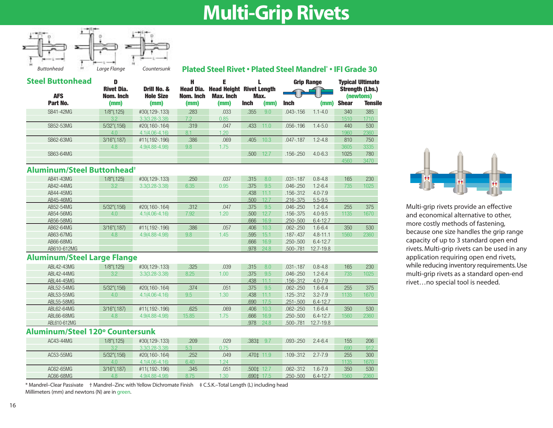## **Multi-Grip Rivets**



**Plated Steel Rivet • Plated Steel Mandrel\* • IFI Grade 30**

| <b>Steel Buttonhead</b><br><b>AFS</b> | D<br><b>Rivet Dia.</b><br>Nom. Inch | Drill No. &<br><b>Hole Size</b> | Н<br><b>Head Dia.</b><br>Nom. Inch | Е<br><b>Head Height</b><br><b>Max. Inch</b> | <b>Rivet Lenath</b><br>Max. |      |               |             | <b>Grip Range</b> |                |  | <b>Typical Ultimate</b><br><b>Strength (Lbs.)</b><br>(newtons) |
|---------------------------------------|-------------------------------------|---------------------------------|------------------------------------|---------------------------------------------|-----------------------------|------|---------------|-------------|-------------------|----------------|--|----------------------------------------------------------------|
| Part No.                              | (mm)                                | (mm)                            | (mm)                               | (mm)                                        | <b>Inch</b>                 | (mm) | <b>Inch</b>   | (mm)        | <b>Shear</b>      | <b>Tensile</b> |  |                                                                |
| SB41-42MG                             | $1/8$ " $(.125)$                    | #30(.129-.133)                  | .283                               | .033                                        | .355                        | 9.0  | $.043 - .156$ | $1.1 - 4.0$ | 340               | 385            |  |                                                                |
|                                       | 3.2                                 | $3.3(3.28 - 3.38)$              | 7.2                                | 0.85                                        |                             |      |               |             | 1510              | 1710           |  |                                                                |
| SB52-53MG                             | $5/32$ " $(.156)$                   | #20(.160-.164)                  | .319                               | .047                                        | .433                        | 11.0 | $.056 - .196$ | $1.4 - 5.0$ | 440               | 530            |  |                                                                |
|                                       | 4.0                                 | $4.1(4.06 - 4.16)$              | 8.1                                | 1.20                                        |                             |      |               |             | 1960              | 2360           |  |                                                                |
| SB62-63MG                             | $3/16$ " $(.187)$                   | #11(.192-.196)                  | .386                               | .069                                        | .405                        | 10.3 | $.047 - .187$ | $1.2 - 4.8$ | 810               | 750            |  |                                                                |
|                                       | 4.8                                 | 4.9(4.88-4.98)                  | 9.8                                | 1.75                                        |                             |      |               |             | 3605              | 3335           |  |                                                                |
| SB63-64MG                             |                                     |                                 |                                    |                                             | .500                        | 12.7 | $.156 - .250$ | $4.0 - 6.3$ | 1025              | 780            |  |                                                                |
|                                       |                                     |                                 |                                    |                                             |                             |      |               |             | 4560              | 3470           |  |                                                                |

### **Aluminum/Steel Buttonhead†**

| AB41-43MG   | $1/8$ " $(.125)$  | #30(.129-.133)     | .250 | .037 | .315<br>8.0  | $.031 - .187$ | $0.8 - 4.8$   | 165  | 230  |
|-------------|-------------------|--------------------|------|------|--------------|---------------|---------------|------|------|
| AB42-44MG   | 3.2               | $3.3(3.28 - 3.38)$ | 6.35 | 0.95 | .375<br>9.5  | $.046 - .250$ | $1.2 - 6.4$   | 735  | 1025 |
| AB44-45MG   |                   |                    |      |      | .438<br>11.1 | $.156 - .312$ | $4.0 - 7.9$   |      |      |
| AB45-46MG   |                   |                    |      |      | .500<br>12.7 | $.216 - .375$ | $5.5 - 9.5$   |      |      |
| AB52-54MG   | $5/32$ " $(.156)$ | #20(.160-.164)     | .312 | .047 | .375<br>9.5  | $.046 - .250$ | $1.2 - 6.4$   | 255  | 375  |
| AB54-56MG   | 4.0               | $4.1(4.06 - 4.16)$ | 7.92 | 1.20 | .500<br>12.7 | $.156 - .375$ | $4.0 - 9.5$   | 1135 | 1670 |
| AB56-58MG   |                   |                    |      |      | .666<br>16.9 | $.250 - .500$ | $6.4 - 12.7$  |      |      |
| AB62-64MG   | $3/16$ " $(.187)$ | #11(.192-.196)     | .386 | .057 | .406<br>10.3 | $.062 - .250$ | $.6 - 6.4$    | 350  | 530  |
| AB63-67MG   | 4.8               | 4.9(4.88-4.98)     | 9.8  | .45  | .595<br>15.7 | $.187 - .437$ | $4.8 - 11.1$  | 1560 | 2360 |
| AB66-68MG   |                   |                    |      |      | .666<br>16.9 | $.250 - .500$ | $6.4 - 12.7$  |      |      |
| AB610-612MG |                   |                    |      |      | .978<br>24.8 | .500-.781     | $12.7 - 19.8$ |      |      |

#### **Aluminum/Steel Large Flange**

| ABL 42-43MG  | $1/8$ " $(.125)$  | #30(.129-.133)     | .325  | .039 | .315 | 8.0  | $.031 - .187$ | $0.8 - 4.8$   | 165  | 230  |
|--------------|-------------------|--------------------|-------|------|------|------|---------------|---------------|------|------|
| ABI 42-44MG  | 3.2               | $3.3(3.28 - 3.38)$ | 8.25  | 1.00 | .375 | 9.5  | $.046 - .250$ | $1.2 - 6.4$   | 735  | 1025 |
| ABL44-45MG   |                   |                    |       |      | .438 |      | .156-.312     | $4.0 - 7.9$   |      |      |
| ABL52-54MG   | $5/32$ " $(.156)$ | #20(.160-.164)     | .374  | .051 | .375 | 9.5  | $.062 - .250$ | $1.6 - 6.4$   | 255  | 375  |
| ABL53-55MG   | 4.0               | $4.1(4.06 - 4.16)$ | 9.5   | 1.30 | .438 |      | $.125 - .312$ | $3.2 - 7.9$   | 1135 | 1670 |
| ABL55-58MG   |                   |                    |       |      | .690 | 17.5 | $.251 - .500$ | $6.4 - 12.7$  |      |      |
| ABL62-64MG   | $3/16$ " $(.187)$ | #11(.192-.196)     | .625  | .069 | .406 | 10.3 | $.062 - .250$ | $1.6 - 6.4$   | 350  | 530  |
| ABL66-68MG   | 4.8               | 4.9(4.88-4.98)     | 15.85 | 1.75 | .666 | 16.9 | $.250 - .500$ | $6.4 - 12.7$  | 1560 | 2360 |
| ABL610-612MG |                   |                    |       |      | .978 | 24.8 | $.500 - .781$ | $12.7 - 19.8$ |      |      |

### **Aluminum/Steel 120º Countersunk**

| AC43-44MG | $1/8$ " $(0.125)$ | #30(.129-.133)     | 209  | .029 | .383±          | $.093 - .250$ | $2.4 - 6.4$  | 155  | 206  |
|-----------|-------------------|--------------------|------|------|----------------|---------------|--------------|------|------|
|           | າ າ               | $3.3(3.28 - 3.38)$ |      |      |                |               |              | 690  | 912  |
| AC53-55MG | $5/32$ " $(.156)$ | #20(.160-.164)     | .252 | 049  | .470±11.9      | .109-.312     | $2.7 - 7.9$  | 255  | 300  |
|           | 4.0               | $4.1(4.06 - 4.16)$ | 6.40 | -24  |                |               |              | 1135 | 1670 |
| AC62-65MG | $3/16$ " $(.187)$ | #11(.192-.196)     | .345 | .051 | $.500 \pm 12.$ | $.062 - .312$ | $1.6 - 7.9$  | 350  | 530  |
| AC66-68MG | 4.8               | 4.9(4.88-4.98)     | 8.75 | .30  | .690‡ 17.5     | $.250 - .500$ | $6.4 - 12.7$ | 1560 | 2360 |

\* Mandrel–Clear Passivate † Mandrel–Zinc with Yellow Dichromate Finish ‡ C.S.K.–Total Length (L) including head Millimeters (mm) and newtons (N) are in green.



Multi-grip rivets provide an effective and economical alternative to other, more costly methods of fastening, because one size handles the grip range capacity of up to 3 standard open end rivets. Multi-grip rivets can be used in any application requiring open end rivets, while reducing inventory requirements. Use multi-grip rivets as a standard open-end rivet…no special tool is needed.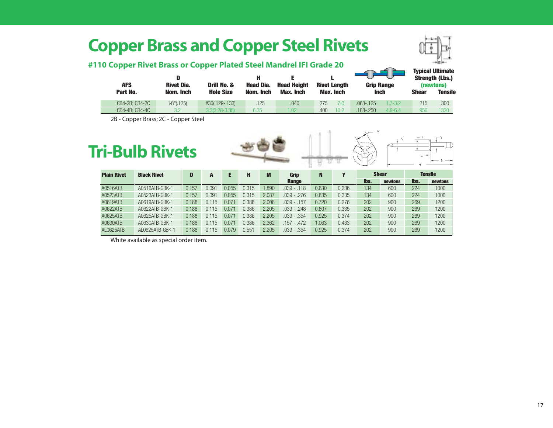### **Copper Brass and Copper Steel Rivets**



### **#110 Copper Rivet Brass or Copper Plated Steel Mandrel IFI Grade 20**

| <b>AFS</b>     | <b>Rivet Dia.</b> | Drill No. &        | <b>Head Dia.</b> | <b>Head Height</b> | <b>Rivet Lenath</b> | <b>Grip Range</b>            | <b>Typical Ultimate</b><br><b>Strength (Lbs.)</b><br>(newtons) |                |  |
|----------------|-------------------|--------------------|------------------|--------------------|---------------------|------------------------------|----------------------------------------------------------------|----------------|--|
| Part No.       | Nom. Inch         | <b>Hole Size</b>   | Nom. Inch        | <b>Max. Inch</b>   | Max. Inch           | <b>Inch</b>                  | <b>Shear</b>                                                   | <b>Tensile</b> |  |
| CB4-2B: CB4-2C | 1/8"(.125)        | #30(.129-.133)     | .125             | .040               | .275<br>7.0         | $.063 - .125$<br>$1.7 - 3.2$ | 215                                                            | 300            |  |
| CB4-4B: CB4-4C | 3.2               | $3.3(3.28 - 3.38)$ | 6.35             | 1.02               | 400<br>10.2         | $4.9 - 6.4$<br>.188-.250     | 950                                                            | 1330           |  |

2B - Copper Brass; 2C - Copper Steel



A0630ATB A0630ATB-GBK-1 0.188 0.115 0.071 0.386 2.362 .157 - .472 1.063 0.433 202 900 269 1200 AL0625ATB AL0625ATB-GBK-1 0.188 0.115 0.079 0.551 2.205 .039 - .354 0.925 0.374 202 900 269 1200

White available as special order item.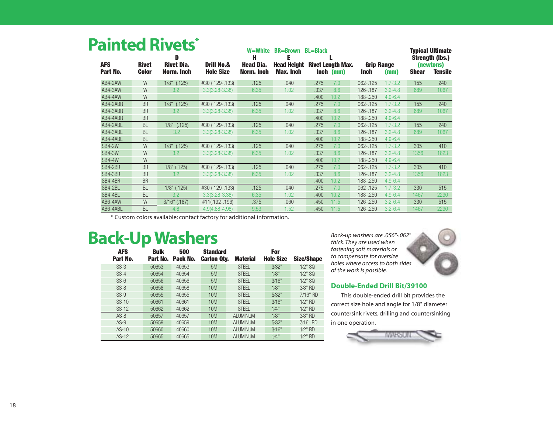### **Painted Rivets\***

| <b>AFS</b>    | <b>Rivet</b> | .<br>D<br><b>Rivet Dia.</b> | <b>Drill No.&amp;</b> | W=White<br>н<br><b>Head Dia.</b> | <b>BR=Brown</b><br>Ε<br><b>Head Height</b> | <b>BL=Black</b> | <b>Rivet Length Max.</b> | <b>Grip Range</b> |             |              | <b>Typical Ultimate</b><br><b>Strength (lbs.)</b><br>(newtons) |
|---------------|--------------|-----------------------------|-----------------------|----------------------------------|--------------------------------------------|-----------------|--------------------------|-------------------|-------------|--------------|----------------------------------------------------------------|
| Part No.      | <b>Color</b> | Norm. Inch                  | <b>Hole Size</b>      | Norm. Inch                       | Max. Inch                                  |                 | Inch (mm)                | <b>Inch</b>       | (mm)        | <b>Shear</b> | <b>Tensile</b>                                                 |
| AB4-2AW       | W            | $1/8$ " $(.125)$            | #30 (.129-.133)       | .125                             | .040                                       | .275            | 7.0                      | $.062 - .125$     | $1.7 - 3.2$ | 155          | 240                                                            |
| AB4-3AW       | W            | 3.2                         | $3.3(3.28 - 3.38)$    | 6.35                             | 1.02                                       | .337            | 8.6                      | .126-.187         | $3.2 - 4.8$ | 689          | 1067                                                           |
| AB4-4AW       | W            |                             |                       |                                  |                                            | .400            | 10.2                     | .188-.250         | $4.9 - 6.4$ |              |                                                                |
| AB4-2ABR      | <b>BR</b>    | $1/8"$ (.125)               | #30 (.129-.133)       | .125                             | .040                                       | .275            | 7.0                      | $.062 - .125$     | $1.7 - 3.2$ | 155          | 240                                                            |
| AB4-3ABR      | <b>BR</b>    | 3.2                         | $3.3(3.28 - 3.38)$    | 6.35                             | 1.02                                       | .337            | 8.6                      | .126-.187         | $3.2 - 4.8$ | 689          | 1067                                                           |
| AB4-4ABR      | <b>BR</b>    |                             |                       |                                  |                                            | .400            | 10.2                     | .188-.250         | $4.9 - 6.4$ |              |                                                                |
| AB4-2ABL      | <b>BL</b>    | $1/8"$ (.125)               | #30 (.129-.133)       | .125                             | .040                                       | .275            | 7.0                      | $.062 - .125$     | $1.7 - 3.2$ | 155          | 240                                                            |
| AB4-3ABL      | <b>BL</b>    | 3.2                         | $3.3(3.28 - 3.38)$    | 6.35                             | 1.02                                       | .337            | 8.6                      | .126-.187         | $3.2 - 4.8$ | 689          | 1067                                                           |
| AB4-4ABL      | <b>BL</b>    |                             |                       |                                  |                                            | .400            | 10.2                     | .188-.250         | $4.9 - 6.4$ |              |                                                                |
| <b>SB4-2W</b> | W            | $1/8"$ (.125)               | #30 (.129-.133)       | .125                             | .040                                       | .275            | 7.0                      | $.062 - .125$     | $1.7 - 3.2$ | 305          | 410                                                            |
| <b>SB4-3W</b> | W            | 3.2                         | $3.3(3.28 - 3.38)$    | 6.35                             | 1.02                                       | .337            | 8.6                      | .126-.187         | $3.2 - 4.8$ | 1356         | 1823                                                           |
| <b>SB4-4W</b> | W            |                             |                       |                                  |                                            | .400            | 10.2                     | .188-.250         | $4.9 - 6.4$ |              |                                                                |
| SB4-2BR       | <b>BR</b>    | $1/8$ " (.125)              | #30 (.129-.133)       | .125                             | .040                                       | .275            | 7.0                      | $.062 - .125$     | $1.7 - 3.2$ | 305          | 410                                                            |
| SB4-3BR       | <b>BR</b>    | 3.2                         | $3.3(3.28 - 3.38)$    | 6.35                             | 1.02                                       | .337            | 8.6                      | .126-.187         | $3.2 - 4.8$ | 1356         | 1823                                                           |
| SB4-4BR       | <b>BR</b>    |                             |                       |                                  |                                            | .400            | 10.2                     | .188-.250         | $4.9 - 6.4$ |              |                                                                |
| SB4-2BL       | <b>BL</b>    | $1/8$ " $(.125)$            | #30 (.129-.133)       | .125                             | .040                                       | .275            | 7.0                      | $.062 - .125$     | $1.7 - 3.2$ | 330          | 515                                                            |
| SB4-4BL       | <b>BL</b>    | 3.2                         | $3.3(3.28 - 3.38)$    | 6.35                             | 1.02                                       | .400            | 10.2                     | .188-.250         | $4.9 - 6.4$ | 1467         | 2290                                                           |
| AB6-4AW       | W            | $3/16"$ $(.187)$            | #11(.192-.196)        | .375                             | .060                                       | .450            | 11.5                     | $.126 - .250$     | $3.2 - 6.4$ | 330          | 515                                                            |
| AB6-4ABL      | <b>BL</b>    | 4.8                         | $4.9(4.88 - 4.98)$    | 9.53                             | 1.52                                       | .450            | 11.5                     | .126-.250         | $3.2 - 6.4$ | 1467         | 2290                                                           |

\* Custom colors available; contact factory for additional information.

### **Back-Up Washers**

| <b>AFS</b><br>Part No. | <b>Bulk</b><br>Part No. | 500<br>Pack No. | <b>Standard</b><br><b>Carton Qty.</b> | <b>Material</b> | For<br><b>Hole Size</b> | <b>Size/Shape</b> |
|------------------------|-------------------------|-----------------|---------------------------------------|-----------------|-------------------------|-------------------|
| $SS-3$                 | 50653                   | 40653           | 5M                                    | <b>STEEL</b>    | 3/32"                   | $1/2$ " SQ        |
| $SS-4$                 | 50654                   | 40654           | 5M                                    | <b>STEEL</b>    | 1/8"                    | $1/2$ " SQ        |
| $SS-6$                 | 50656                   | 40656           | 5M                                    | <b>STEEL</b>    | 3/16"                   | $1/2$ " SQ        |
| $SS-8$                 | 50658                   | 40658           | 10M                                   | <b>STEEL</b>    | 1/8"                    | 3⁄8" RD           |
| $SS-9$                 | 50655                   | 40655           | 10M                                   | <b>STEEL</b>    | 5/32"                   | 7/16" RD          |
| $SS-10$                | 50661                   | 40661           | 10M                                   | <b>STEEL</b>    | 3/16"                   | $1/2$ " RD        |
| $SS-12$                | 50662                   | 40662           | 10M                                   | <b>STEEL</b>    | 1/4"                    | $1/2$ " RD        |
| $AS-8$                 | 50657                   | 40657           | 10M                                   | <b>ALUMINUM</b> | 1/8"                    | 3⁄8" RD           |
| $AS-9$                 | 50659                   | 40659           | <b>10M</b>                            | <b>ALUMINUM</b> | 5/32"                   | 7/16" RD          |
| $AS-10$                | 50660                   | 40660           | <b>10M</b>                            | <b>ALUMINUM</b> | 3/16"                   | $1/2$ " RD        |
| $AS-12$                | 50665                   | 40665           | 10M                                   | <b>ALUMINUM</b> | 1/4"                    | $1/2$ " RD        |

*Back-up washers are .056"-.062" thick. They are used when fastening soft materials or to compensate for oversize holes where access to both sides of the work is possible.*



This double-ended drill bit provides the correct size hole and angle for 1/8" diameter countersink rivets, drilling and countersinking in one operation.

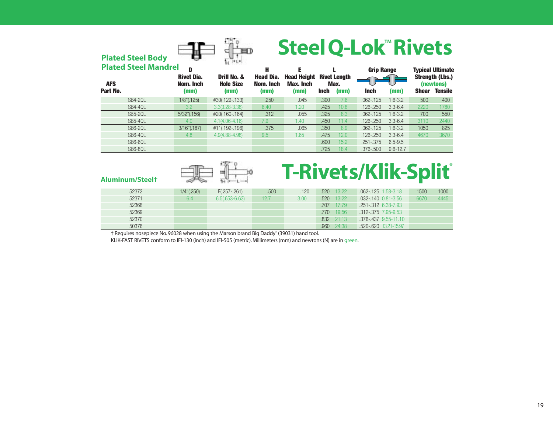# **SteelQ-Lok™ Rivets**

| <b>Plated Steel Body</b>    |                                | H.<br>用卫                        |                               | <b>PICCI A-FAU IJIACIS</b>             |             |                             |                   |              |              |                                     |
|-----------------------------|--------------------------------|---------------------------------|-------------------------------|----------------------------------------|-------------|-----------------------------|-------------------|--------------|--------------|-------------------------------------|
| <b>Plated Steel Mandrel</b> | D                              |                                 | н                             | Е                                      |             |                             | <b>Grip Range</b> |              |              | <b>Typical Ultimate</b>             |
| <b>AFS</b>                  | <b>Rivet Dia.</b><br>Nom. Inch | Drill No. &<br><b>Hole Size</b> | <b>Head Dia.</b><br>Nom. Inch | <b>Head Height</b><br><b>Max. Inch</b> |             | <b>Rivet Length</b><br>Max. |                   |              |              | <b>Strength (Lbs.)</b><br>(newtons) |
| Part No.                    | (mm)                           | (mm)                            | (mm)                          | (mm)                                   | <b>Inch</b> | (mm)                        | <b>Inch</b>       | (mm)         | <b>Shear</b> | <b>Tensile</b>                      |
| <b>SB4-20L</b>              | $1/8$ " $(.125)$               | #30(.129-.133)                  | .250                          | .045                                   | .300        | 7.6                         | $.062 - 125$      | $1.6 - 3.2$  | 500          | 400                                 |
| SB4-4QL                     | 3.2                            | $3.3(3.28 - 3.38)$              | 6.40                          | 1.20                                   | .425        | 10.8                        | $.126 - .250$     | $3.3 - 6.4$  | 2220         | 1780                                |
| <b>SB5-20L</b>              | $5/32$ " $(.156)$              | #20(.160-.164)                  | .312                          | .055                                   | .325        | 8.3                         | $.062 - .125$     | $1.6 - 3.2$  | 700          | 550                                 |
| SB5-4QL                     | 4.0                            | $4.1(4.06 - 4.16)$              | 7.9                           | 1.40                                   | .450        | 11.4                        | $.126 - .250$     | $3.3 - 6.4$  | 3110         | 2440                                |
| <b>SB6-20L</b>              | $3/16$ " $(.187)$              | #11(.192-.196)                  | .375                          | .065                                   | .350        | 8.9                         | $.062 - .125$     | $1.6 - 3.2$  | 1050         | 825                                 |
| SB6-4QL                     | 4.8                            | $4.9(4.88 - 4.98)$              | 9.5                           | 1.65                                   | .475        | 12.0                        | $.126 - .250$     | $3.3 - 6.4$  | 4670         | 3670                                |
| SB6-6QL                     |                                |                                 |                               |                                        | .600        | 15.2                        | $.251 - .375$     | $6.5 - 9.5$  |              |                                     |
| SB6-8QL                     |                                |                                 |                               |                                        | .725        | 18.4                        | $.376 - .500$     | $9.6 - 12.7$ |              |                                     |

# Aluminum/Steelt **Examples Rivets/Klik-Split**

| 52372 | $1/4$ " $(.250)$ | $F(.257-.261)$     | .500 | 120  | .520 | 13.22      | 062-125 1.58-3.18          | 1500 | 1000 |
|-------|------------------|--------------------|------|------|------|------------|----------------------------|------|------|
| 52371 | b.4              | $6.5(.653 - 6.63)$ | 12.7 | 3.00 | .520 | $-13.22$   | $.032 - 140$ $0.81 - 3.56$ | 6670 | 4445 |
| 52368 |                  |                    |      |      | .707 | 17.79      | .251-.312 6.38-7.93        |      |      |
| 52369 |                  |                    |      |      | .770 | 19.567     | .312-.375 7.95-9.53        |      |      |
| 52370 |                  |                    |      |      |      | .832 21.13 | .376-.437 9.55-11.10       |      |      |
| 50376 |                  |                    |      |      | .960 | 24.38      | .520-.620 13.21-15.97      |      |      |

† Requires nosepiece No. 96028 when using the Marson brand Big Daddy® (39031) hand tool.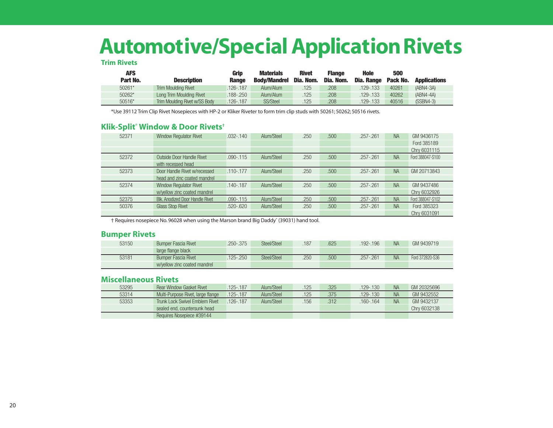## **Automotive/Special Application Rivets**

#### **Trim Rivets**

| <b>AFS</b> |                               | Grip         | <b>Materials</b>    | <b>Rivet</b> | Flange    | <b>Hole</b>       | 500             |                     |
|------------|-------------------------------|--------------|---------------------|--------------|-----------|-------------------|-----------------|---------------------|
| Part No.   | <b>Description</b>            | <b>Range</b> | <b>Body/Mandrel</b> | Dia. Nom.    | Dia. Nom. | <b>Dia. Range</b> | <b>Pack No.</b> | <b>Applications</b> |
| 50261*     | Trim Moulding Rivet           | .126-.187    | Alum/Alum           | 125          | 208       | .129-.133         | 40261           | $(ABN4-3A)$         |
| 50262*     | Long Trim Moulding Rivet      | .188-.250    | Alum/Alum           | 125          | .208      | $.129 - .133$     | 40262           | $(ABN4-4A)$         |
| 50516*     | Trim Moulding Rivet w/SS Body | .126-.187    | <b>SS/Steel</b>     | 125          | .208      | 129-.133          | 40516           | $(SSBN4-3)$         |

\*Use 39112 Trim Clip Rivet Nosepieces with HP-2 or Kliker Riveter to form trim clip studs with 50261; 50262; 50516 rivets.

#### **Klik-Split® Window & Door Rivets†**

| 52371 | <b>Window Regulator Rivet</b>          | $.032 - .140$ | Alum/Steel | .250 | .500 | $.257 - .261$ | <b>NA</b> | GM 9436175       |
|-------|----------------------------------------|---------------|------------|------|------|---------------|-----------|------------------|
|       |                                        |               |            |      |      |               |           | Ford 385189      |
|       |                                        |               |            |      |      |               |           | Chry 6031115     |
| 52372 | Outside Door Handle Rivet              | $.090 - .115$ | Alum/Steel | .250 | .500 | $.257 - .261$ | <b>NA</b> | Ford 388047-S100 |
|       | with recessed head                     |               |            |      |      |               |           |                  |
| 52373 | Door Handle Rivet w/recessed           | $.110 - .177$ | Alum/Steel | .250 | .500 | $.257 - .261$ | <b>NA</b> | GM 20713843      |
|       | head and zinc coated mandrel           |               |            |      |      |               |           |                  |
| 52374 | <b>Window Regulator Rivet</b>          | $.140 - .187$ | Alum/Steel | .250 | .500 | $.257 - .261$ | <b>NA</b> | GM 9437486       |
|       | w/yellow zinc coated mandrel           |               |            |      |      |               |           | Chry 6032926     |
| 52375 | <b>Blk. Anodized Door Handle Rivet</b> | $.090 - .115$ | Alum/Steel | .250 | .500 | $.257 - .261$ | <b>NA</b> | Ford 388047-S102 |
| 50376 | <b>Glass Stop Rivet</b>                | $.520 - .620$ | Alum/Steel | .250 | .500 | $.257 - .261$ | <b>NA</b> | Ford 385323      |
|       |                                        |               |            |      |      |               |           | Chrv 6031091     |

† Requires nosepiece No. 96028 when using the Marson brand Big Daddy® (39031) hand tool.

#### **Bumper Rivets**

| 53150 | <b>Bumper Fascia Rivet</b>   | 250-.375 | Steel/Steel | .187 | 625 | 192-.196    | <b>NA</b> | GM 9439719      |
|-------|------------------------------|----------|-------------|------|-----|-------------|-----------|-----------------|
|       | large flange black           |          |             |      |     |             |           |                 |
| 53181 | <b>Bumper Fascia Rivet</b>   | 125-.250 | Steel/Steel | 250  | 500 | $257 - 261$ | <b>NA</b> | Ford 372820-S36 |
|       | w/vellow zinc coated mandrel |          |             |      |     |             |           |                 |

### **Miscellaneous Rivets**

| 53295 | <b>Rear Window Gasket Rivet</b>   | .125-.187     | Alum/Steel | .125 | .325 | $129 - 130$ | <b>NA</b> | GM 20325696  |
|-------|-----------------------------------|---------------|------------|------|------|-------------|-----------|--------------|
| 53314 | Multi-Purpose Rivet, large flange | $.125 - .187$ | Alum/Steel | 125  | .375 | $129 - 130$ | <b>NA</b> | GM 9432552   |
| 53353 | Trunk Lock Swivel Emblem Rivet    | $.126 - 187$  | Alum/Steel | 156  | .312 | .160-.164   | <b>NA</b> | GM 9432137   |
|       | sealed end, countersunk head      |               |            |      |      |             |           | Chrv 6032138 |
|       | Requires Nosepiece #39144         |               |            |      |      |             |           |              |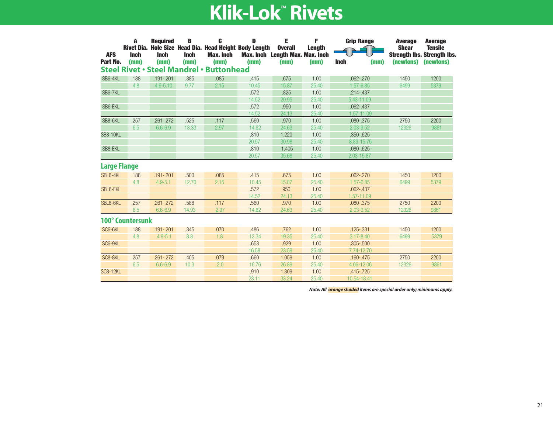| <b>AFS</b><br>Part No. | A<br><b>Rivet Dia.</b><br><b>Inch</b><br>(mm) | <b>Reauired</b><br><b>Inch</b><br>(mm) | B<br><b>Inch</b><br>(mm) | C<br>Hole Size Head Dia. Head Height Body Length<br><b>Max. Inch</b><br>(mm)<br><b>Steel Rivet · Steel Mandrel · Buttonhead</b> | D<br>(mm)     | Е<br><b>Overall</b><br>Max. Inch Length Max. Max. Inch<br>(mm) | F<br><b>Length</b><br>(mm) | <b>Grip Range</b><br><b>Inch</b><br>(mm) | <b>Average</b><br><b>Shear</b><br>(newtons) | <b>Average</b><br><b>Tensile</b><br><b>Strength Ibs. Strength Ibs.</b><br>(newtons) |
|------------------------|-----------------------------------------------|----------------------------------------|--------------------------|---------------------------------------------------------------------------------------------------------------------------------|---------------|----------------------------------------------------------------|----------------------------|------------------------------------------|---------------------------------------------|-------------------------------------------------------------------------------------|
|                        |                                               |                                        |                          |                                                                                                                                 |               |                                                                |                            |                                          |                                             |                                                                                     |
| SB6-4KL                | .188                                          | $.191 - .201$                          | .385                     | .085                                                                                                                            | .415          | .675                                                           | 1.00                       | $.062 - .270$                            | 1450                                        | 1200                                                                                |
|                        | 4.8                                           | $4.9 - 5.10$                           | 9.77                     | 2.15                                                                                                                            | 10.45         | 15.87                                                          | 25.40                      | $1.57 - 6.85$                            | 6499                                        | 5379                                                                                |
| SB6-7KL                |                                               |                                        |                          |                                                                                                                                 | .572          | .825                                                           | 1.00                       | $.214 - .437$                            |                                             |                                                                                     |
|                        |                                               |                                        |                          |                                                                                                                                 | 14.52         | 20.95                                                          | 25.40                      | 5.43-11.09                               |                                             |                                                                                     |
| SB6-EKL                |                                               |                                        |                          |                                                                                                                                 | .572          | .950                                                           | 1.00                       | $.062 - .437$                            |                                             |                                                                                     |
| SB8-6KL                |                                               |                                        | .525                     |                                                                                                                                 | 14.52         | 24.13                                                          | 25.40<br>1.00              | 1.57-11.09                               |                                             |                                                                                     |
|                        | .257                                          | $.261 - .272$                          |                          | .117                                                                                                                            | .560          | .970                                                           |                            | .080-.375                                | 2750                                        | 2200                                                                                |
| <b>SB8-10KL</b>        | 6.5                                           | $6.6 - 6.9$                            | 13.33                    | 2.97                                                                                                                            | 14.62<br>.810 | 24.63<br>1.220                                                 | 25.40<br>1.00              | $2.03 - 9.52$<br>$.350 - .625$           | 12326                                       | 9861                                                                                |
|                        |                                               |                                        |                          |                                                                                                                                 | 20.57         | 30.98                                                          | 25.40                      | 8.89-15.75                               |                                             |                                                                                     |
| SB8-EKL                |                                               |                                        |                          |                                                                                                                                 | .810          | 1.405                                                          | 1.00                       | $.080 - .625$                            |                                             |                                                                                     |
|                        |                                               |                                        |                          |                                                                                                                                 | 20.57         | 35.68                                                          | 25.40                      | 2.03-15.87                               |                                             |                                                                                     |
| <b>Large Flange</b>    |                                               |                                        |                          |                                                                                                                                 |               |                                                                |                            |                                          |                                             |                                                                                     |
| SBL6-4KL               | .188                                          | $.191 - .201$                          | .500                     | .085                                                                                                                            | .415          | .675                                                           | 1.00                       | $.062 - .270$                            | 1450                                        | 1200                                                                                |
|                        | 4.8                                           | $4.9 - 5.1$                            | 12.70                    | 2.15                                                                                                                            | 10.45         | 15.87                                                          | 25.40                      | $1.57 - 6.85$                            | 6499                                        | 5379                                                                                |
| <b>SBL6-EKL</b>        |                                               |                                        |                          |                                                                                                                                 | .572          | 950                                                            | 1.00                       | $.062 - .437$                            |                                             |                                                                                     |
|                        |                                               |                                        |                          |                                                                                                                                 | 14.52         | 24.13                                                          | 25.40                      | 1.57-11.09                               |                                             |                                                                                     |
| SBL8-6KL               | .257                                          | $.261 - .272$                          | .588                     | .117                                                                                                                            | .560          | .970                                                           | 1.00                       | $.080 - .375$                            | 2750                                        | 2200                                                                                |
|                        | 6.5                                           | $6.6 - 6.9$                            | 14.93                    | 2.97                                                                                                                            | 14.62         | 24.63                                                          | 25.40                      | $2.03 - 9.52$                            | 12326                                       | 9861                                                                                |
|                        | <b>100° Countersunk</b>                       |                                        |                          |                                                                                                                                 |               |                                                                |                            |                                          |                                             |                                                                                     |
| SC6-6KL                | .188                                          | $.191 - .201$                          | .345                     | .070                                                                                                                            | .486          | .762                                                           | 1.00                       | $.125 - .331$                            | 1450                                        | 1200                                                                                |
|                        | 4.8                                           | $4.9 - 5.1$                            | 8.8                      | 1.8                                                                                                                             | 12.34         | 19.35                                                          | 25.40                      | $3.17 - 8.40$                            | 6499                                        | 5379                                                                                |
| SC6-9KL                |                                               |                                        |                          |                                                                                                                                 | .653          | .929                                                           | 1.00                       | $.305 - .500$                            |                                             |                                                                                     |
|                        |                                               |                                        |                          |                                                                                                                                 | 16.58         | 23.59                                                          | 25.40                      | 7.74-12.70                               |                                             |                                                                                     |
| SC8-8KL                | .257                                          | $.261 - .272$                          | .405                     | .079                                                                                                                            | .660          | 1.059                                                          | 1.00                       | $.160 - .475$                            | 2750                                        | 2200                                                                                |
|                        | 6.5                                           | $6.6 - 6.9$                            | 10.3                     | 2.0                                                                                                                             | 16.76         | 26.89                                                          | 25.40                      | 4.06-12.06                               | 12326                                       | 9861                                                                                |
| <b>SC8-12KL</b>        |                                               |                                        |                          |                                                                                                                                 | .910          | 1.309                                                          | 1.00                       | $.415 - .725$                            |                                             |                                                                                     |
|                        |                                               |                                        |                          |                                                                                                                                 | 23.11         | 33.24                                                          | 25.40                      | 10.54-18.41                              |                                             |                                                                                     |

*Note: All orange shaded items are special order only; minimums apply.*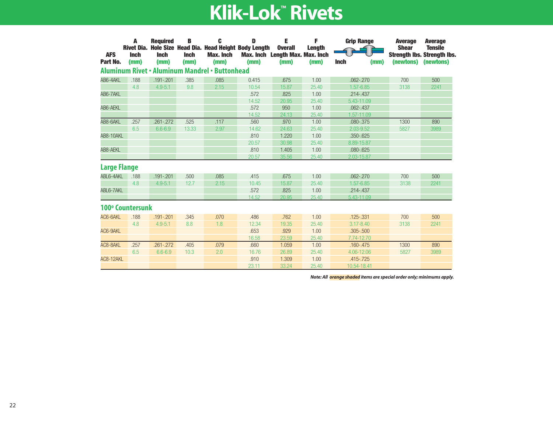| <b>AFS</b>          | A<br><b>Rivet Dia.</b><br><b>Inch</b> | <b>Required</b><br><b>Inch</b> | В<br><b>Inch</b> | C<br>Hole Size Head Dia. Head Height Body Length<br>Max. Inch | D     | Е<br><b>Overall</b><br>Max. Inch Length Max. Max. Inch | F<br><b>Length</b> | <b>Grip Range</b>   | <b>Average</b><br><b>Shear</b> | <b>Average</b><br><b>Tensile</b><br><b>Strength Ibs. Strength Ibs.</b> |
|---------------------|---------------------------------------|--------------------------------|------------------|---------------------------------------------------------------|-------|--------------------------------------------------------|--------------------|---------------------|--------------------------------|------------------------------------------------------------------------|
| Part No.            | (mm)                                  | (mm)                           | (mm)             | (mm)                                                          | (mm)  | (mm)                                                   | (mm)               | <b>Inch</b><br>(mm) | (newtons)                      | (newtons)                                                              |
|                     |                                       |                                |                  | <b>Aluminum Rivet • Aluminum Mandrel • Buttonhead</b>         |       |                                                        |                    |                     |                                |                                                                        |
| AB6-4AKL            | .188                                  | $.191 - .201$                  | .385             | .085                                                          | 0.415 | .675                                                   | 1.00               | $.062 - .270$       | 700                            | 500                                                                    |
|                     | 4.8                                   | $4.9 - 5.1$                    | 9.8              | 2.15                                                          | 10.54 | 15.87                                                  | 25.40              | $1.57 - 6.85$       | 3138                           | 2241                                                                   |
| AB6-7AKL            |                                       |                                |                  |                                                               | .572  | .825                                                   | 1.00               | $.214 - .437$       |                                |                                                                        |
|                     |                                       |                                |                  |                                                               | 14.52 | 20.95                                                  | 25.40              | 5.43-11.09          |                                |                                                                        |
| AB6-AEKL            |                                       |                                |                  |                                                               | .572  | 950                                                    | 1.00               | $.062 - .437$       |                                |                                                                        |
|                     |                                       |                                |                  |                                                               | 14.52 | 24.13                                                  | 25.40              | 1.57-11.09          |                                |                                                                        |
| AB8-6AKL            | .257                                  | $.261 - .272$                  | .525             | .117                                                          | .560  | .970                                                   | 1.00               | $.080 - .375$       | 1300                           | 890                                                                    |
|                     | 6.5                                   | $6.6 - 6.9$                    | 13.33            | 2.97                                                          | 14.62 | 24.63                                                  | 25.40              | 2.03-9.52           | 5827                           | 3989                                                                   |
| AB8-10AKL           |                                       |                                |                  |                                                               | .810  | 1.220                                                  | 1.00               | $.350 - .625$       |                                |                                                                        |
|                     |                                       |                                |                  |                                                               | 20.57 | 30.98                                                  | 25.40              | 8.89-15.87          |                                |                                                                        |
| AB8-AEKL            |                                       |                                |                  |                                                               | .810  | 1.405                                                  | 1.00               | $.080 - .625$       |                                |                                                                        |
|                     |                                       |                                |                  |                                                               | 20.57 | 35.56                                                  | 25.40              | 2.03-15.87          |                                |                                                                        |
| <b>Large Flange</b> |                                       |                                |                  |                                                               |       |                                                        |                    |                     |                                |                                                                        |
| ABL6-4AKL           | .188                                  | $.191 - .201$                  | .500             | .085                                                          | .415  | .675                                                   | 1.00               | $.062 - .270$       | 700                            | 500                                                                    |
|                     | 4.8                                   | $4.9 - 5.1$                    | 12.7             | 2.15                                                          | 10.45 | 15.87                                                  | 25.40              | $1.57 - 6.85$       | 3138                           | 2241                                                                   |
| ABL6-7AKL           |                                       |                                |                  |                                                               | .572  | .825                                                   | 1.00               | $.214 - .437$       |                                |                                                                        |
|                     |                                       |                                |                  |                                                               | 14.52 | 20.95                                                  | 25.40              | 5.43-11.09          |                                |                                                                        |
|                     | 100° Countersunk                      |                                |                  |                                                               |       |                                                        |                    |                     |                                |                                                                        |
| AC6-6AKL            | .188                                  | $.191 - .201$                  | .345             | .070                                                          | .486  | .762                                                   | 1.00               | $.125 - .331$       | 700                            | 500                                                                    |
|                     | 4.8                                   | $4.9 - 5.1$                    | 8.8              | 1.8                                                           | 12.34 | 19.35                                                  | 25.40              | $3.17 - 8.40$       | 3138                           | 2241                                                                   |
| AC6-9AKL            |                                       |                                |                  |                                                               | .653  | .929                                                   | 1.00               | $.305 - .500$       |                                |                                                                        |
|                     |                                       |                                |                  |                                                               | 16.58 | 23.59                                                  | 25.40              | 7.74-12.70          |                                |                                                                        |
| AC8-8AKL            | .257                                  | $.261 - .272$                  | .405             | .079                                                          | .660  | 1.059                                                  | 1.00               | $.160 - .475$       | 1300                           | 890                                                                    |
|                     | 6.5                                   | $6.6 - 6.9$                    | 10.3             | 2.0                                                           | 16.76 | 26.89                                                  | 25.40              | 4.06-12.06          | 5827                           | 3989                                                                   |
| AC8-12AKL           |                                       |                                |                  |                                                               | .910  | 1.309                                                  | 1.00               | $.415 - .725$       |                                |                                                                        |
|                     |                                       |                                |                  |                                                               | 23.11 | 33.24                                                  | 25.40              | 10.54-18.41         |                                |                                                                        |

*Note: All orange shaded items are special order only; minimums apply.*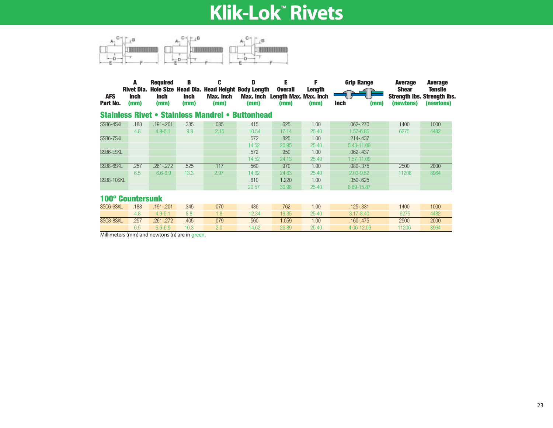

| <b>AFS</b><br>Part No. | A<br>Rivet Dia.<br><b>Inch</b><br>(mm) | <b>Required</b><br><b>Inch</b><br>(mm) | В<br><b>Inch</b><br>(mm) | C<br>Hole Size Head Dia. Head Height Body Length<br><b>Max. Inch</b><br>(mm) | D<br>Max. Inch<br>(mm) | E<br><b>Overall</b><br><b>Length Max. Max. Inch</b><br>(mm) | F<br><b>Length</b><br>(mm) | <b>Grip Range</b><br><b>Inch</b><br>(mm) | <b>Average</b><br><b>Shear</b><br>(newtons) | <b>Average</b><br><b>Tensile</b><br><b>Strength Ibs. Strength Ibs.</b><br>(newtons) |
|------------------------|----------------------------------------|----------------------------------------|--------------------------|------------------------------------------------------------------------------|------------------------|-------------------------------------------------------------|----------------------------|------------------------------------------|---------------------------------------------|-------------------------------------------------------------------------------------|
|                        |                                        |                                        |                          | <b>Stainless Rivet • Stainless Mandrel • Buttonhead</b>                      |                        |                                                             |                            |                                          |                                             |                                                                                     |
| SSB6-4SKL              | .188                                   | $.191 - .201$                          | .385                     | .085                                                                         | .415                   | .625                                                        | 1.00                       | $.062 - .270$                            | 1400                                        | 1000                                                                                |
|                        | 4.8                                    | $4.9 - 5.1$                            | 9.8                      | 2.15                                                                         | 10.54                  | 17.14                                                       | 25.40                      | $1.57 - 6.85$                            | 6275                                        | 4482                                                                                |
| SSB6-7SKL              |                                        |                                        |                          |                                                                              | .572                   | .825                                                        | 1.00                       | $.214 - .437$                            |                                             |                                                                                     |
|                        |                                        |                                        |                          |                                                                              | 14.52                  | 20.95                                                       | 25.40                      | 5.43-11.09                               |                                             |                                                                                     |
| SSB6-ESKL              |                                        |                                        |                          |                                                                              | .572                   | .950                                                        | 1.00                       | $.062 - .437$                            |                                             |                                                                                     |
|                        |                                        |                                        |                          |                                                                              | 14.52                  | 24.13                                                       | 25.40                      | 1.57-11.09                               |                                             |                                                                                     |
| SSB8-6SKL              | .257                                   | $.261 - .272$                          | .525                     | .117                                                                         | .560                   | .970                                                        | 1.00                       | $.080 - .375$                            | 2500                                        | 2000                                                                                |
|                        | 6.5                                    | $6.6 - 6.9$                            | 13.3                     | 2.97                                                                         | 14.62                  | 24.63                                                       | 25.40                      | 2.03-9.52                                | 11206                                       | 8964                                                                                |
| SSB8-10SKL             |                                        |                                        |                          |                                                                              | .810                   | 1.220                                                       | 1.00                       | $.350 - .625$                            |                                             |                                                                                     |
|                        |                                        |                                        |                          |                                                                              | 20.57                  | 30.98                                                       | 25.40                      | 8.89-15.87                               |                                             |                                                                                     |
|                        | <b>100° Countersunk</b>                |                                        |                          |                                                                              |                        |                                                             |                            |                                          |                                             |                                                                                     |
| SSC6-6SKL              | .188                                   | $.191 - .201$                          | .345                     | .070                                                                         | .486                   | .762                                                        | 1.00                       | .125-.331                                | 1400                                        | 1000                                                                                |
|                        | 4.8                                    | $4.9 - 5.1$                            | 8.8                      | 1.8                                                                          | 12.34                  | 19.35                                                       | 25.40                      | $3.17 - 8.40$                            | 6275                                        | 4482                                                                                |
| SSC8-8SKL              | .257                                   | $.261 - .272$                          | .405                     | .079                                                                         | .560                   | 1.059                                                       | 1.00                       | $.160 - .475$                            | 2500                                        | 2000                                                                                |
|                        | 6.5                                    | $6.6 - 6.9$                            | 10.3                     | 2.0                                                                          | 14.62                  | 26.89                                                       | 25.40                      | 4.06-12.06                               | 11206                                       | 8964                                                                                |

Millimeters (mm) and newtons (n) are in green.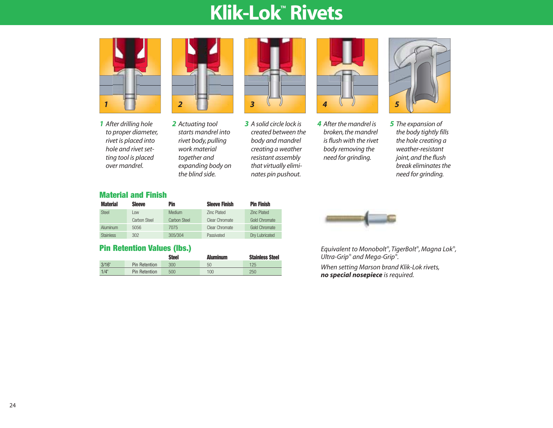

*1 After drilling hole to proper diameter, rivet is placed into hole and rivet setting tool is placed over mandrel.*



*2 Actuating tool starts mandrel into rivet body, pulling work material together and expanding body on the blind side.*



*3 A solid circle lock is created between the body and mandrel creating a weather resistant assembly that virtually eliminates pin pushout.*



*4 After the mandrel is broken, the mandrel is flush with the rivet body removing the need for grinding.*



*5 The expansion of the body tightly fills the hole creating a weather-resistant joint, and the flush break eliminates the need for grinding.*

#### **Material and Finish**

| <b>Material</b>  | <b>Sleeve</b> | Pin          | <b>Sleeve Finish</b> | <b>Pin Finish</b>    |
|------------------|---------------|--------------|----------------------|----------------------|
| Steel            | $1$ OW        | Medium       | <b>Zinc Plated</b>   | <b>Zinc Plated</b>   |
|                  | Carbon Steel  | Carbon Steel | Clear Chromate       | Gold Chromate        |
| Aluminum         | 5056          | 7075         | Clear Chromate       | <b>Gold Chromate</b> |
| <b>Stainless</b> | 302           | 305/304      | Passivated           | Drv Lubricated       |

### **Pin Retention Values (lbs.)**

|       |               | <b>Steel</b> | <b>Aluminum</b> | <b>Stainless Steel</b> |
|-------|---------------|--------------|-----------------|------------------------|
| 3/16" | Pin Retention | 300          | 50              | 125                    |
| 1/4"  | Pin Retention | 500          | 100             | 250                    |



*Equivalent to Monobolt®, TigerBolt®, Magna Lok®, Ultra-Grip® and Mega-Grip®.*

*When setting Marson brand Klik-Lok rivets, no special nosepiece is required.*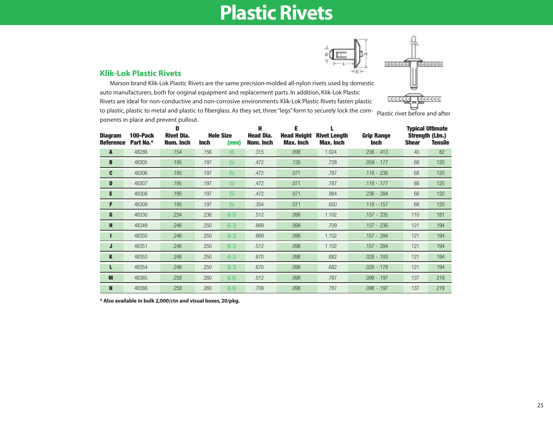## **Plastic Rivets**



#### **Klik-Lok Plastic Rivets**

Marson brand Klik-Lok Plastic Rivets are the same precision-molded all-nylon rivets used by domestic auto manufacturers, both for original equipment and replacement parts. In addition, Klik-Lok Plastic Rivets are ideal for non-conductive and non-corrosive environments. Klik-Lok Plastic Rivets fasten plastic to plastic, plastic to metal and plastic to fiberglass. As they set, three "legs" form to securely lock the com-<br>ponents in place and prevent pullout.

| <b>Diagram</b><br><b>Reference</b> | 100-Pack<br>Part No.* | D<br><b>Rivet Dia.</b><br>Nom. Inch | <b>Inch</b> | <b>Hole Size</b><br>(mm) | Н<br><b>Head Dia.</b><br>Nom. Inch | E<br><b>Head Height</b><br><b>Max. Inch</b> | <b>Rivet Length</b><br><b>Max. Inch</b> | <b>Grip Range</b><br><b>Inch</b> | <b>Shear</b> | <b>Typical Ultimate</b><br><b>Strength (Lbs.)</b><br><b>Tensile</b> |
|------------------------------------|-----------------------|-------------------------------------|-------------|--------------------------|------------------------------------|---------------------------------------------|-----------------------------------------|----------------------------------|--------------|---------------------------------------------------------------------|
| $\mathbf{A}$                       | 48286                 | .154                                | .156        | (4)                      | .315                               | .098                                        | 1.024                                   | $.236 - .413$                    | 40           | 82                                                                  |
| B                                  | 48305                 | .195                                | .197        | (5)                      | .472                               | .130                                        | .728                                    | $.059 - .177$                    | 68           | 120                                                                 |
| C                                  | 48306                 | .195                                | .197        | (5)                      | .472                               | .071                                        | .787                                    | $.118 - .236$                    | 68           | 120                                                                 |
| D                                  | 48307                 | .195                                | .197        | (5)                      | .472                               | .071                                        | .787                                    | $.118 - .177$                    | 68           | 120                                                                 |
| Е                                  | 48308                 | .195                                | .197        | (5)                      | .472                               | .071                                        | .984                                    | $.236 - .394$                    | 68           | 120                                                                 |
| F                                  | 48309                 | .195                                | .197        | (5)                      | .354                               | .071                                        | .650                                    | $.118 - .157$                    | 68           | 120                                                                 |
| G                                  | 48330                 | .234                                | .236        | (6.0)                    | .512                               | .098                                        | 1.102                                   | $.157 - .335$                    | 110          | 181                                                                 |
| H                                  | 48349                 | .246                                | .250        | (6.3)                    | .669                               | .098                                        | .709                                    | $.157 - .236$                    | 121          | 194                                                                 |
|                                    | 48350                 | .246                                | .250        | (6.3)                    | .669                               | .098                                        | 1.102                                   | $.157 - .394$                    | 121          | 194                                                                 |
| J                                  | 48351                 | .246                                | .250        | (6.3)                    | .512                               | .098                                        | 1.102                                   | $.157 - .394$                    | 121          | 194                                                                 |
| $\mathbf K$                        | 48353                 | .246                                | .250        | (6.3)                    | .670                               | .098                                        | .682                                    | $.028 - .193$                    | 121          | 194                                                                 |
| L                                  | 48354                 | .246                                | .250        | (6.3)                    | .670                               | .098                                        | .682                                    | $.028 - .178$                    | 121          | 194                                                                 |
| M                                  | 48385                 | .258                                | .260        | (6.6)                    | .512                               | .098                                        | .787                                    | $.098 - .197$                    | 137          | 219                                                                 |
| N                                  | 48386                 | .258                                | .260        | (6.6)                    | .709                               | .098                                        | .787                                    | .098 - .197                      | 137          | 219                                                                 |

**\* Also available in bulk 2,000/ctn and visual boxes, 20/pkg.**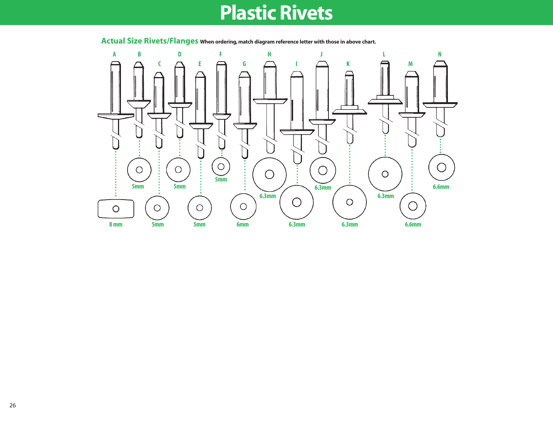## **Plastic Rivets**



**Actual Size Rivets/Flanges When ordering, match diagram reference letter with those in above chart.**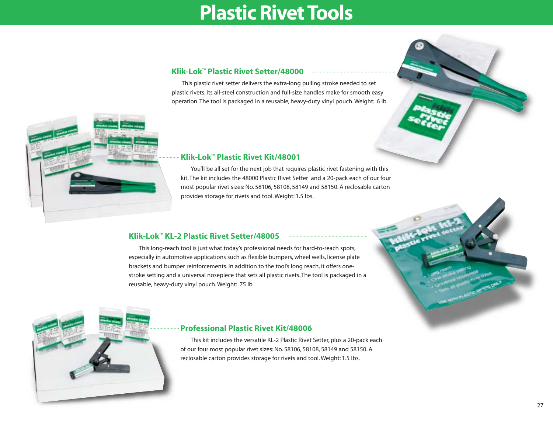## **Plastic Rivet Tools**

#### **Klik-Lok™ Plastic Rivet Setter/48000**

This plastic rivet setter delivers the extra-long pulling stroke needed to set plastic rivets. Its all-steel construction and full-size handles make for smooth easy operation. The tool is packaged in a reusable, heavy-duty vinyl pouch. Weight: .6 lb.



#### **Klik-Lok™ Plastic Rivet Kit/48001**

You'll be all set for the next job that requires plastic rivet fastening with this kit. The kit includes the 48000 Plastic Rivet Setter and a 20-pack each of our four most popular rivet sizes: No. 58106, 58108, 58149 and 58150. A reclosable carton provides storage for rivets and tool. Weight: 1.5 lbs.

### **Klik-Lok™ KL-2 Plastic Rivet Setter/48005**

This long-reach tool is just what today's professional needs for hard-to-reach spots, especially in automotive applications such as flexible bumpers, wheel wells, license plate brackets and bumper reinforcements. In addition to the tool's long reach, it offers onestroke setting and a universal nosepiece that sets all plastic rivets. The tool is packaged in a reusable, heavy-duty vinyl pouch. Weight: .75 lb.



#### **Professional Plastic Rivet Kit/48006**

This kit includes the versatile KL-2 Plastic Rivet Setter, plus a 20-pack each of our four most popular rivet sizes: No. 58106, 58108, 58149 and 58150. A reclosable carton provides storage for rivets and tool. Weight: 1.5 lbs.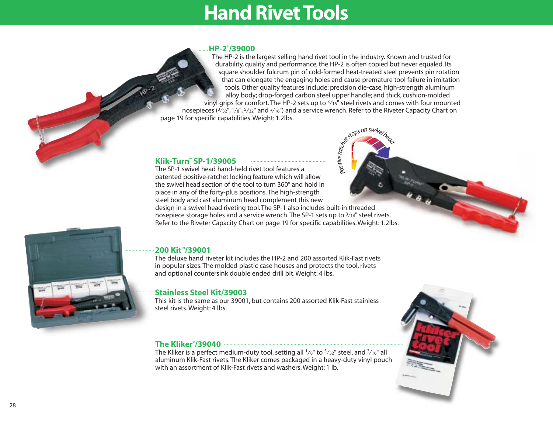## **Hand Rivet Tools**

#### **HP-2®/39000**

The HP-2 is the largest selling hand rivet tool in the industry. Known and trusted for durability, quality and performance, the HP-2 is often copied but never equaled. Its square shoulder fulcrum pin of cold-formed heat-treated steel prevents pin rotation that can elongate the engaging holes and cause premature tool failure in imitation tools. Other quality features include: precision die-case, high-strength aluminum alloy body; drop-forged carbon steel upper handle; and thick, cushion-molded vinyl grips for comfort. The HP-2 sets up to  $\frac{3}{16}$ " steel rivets and comes with four mounted nosepieces  $(3/32'')$ ,  $1/8''$ ,  $5/32''$  and  $3/16''$ ) and a service wrench. Refer to the Riveter Capacity Chart on page 19 for specific capabilities. Weight: 1.2lbs.

*vi e*

*r*<sub>a</sub><br>*r*<sub>a</sub><br>*g*</sup>*<i><i>f***<sub>d</sub></sup>***f***<sub>***s***</sub>** 

### **Klik-Turn™ SP-1/39005**

The SP-1 swivel head hand-held rivet tool features a patented positive-ratchet locking feature which will allow the swivel head section of the tool to turn 360° and hold in place in any of the forty-plus positions. The high-strength steel body and cast aluminum head complement this new design in a swivel head riveting tool. The SP-1 also includes built-in threaded nosepiece storage holes and a service wrench. The SP-1 sets up to  $\frac{3}{16}$ " steel rivets. Refer to the Riveter Capacity Chart on page 19 for specific capabilities. Weight: 1.2lbs. *Posit*



### **200 Kit™/39001**

The deluxe hand riveter kit includes the HP-2 and 200 assorted Klik-Fast rivets in popular sizes. The molded plastic case houses and protects the tool, rivets and optional countersink double ended drill bit. Weight: 4 lbs.

### **Stainless Steel Kit/39003**

This kit is the same as our 39001, but contains 200 assorted Klik-Fast stainless steel rivets. Weight: 4 lbs.

#### **The Kliker®/39040**

The Kliker is a perfect medium-duty tool, setting all  $\frac{1}{8}$ " to  $\frac{5}{32}$ " steel, and  $\frac{3}{16}$ " all aluminum Klik-Fast rivets. The Kliker comes packaged in a heavy-duty vinyl pouch with an assortment of Klik-Fast rivets and washers. Weight: 1 lb.

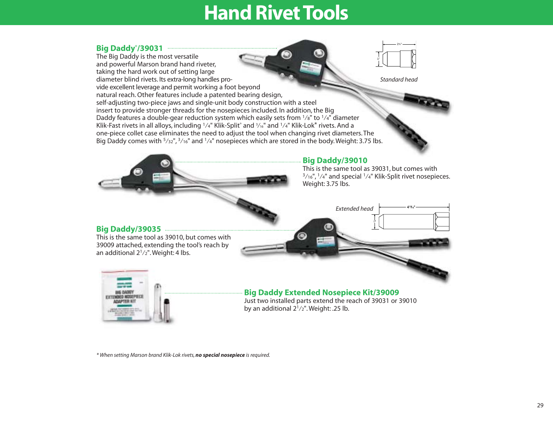## **Hand Rivet Tools**

#### **Big Daddy®/39031**

The Big Daddy is the most versatile and powerful Marson brand hand riveter, taking the hard work out of setting large diameter blind rivets. Its extra-long handles provide excellent leverage and permit working a foot beyond natural reach. Other features include a patented bearing design, self-adjusting two-piece jaws and single-unit body construction with a steel insert to provide stronger threads for the nosepieces included. In addition, the Big Daddy features a double-gear reduction system which easily sets from  $\frac{1}{8}$ " to  $\frac{1}{4}$ " diameter Klik-Fast rivets in all alloys, including 1/4" Klik-Split<sup>®</sup> and <sup>3</sup>/<sub>16</sub>" and <sup>1</sup>/4" Klik-Lok<sup>\*</sup> rivets. And a one-piece collet case eliminates the need to adjust the tool when changing rivet diameters. The Big Daddy comes with  $\frac{5}{32}$ ",  $\frac{3}{16}$ " and  $\frac{1}{4}$ " nosepieces which are stored in the body. Weight: 3.75 lbs.



1"

21⁄4"



#### **Big Daddy/39035**

This is the same tool as 39010, but comes with 39009 attached, extending the tool's reach by an additional 21⁄2". Weight: 4 lbs.



### **Big Daddy Extended Nosepiece Kit/39009**

Just two installed parts extend the reach of 39031 or 39010 by an additional  $2^{1}/2$ ". Weight: .25 lb.

*\* When setting Marson brand Klik-Lok rivets, no special nosepiece is required.*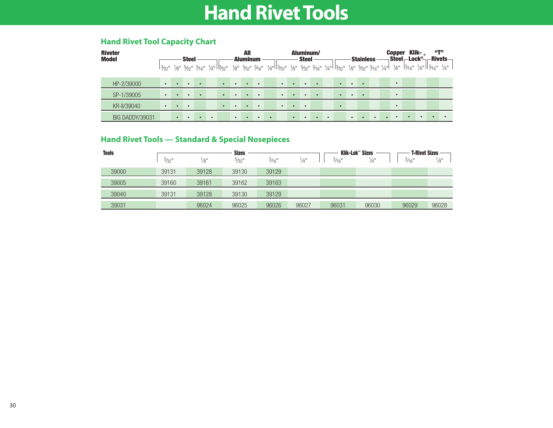## **Hand Rivet Tools**

### **Hand Rivet Tool Capacity Chart**

| <b>Riveter</b><br><b>Model</b> |           |           | <b>Steel</b> |           |                                                                                                                                                         |           | All<br><b>Aluminum</b> |           |           |           |           | Aluminum/<br><b>Steel</b> |           |           |           | <b>Stainless</b> |           | <b>Copper</b> | $\sf \$ Steel $\sf -Lock^{\circ}\!\!-\!\!$ | Klik- $\mathbb{R}$ | $\mathbf{u}$ | $-$ Rivets $-$ |
|--------------------------------|-----------|-----------|--------------|-----------|---------------------------------------------------------------------------------------------------------------------------------------------------------|-----------|------------------------|-----------|-----------|-----------|-----------|---------------------------|-----------|-----------|-----------|------------------|-----------|---------------|--------------------------------------------|--------------------|--------------|----------------|
|                                |           |           |              |           | 13/32" 36" 5/32" 3/16" 3/4" 13/32" 3/6" 5/32" 3/16" 3/4" 13/32" 3/6" 5/32" 3/16" 3/4" 13/32" 3/16" 5/32" 3/16" 3/4"  3/16" 3/16" 3/16" 3/4" 13/16" 3/4" |           |                        |           |           |           |           |                           |           |           |           |                  |           |               |                                            |                    |              |                |
| HP-2/39000                     |           | $\bullet$ |              | $\bullet$ | $\bullet$                                                                                                                                               | $\bullet$ | $\bullet$              | $\bullet$ |           | $\bullet$ | $\bullet$ | $\bullet$                 |           | $\bullet$ | $\bullet$ | -                |           | $\bullet$     |                                            |                    |              |                |
| SP-1/39005                     | $\bullet$ | $\bullet$ |              | $\bullet$ | $\bullet$                                                                                                                                               | $\bullet$ | $\bullet$              | $\bullet$ |           | $\bullet$ | $\bullet$ | $\bullet$                 |           | $\bullet$ | $\bullet$ | . .              |           | $\bullet$     |                                            |                    |              |                |
| KR-II/39040                    |           | $\bullet$ | $\bullet$    |           | $\bullet$                                                                                                                                               | $\bullet$ | $\bullet$              | $\bullet$ |           | $\bullet$ | $\bullet$ | $\bullet$                 |           |           |           |                  |           | $\bullet$     |                                            |                    |              |                |
| BIG DADDY/39031                |           | $\bullet$ | $\bullet$    | $\bullet$ |                                                                                                                                                         | $\bullet$ | $\bullet$              | $\bullet$ | $\bullet$ |           | $\bullet$ | $\bullet$                 | $\bullet$ |           | $\bullet$ | $\bullet$        | $\bullet$ | $\bullet$     | $\bullet$                                  |                    | $\bullet$    |                |

### **Hand Rivet Tools — Standard & Special Nosepieces**

| <b>Tools</b> |       |                 | <b>Sizes</b>     |                  |               | Klik-Lok™ Sizes  | <b>T-Rivet Sizes</b> |                  |                 |
|--------------|-------|-----------------|------------------|------------------|---------------|------------------|----------------------|------------------|-----------------|
|              | 3/32  | $\frac{1}{8}$ " | $\frac{5}{32}$ " | $\frac{3}{16}$ " | $\frac{1}{4}$ | $\frac{3}{16}$ " | $\frac{1}{4}$ "      | $\frac{3}{16}$ " | $\frac{1}{4}$ " |
| 39000        | 39131 | 39128           | 39130            | 39129            |               |                  |                      |                  |                 |
| 39005        | 39160 | 39161           | 39162            | 39163            |               |                  |                      |                  |                 |
| 39040        | 39131 | 39128           | 39130            | 39129            |               |                  |                      |                  |                 |
| 39031        |       | 96024           | 96025            | 96026            | 96027         | 96031            | 96030                | 96029            | 96028           |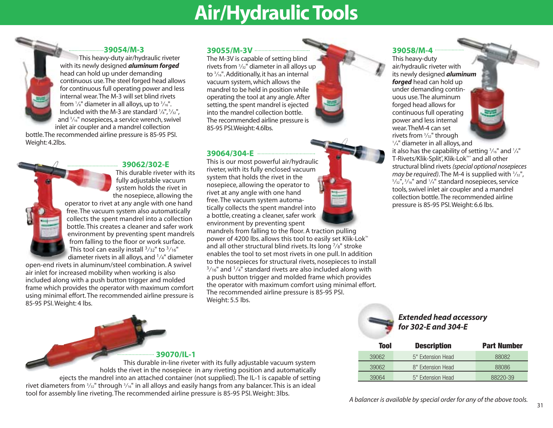## **Air/Hydraulic Tools**

#### **39054/M-3**

This heavy-duty air/hydraulic riveter with its newly designed *aluminum forged* head can hold up under demanding continuous use.The steel forged head allows for continuous full operating power and less internal wear.The M-3 will set blind rivets from  $\frac{1}{8}$ " diameter in all alloys, up to  $\frac{3}{16}$ ". Included with the M-3 are standard 1 ⁄8", <sup>5</sup> ⁄32", and 3 ⁄16" nosepieces, a service wrench, swivel inlet air coupler and a mandrel collection

bottle.The recommended airline pressure is 85-95 PSI. Weight: 4.2lbs.

#### **39062/302-E**

This durable riveter with its fully adjustable vacuum system holds the rivet in the nosepiece, allowing the operator to rivet at any angle with one hand free.The vacuum system also automatically collects the spent mandrel into a collection bottle. This creates a cleaner and safer work environment by preventing spent mandrels from falling to the floor or work surface. This tool can easily install  $3/32$ " to  $3/16$ " diameter rivets in all alloys, and 1⁄4" diameter

open-end rivets in aluminum/steel combination. A swivel air inlet for increased mobility when working is also included along with a push button trigger and molded frame which provides the operator with maximum comfort using minimal effort. The recommended airline pressure is 85-95 PSI. Weight: 4 lbs.

### **39055/M-3V**

The M-3V is capable of setting blind rivets from 3 ⁄32" diameter in all alloys up to <sup>3</sup> ⁄16". Additionally, it has an internal vacuum system, which allows the mandrel to be held in position while operating the tool at any angle. After setting, the spent mandrel is ejected into the mandrel collection bottle. The recommended airline pressure is 85-95 PSI.Weight: 4.6lbs.

#### **39064/304-E**

This is our most powerful air/hydraulic riveter, with its fully enclosed vacuum system that holds the rivet in the nosepiece, allowing the operator to rivet at any angle with one hand free. The vacuum system automatically collects the spent mandrel into a bottle, creating a cleaner, safer work environment by preventing spent

mandrels from falling to the floor. A traction pulling power of 4200 lbs. allows this tool to easily set Klik-Lok™ and all other structural blind rivets. Its long 7 ⁄8" stroke enables the tool to set most rivets in one pull. In addition to the nosepieces for structural rivets, nosepieces to install  $3/16$ " and  $1/4$ " standard rivets are also included along with a push button trigger and molded frame which provides the operator with maximum comfort using minimal effort. The recommended airline pressure is 85-95 PSI. Weight: 5.5 lbs.



### **39058/M-4**

This heavy-duty air/hydraulic riveter with its newly designed *aluminum forged* head can hold up under demanding continuous use.The aluminum forged head allows for continuous full operating power and less internal wear.TheM-4 can set rivets from 3 ⁄32" through



#### 1 ⁄4" diameter in all alloys, and it also has the capability of setting  $\frac{3}{16}$ " and  $\frac{1}{4}$ " T-Rivets/Klik-Split®, Klik-Lok™\* and all other structural blind rivets *(special optional nosepieces may be required)*. The M-4 is supplied with 3 ⁄32",  $5/$ <sub>32</sub>",  $3/$ <sub>16</sub>" and  $1/$ 4" standard nosepieces, service tools, swivel inlet air coupler and a mandrel collection bottle.The recommended airline pressure is 85-95 PSI.Weight: 6.6 lbs.



*Extended head accessory for 302-E and 304-E*

| Tool  | <b>Description</b> | <b>Part Number</b> |
|-------|--------------------|--------------------|
| 39062 | 5" Extension Head  | 88082              |
| 39062 | 8" Extension Head  | 88086              |
| 39064 | 5" Extension Head  | 88220-39           |

**39070/IL-1**

This durable in-line riveter with its fully adjustable vacuum system holds the rivet in the nosepiece in any riveting position and automatically ejects the mandrel into an attached container (not supplied). The IL-1 is capable of setting rivet diameters from  $^3\!/_{2}$ " through  $^3\!/\!_{6}$ " in all alloys and easily hangs from any balancer. This is an ideal tool for assembly line riveting. The recommended airline pressure is 85-95 PSI. Weight: 3lbs. *A balancer is available by special order for any of the above tools.*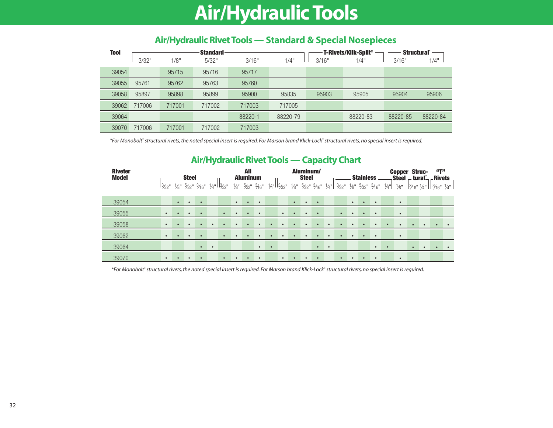## **Air/Hydraulic Tools**

| <b>Tool</b> |        |        | <b>Standard</b> |         |          |       | T-Rivets/Klik-Split® | Structural' |          |  |
|-------------|--------|--------|-----------------|---------|----------|-------|----------------------|-------------|----------|--|
|             | 3/32"  | 1/8"   | 5/32"           | 3/16"   | 1/4"     | 3/16" | 1/4"                 | 3/16"       | 1/4"     |  |
| 39054       |        | 95715  | 95716           | 95717   |          |       |                      |             |          |  |
| 39055       | 95761  | 95762  | 95763           | 95760   |          |       |                      |             |          |  |
| 39058       | 95897  | 95898  | 95899           | 95900   | 95835    | 95903 | 95905                | 95904       | 95906    |  |
| 39062       | 717006 | 717001 | 717002          | 717003  | 717005   |       |                      |             |          |  |
| 39064       |        |        |                 | 88220-1 | 88220-79 |       | 88220-83             | 88220-85    | 88220-84 |  |
| 39070       | 717006 | 717001 | 717002          | 717003  |          |       |                      |             |          |  |

### **Air/Hydraulic Rivet Tools — Standard & Special Nosepieces**

**\****For Monobolt® structural rivets, the noted special insert is required. For Marson brand Klick-Lock® structural rivets, no special insert is required.*

### **Air/Hydraulic Rivet Tools — Capacity Chart**

| <b>Riveter</b><br><b>Model</b> |           |           | <b>Steel</b> |           |                                                                                                                   |                 | All<br><b>Aluminum</b> |                                   |                                                          |           | Aluminum/<br><b>Steel</b> |           |           |           |           | <b>Stainless</b> |           |                 | <b>Copper Struc-</b><br><b>Steel</b> |             | <b>tural</b> ∟ | ``T"<br>-Rivets                  |  |
|--------------------------------|-----------|-----------|--------------|-----------|-------------------------------------------------------------------------------------------------------------------|-----------------|------------------------|-----------------------------------|----------------------------------------------------------|-----------|---------------------------|-----------|-----------|-----------|-----------|------------------|-----------|-----------------|--------------------------------------|-------------|----------------|----------------------------------|--|
|                                |           |           |              |           | 13 <sub>32</sub> " 1 <sub>/8</sub> " 5 <sub>/32</sub> " 3 <sub>/16</sub> " 1 <sub>/4</sub> " 113 <sub>/32</sub> " | $\frac{1}{8}$ " |                        | $\frac{5}{32}$ " $\frac{3}{16}$ " | 14"  3/32" 1/8" 5/32" 3/16" 1/4"  3/32" 1/8" 5/32" 3/16" |           |                           |           |           |           |           |                  |           | $\frac{1}{4}$ " | $\frac{1}{8}$ "                      | $3/6"$ 1/4" |                | $\frac{3}{16}$ " $\frac{1}{4}$ " |  |
| 39054                          |           | $\bullet$ | $\bullet$    | $\bullet$ |                                                                                                                   | $\bullet$       | $\bullet$              | $\bullet$                         |                                                          | $\bullet$ | $\bullet$                 | $\bullet$ |           |           | $\bullet$ | $\bullet$        | $\bullet$ |                 | $\bullet$                            |             |                |                                  |  |
| 39055                          | $\bullet$ | $\bullet$ | $\bullet$    | $\bullet$ | $\bullet$                                                                                                         | $\bullet$       | $\bullet$              | $\bullet$                         | $\bullet$                                                |           | $\bullet$                 | $\bullet$ |           | $\bullet$ | $\bullet$ | $\bullet$        | $\bullet$ |                 | $\bullet$                            |             |                |                                  |  |
| 39058                          | $\bullet$ |           |              | $\bullet$ |                                                                                                                   |                 | $\bullet$              | ٠                                 | $\bullet$                                                |           | $\bullet$                 |           |           |           |           | $\bullet$        |           |                 |                                      |             | $\bullet$      |                                  |  |
| 39062                          | $\bullet$ | $\bullet$ | $\bullet$    | $\bullet$ | $\bullet$                                                                                                         | $\bullet$       | $\bullet$              | $\bullet$                         | $\bullet$                                                |           | $\bullet$                 |           | $\bullet$ | $\bullet$ | $\bullet$ | $\bullet$        | $\bullet$ |                 | $\bullet$                            |             |                |                                  |  |
| 39064                          |           |           |              | $\bullet$ | $\bullet$                                                                                                         |                 |                        | $\bullet$                         | $\bullet$                                                |           |                           | $\bullet$ | $\bullet$ |           |           |                  | $\bullet$ | $\bullet$       |                                      |             |                |                                  |  |
| 39070                          | $\bullet$ | $\bullet$ | $\bullet$    | $\bullet$ | $\bullet$                                                                                                         | $\bullet$       | $\bullet$              | $\bullet$                         | $\bullet$                                                |           | $\bullet$                 | $\bullet$ |           | $\bullet$ | $\bullet$ | $\bullet$        | $\bullet$ |                 | $\bullet$                            |             |                |                                  |  |

**\****For Monobolt® structural rivets, the noted special insert is required. For Marson brand Klick-Lock® structural rivets, no special insert is required.*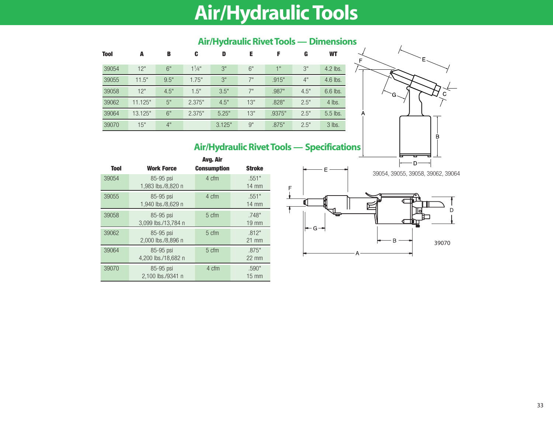# **Air/Hydraulic Tools**

| <b>Tool</b> | A       | B    | C           | D      | Е           |        | G    | <b>WT</b> |
|-------------|---------|------|-------------|--------|-------------|--------|------|-----------|
| 39054       | 12"     | 6"   | $1^{1}/4$ " | 3"     | 6"          | 4H     | 3"   | 4.2 lbs.  |
| 39055       | 11.5"   | 9.5" | 1.75"       | 3"     | $7^{\rm H}$ | .915"  | 4"   | 4.6 lbs.  |
| 39058       | 12"     | 4.5" | 1.5"        | 3.5"   | 7"          | .987"  | 4.5" | 6.6 lbs.  |
| 39062       | 11.125" | 5"   | 2.375"      | 4.5"   | 13"         | .828"  | 2.5" | 4 lbs.    |
| 39064       | 13.125" | 6"   | 2.375"      | 5.25"  | 13"         | .9375" | 2.5" | 5.5 lbs.  |
| 39070       | 15"     | 4"   |             | 3.125" | 9"          | .875"  | 2.5" | 3 lbs.    |

### **Air/Hydraulic Rivet Tools — Dimensions**

### **Air/Hydraulic Rivet Tools — Specifications**

|             |                                  | Avg. Air           |                          |
|-------------|----------------------------------|--------------------|--------------------------|
| <b>Tool</b> | <b>Work Force</b>                | <b>Consumption</b> | <b>Stroke</b>            |
| 39054       | 85-95 psi<br>1,983 lbs./8,820 n  | 4 cfm              | .551"<br>$14 \text{ mm}$ |
| 39055       | 85-95 psi<br>1,940 lbs./8,629 n  | 4 cfm              | .551"<br>$14 \text{ mm}$ |
| 39058       | 85-95 psi<br>3,099 lbs./13,784 n | 5 cfm              | .748"<br>$19 \text{ mm}$ |
| 39062       | 85-95 psi<br>2,000 lbs./8,896 n  | 5 cfm              | .812"<br>$21$ mm         |
| 39064       | 85-95 psi<br>4,200 lbs./18,682 n | 5 cfm              | .875"<br>$22 \text{ mm}$ |
| 39070       | 85-95 psi<br>2.100 lbs./9341 n   | 4 cfm              | .590"<br>$15 \text{ mm}$ |



C

B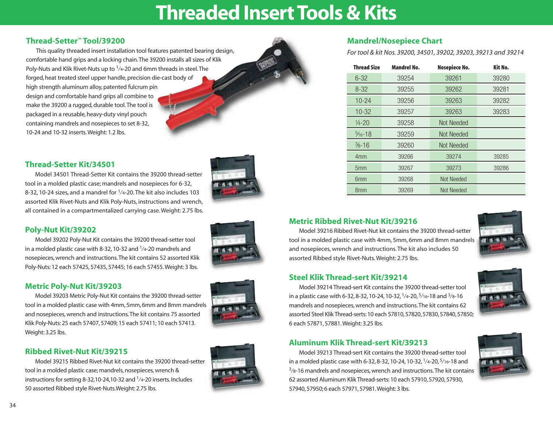## **Threaded Insert Tools & Kits**

### **Thread-Setter™ Tool/39200**

This quality threaded insert installation tool features patented bearing design, comfortable hand grips and a locking chain.The 39200 installs all sizes of Klik Poly-Nuts and Klik Rivet-Nuts up to  $1/4$ -20 and 6mm threads in steel. The forged, heat treated steel upper handle, precision die-cast body of high strength aluminum alloy, patented fulcrum pin design and comfortable hand grips all combine to make the 39200 a rugged, durable tool.The tool is packaged in a reusable, heavy-duty vinyl pouch containing mandrels and nosepieces to set 8-32, 10-24 and 10-32 inserts.Weight: 1.2 lbs.

### **Thread-Setter Kit/34501**

Model 34501 Thread-Setter Kit contains the 39200 thread-setter tool in a molded plastic case; mandrels and nosepieces for 6-32, 8-32, 10-24 sizes, and a mandrel for  $1/4$ -20. The kit also includes 103 assorted Klik Rivet-Nuts and Klik Poly-Nuts, instructions and wrench, all contained in a compartmentalized carrying case. Weight: 2.75 lbs.

### **Poly-Nut Kit/39202**

Model 39202 Poly-Nut Kit contains the 39200 thread-setter tool in a molded plastic case with 8-32, 10-32 and  $1/4$ -20 mandrels and nosepieces, wrench and instructions.The kit contains 52 assorted Klik Poly-Nuts: 12 each 57425, 57435, 57445; 16 each 57455.Weight: 3 lbs.

#### **Metric Poly-Nut Kit/39203**

Model 39203 Metric Poly-Nut Kit contains the 39200 thread-setter tool in a molded plastic case with 4mm, 5mm, 6mm and 8mm mandrels and nosepieces, wrench and instructions.The kit contains 75 assorted Klik Poly-Nuts: 25 each 57407, 57409; 15 each 57411; 10 each 57413. Weight: 3.25 lbs.

#### **Ribbed Rivet-Nut Kit/39215**

Model 39215 Ribbed Rivet-Nut kit contains the 39200 thread-setter tool in a molded plastic case; mandrels, nosepieces, wrench & instructions for setting 8-32,10-24,10-32 and  $1/4$ -20 inserts. Includes 50 assorted Ribbed style Rivet-Nuts.Weight: 2.75 lbs.



### **Mandrel/Nosepiece Chart**

*For tool & kit Nos. 39200, 34501, 39202, 39203, 39213 and 39214*

| <b>Thread Size</b>  | <b>Mandrel No.</b> | Nosepiece No. | Kit No. |
|---------------------|--------------------|---------------|---------|
| $6 - 32$            | 39254              | 39261         | 39280   |
| $8 - 32$            | 39255              | 39262         | 39281   |
| $10 - 24$           | 39256              | 39263         | 39282   |
| $10 - 32$           | 39257              | 39263         | 39283   |
| $\frac{1}{4} - 20$  | 39258              | Not Needed    |         |
| $\frac{5}{16} - 18$ | 39259              | Not Needed    |         |
| $\frac{3}{8} - 16$  | 39260              | Not Needed    |         |
| 4 <sub>mm</sub>     | 39266              | 39274         | 39285   |
| 5 <sub>mm</sub>     | 39267              | 39273         | 39286   |
| 6 <sub>mm</sub>     | 39268              | Not Needed    |         |
| 8 <sub>mm</sub>     | 39269              | Not Needed    |         |

### **Metric Ribbed Rivet-Nut Kit/39216**

Model 39216 Ribbed Rivet-Nut kit contains the 39200 thread-setter tool in a molded plastic case with 4mm, 5mm, 6mm and 8mm mandrels and nosepieces, wrench and instructions. The kit also includes 50 assorted Ribbed style Rivet-Nuts. Weight: 2.75 lbs.



### **Steel Klik Thread-sert Kit/39214**

Model 39214 Thread-sert Kit contains the 39200 thread-setter tool in a plastic case with 6-32, 8-32, 10-24, 10-32, 1⁄4-20, 5⁄16-18 and 3⁄8-16 mandrels and nosepieces, wrench and instructions.The kit contains 62 assorted Steel Klik Thread-serts: 10 each 57810, 57820, 57830, 57840, 57850; 6 each 57871, 57881.Weight: 3.25 lbs.



### **Aluminum Klik Thread-sert Kit/39213**

Model 39213 Thread-sert Kit contains the 39200 thread-setter tool in a molded plastic case with 6-32, 8-32, 10-24, 10-32, 1⁄4-20, 5⁄16-18 and  $3$ / $8$ -16 mandrels and nosepieces, wrench and instructions. The kit contains 62 assorted Aluminum Klik Thread-serts: 10 each 57910, 57920, 57930, 57940, 57950; 6 each 57971, 57981.Weight: 3 lbs.

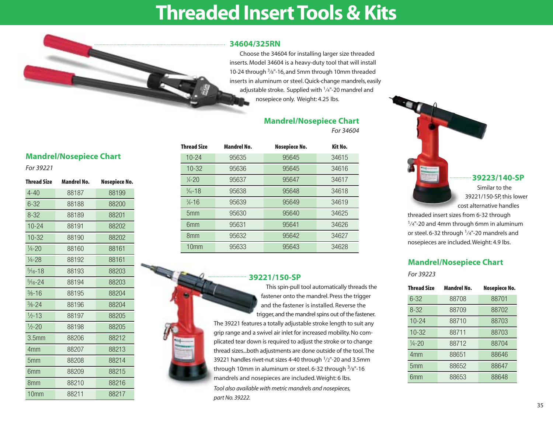### **Threaded Insert Tools & Kits**



Choose the 34604 for installing larger size threaded inserts. Model 34604 is a heavy-duty tool that will install 10-24 through 3⁄8"-16, and 5mm through 10mm threaded inserts in aluminum or steel. Quick-change mandrels, easily adjustable stroke. Supplied with  $1/4$ "-20 mandrel and nosepiece only. Weight: 4.25 lbs.

### **Mandrel/Nosepiece Chart**

*For 34604*

| For 39221           |                    |               |   |
|---------------------|--------------------|---------------|---|
| Thread Size         | <b>Mandrel No.</b> | Nosepiece No. |   |
| $4 - 40$            | 88187              | 88199         |   |
| $6 - 32$            | 88188              | 88200         |   |
| $8 - 32$            | 88189              | 88201         |   |
| $10 - 24$           | 88191              | 88202         |   |
| $10 - 32$           | 88190              | 88202         |   |
| $1/4 - 20$          | 88160              | 88161         |   |
| $\frac{1}{4} - 28$  | 88192              | 88161         |   |
| $\frac{5}{16} - 18$ | 88193              | 88203         | ⋐ |
| $\frac{5}{16} - 24$ | 88194              | 88203         |   |
| $\frac{3}{8} - 16$  | 88195              | 88204         |   |
| $\frac{3}{8} - 24$  | 88196              | 88204         |   |
| $1/2 - 13$          | 88197              | 88205         |   |
| $\frac{1}{2} - 20$  | 88198              | 88205         |   |
| 3.5 <sub>mm</sub>   | 88206              | 88212         |   |
| 4mm                 | 88207              | 88213         |   |
| 5 <sub>mm</sub>     | 88208              | 88214         |   |
| 6 <sub>mm</sub>     | 88209              | 88215         |   |
| 8 <sub>mm</sub>     | 88210              | 88216         |   |
| 10 <sub>mm</sub>    | 88211              | 88217         |   |

**Mandrel/Nosepiece Chart**

| <b>Thread Size</b>  | <b>Mandrel No.</b> | Nosepiece No. | Kit No. |
|---------------------|--------------------|---------------|---------|
| $10 - 24$           | 95635              | 95645         | 34615   |
| $10-32$             | 95636              | 95645         | 34616   |
| $\frac{1}{4} - 20$  | 95637              | 95647         | 34617   |
| $\frac{5}{16} - 18$ | 95638              | 95648         | 34618   |
| $\frac{3}{8} - 16$  | 95639              | 95649         | 34619   |
| 5 <sub>mm</sub>     | 95630              | 95640         | 34625   |
| 6 <sub>mm</sub>     | 95631              | 95641         | 34626   |
| 8 <sub>mm</sub>     | 95632              | 95642         | 34627   |
| 10 <sub>mm</sub>    | 95633              | 95643         | 34628   |

#### **39221/150-SP**

This spin-pull tool automatically threads the fastener onto the mandrel. Press the trigger and the fastener is installed. Reverse the trigger, and the mandrel spins out of the fastener. The 39221 features a totally adjustable stroke length to suit any grip range and a swivel air inlet for increased mobility. No complicated tear down is required to adjust the stroke or to change thread sizes...both adjustments are done outside of the tool.The 39221 handles rivet-nut sizes 4-40 through 1⁄2"-20 and 3.5mm through 10mm in aluminum or steel. 6-32 through  $\frac{3}{8}$ "-16 mandrels and nosepieces are included. Weight: 6 lbs. *Tool also available with metric mandrels and nosepieces, part No. 39222.*



cost alternative handles  $1/4$ "-20 and 4mm through 6mm in aluminum

or steel. 6-32 through  $1/4$ "-20 mandrels and nosepieces are included. Weight: 4.9 lbs.

### **Mandrel/Nosepiece Chart**

*For 39223*

| <b>Thread Size</b> | <b>Mandrel No.</b> | Nosepiece No. |
|--------------------|--------------------|---------------|
| $6 - 32$           | 88708              | 88701         |
| $8 - 32$           | 88709              | 88702         |
| $10 - 24$          | 88710              | 88703         |
| $10 - 32$          | 88711              | 88703         |
| $\frac{1}{4} - 20$ | 88712              | 88704         |
| 4 <sub>mm</sub>    | 88651              | 88646         |
| 5 <sub>mm</sub>    | 88652              | 88647         |
| 6mm                | 88653              | 88648         |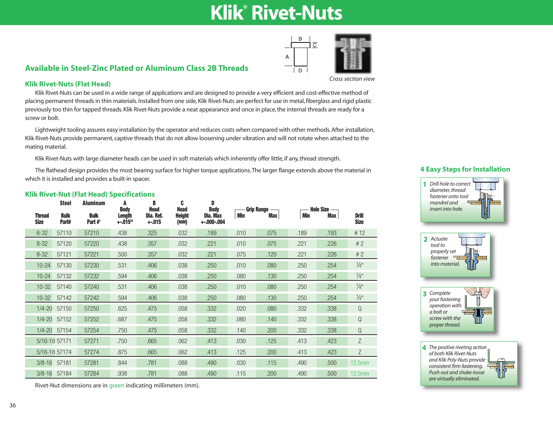## **Klik® Rivet-Nuts**



### **Available in Steel-Zinc Plated or Aluminum Class 2B Threads**

*Cross section view*

#### **Klik Rivet-Nuts (Flat Head)**

Klik Rivet-Nuts can be used in a wide range of applications and are designed to provide a very efficient and cost-effective method of placing permanent threads in thin materials. Installed from one side, Klik Rivet-Nuts are perfect for use in metal, fiberglass and rigid plastic previously too thin for tapped threads. Klik Rivet-Nuts provide a neat appearance and once in place, the internal threads are ready for a screw or bolt.

Lightweight tooling assures easy installation by the operator and reduces costs when compared with other methods. After installation, Klik Rivet-Nuts provide permanent, captive threads that do not allow loosening under vibration and will not rotate when attached to the mating material.

Klik Rivet-Nuts with large diameter heads can be used in soft materials which inherently offer little, if any, thread strength.

The flathead design provides the most bearing surface for higher torque applications.The larger flange extends above the material in which it is installed and provides a built-in spacer.

|                              | <b>Steel</b>         | <b>Aluminum</b>          | A<br><b>Body</b>   | B<br><b>Head</b>     | C<br><b>Head</b>       | D<br><b>Body</b>         |      | - Grip Range — |            | — Hole Size - |                             |
|------------------------------|----------------------|--------------------------|--------------------|----------------------|------------------------|--------------------------|------|----------------|------------|---------------|-----------------------------|
| <b>Thread</b><br><b>Size</b> | <b>Bulk</b><br>Part# | <b>Bulk</b><br>Part $#1$ | Length<br>$+.015"$ | Dia. Ref.<br>$+.015$ | <b>Height</b><br>(NOM) | Dia. Max<br>$+.000-.004$ | Min  | <b>Max</b>     | <b>Min</b> | Max           | <b>Drill</b><br><b>Size</b> |
| $6 - 32$                     | 57110                | 57210                    | .438               | .325                 | .032                   | .189                     | .010 | .075           | .189       | .193          | #12                         |
| $8 - 32$                     | 57120                | 57220                    | .438               | .357                 | .032                   | .221                     | .010 | .075           | .221       | .226          | #2                          |
| $8 - 32$                     | 57121                | 57221                    | .500               | .357                 | .032                   | .221                     | .075 | .120           | .221       | .226          | #2                          |
| $10 - 24$                    | 57130                | 57230                    | .531               | .406                 | .038                   | .250                     | .010 | .080           | .250       | .254          | $\frac{1}{4}$ "             |
| $10 - 24$                    | 57132                | 57232                    | .594               | .406                 | .038                   | .250                     | .080 | .130           | .250       | .254          | $\frac{1}{4}$ "             |
| $10-32$                      | 57140                | 57240                    | .531               | .406                 | .038                   | .250                     | .010 | .080           | .250       | .254          | $\frac{1}{4}$ "             |
| $10-32$                      | 57142                | 57242                    | .594               | .406                 | .038                   | .250                     | .080 | .130           | .250       | .254          | $\frac{1}{4}$ "             |
| $1/4 - 20$                   | 57150                | 57250                    | .625               | .475                 | .058                   | .332                     | .020 | .080           | .332       | .338          | ${\mathbb Q}$               |
| $1/4 - 20$                   | 57152                | 57252                    | .687               | .475                 | .058                   | .332                     | .080 | .140           | .332       | .338          | $\mathsf Q$                 |
|                              | 1/4-20 57154         | 57254                    | .750               | .475                 | .058                   | .332                     | .140 | .200           | .332       | .338          | $\Omega$                    |
|                              | 5/16-18 57171        | 57271                    | .750               | .665                 | .062                   | .413                     | .030 | .125           | .413       | .423          | Z                           |
|                              | 5/16-18 57174        | 57274                    | .875               | .665                 | .062                   | .413                     | .125 | .200           | .413       | .423          | $\mathsf Z$                 |
|                              | 3/8-16 57181         | 57281                    | .844               | .781                 | .088                   | .490                     | .030 | .115           | .490       | .500          | 12.5mm                      |
|                              | 3/8-16 57184         | 57284                    | .938               | .781                 | .088                   | .490                     | .115 | .200           | .490       | .500          | $12.5$ mm                   |

#### **Klik Rivet-Nut (Flat Head) Specifications**

#### **4 Easy Steps for Installation**







*The positive riveting action*  **4***of both Klik Rivet-Nuts and Klik Poly-Nuts provide consistent firm fastening. Push-out and shake-loose are virtually eliminated.*

Rivet-Nut dimensions are in green indicating millimeters (mm).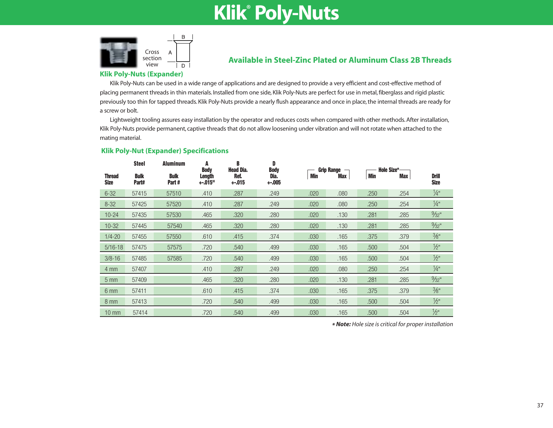## **Klik® Poly-Nuts**



### **Available in Steel-Zinc Plated or Aluminum Class 2B Threads**

#### **Klik Poly-Nuts (Expander)**

Klik Poly-Nuts can be used in a wide range of applications and are designed to provide a very efficient and cost-effective method of placing permanent threads in thin materials. Installed from one side, Klik Poly-Nuts are perfect for use in metal, fiberglass and rigid plastic previously too thin for tapped threads. Klik Poly-Nuts provide a nearly flush appearance and once in place, the internal threads are ready for a screw or bolt.

Lightweight tooling assures easy installation by the operator and reduces costs when compared with other methods. After installation, Klik Poly-Nuts provide permanent, captive threads that do not allow loosening under vibration and will not rotate when attached to the mating material.

#### **Klik Poly-Nut (Expander) Specifications**

|                              | <b>Steel</b>         | <b>Aluminum</b>      | A<br><b>Body</b>          | B<br><b>Head Dia.</b> | D<br><b>Body</b> | Grip Range $\neg$ |            | Hole Size*- |            |                             |
|------------------------------|----------------------|----------------------|---------------------------|-----------------------|------------------|-------------------|------------|-------------|------------|-----------------------------|
| <b>Thread</b><br><b>Size</b> | <b>Bulk</b><br>Part# | <b>Bulk</b><br>Part# | <b>Length</b><br>$+.015"$ | Ref.<br>$+.015$       | Dia.<br>$+.005$  | Min               | <b>Max</b> | <b>Min</b>  | <b>Max</b> | <b>Drill</b><br><b>Size</b> |
| $6 - 32$                     | 57415                | 57510                | .410                      | .287                  | .249             | .020              | .080       | .250        | .254       | $\frac{1}{4}$ "             |
| $8 - 32$                     | 57425                | 57520                | .410                      | .287                  | .249             | .020              | .080       | .250        | .254       | $\frac{1}{4}$ "             |
| $10 - 24$                    | 57435                | 57530                | .465                      | .320                  | .280             | .020              | .130       | .281        | .285       | $\frac{9}{32}$ "            |
| $10-32$                      | 57445                | 57540                | .465                      | .320                  | .280             | .020              | .130       | .281        | .285       | $\frac{9}{32}$ "            |
| $1/4 - 20$                   | 57455                | 57550                | .610                      | .415                  | .374             | .030              | .165       | .375        | .379       | $\frac{3}{8}$ "             |
| $5/16 - 18$                  | 57475                | 57575                | .720                      | .540                  | .499             | .030              | .165       | .500        | .504       | $\frac{1}{2}$ "             |
| $3/8 - 16$                   | 57485                | 57585                | .720                      | .540                  | .499             | .030              | .165       | .500        | .504       | $\frac{1}{2}$ "             |
| $4 \text{ mm}$               | 57407                |                      | .410                      | .287                  | .249             | .020              | .080       | .250        | .254       | $\frac{1}{4}$ "             |
| $5 \, \text{mm}$             | 57409                |                      | .465                      | .320                  | .280             | .020              | .130       | .281        | .285       | $\frac{9}{32}$ "            |
| 6 mm                         | 57411                |                      | .610                      | .415                  | .374             | .030              | .165       | .375        | .379       | $\frac{3}{8}$ "             |
| $8 \text{ mm}$               | 57413                |                      | .720                      | .540                  | .499             | .030              | .165       | .500        | .504       | $\frac{1}{2}$ "             |
| $10 \text{ mm}$              | 57414                |                      | .720                      | .540                  | .499             | .030              | .165       | .500        | .504       | $\frac{1}{2}$ "             |

*\* Note: Hole size is critical for proper installation*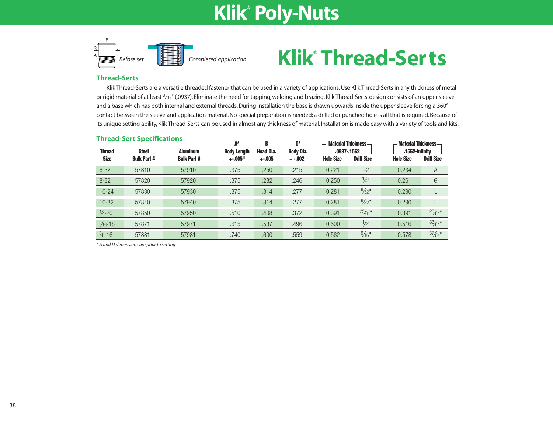## **Klik® Poly-Nuts**



## **Klik® Thread-Serts**

#### **Thread-Serts**

Klik Thread-Serts are a versatile threaded fastener that can be used in a variety of applications. Use Klik Thread-Serts in any thickness of metal or rigid material of at least  $3/32$ " (.0937). Eliminate the need for tapping, welding and brazing. Klik Thread-Serts' design consists of an upper sleeve and a base which has both internal and external threads. During installation the base is drawn upwards inside the upper sleeve forcing a 360° contact between the sleeve and application material. No special preparation is needed; a drilled or punched hole is all that is required. Because of its unique setting ability, Klik Thread-Serts can be used in almost any thickness of material. Installation is made easy with a variety of tools and kits.

| <b>Thread-Sert Specifications</b> |                                    |                                      | A*                             | B                           | D*                            | <b>Material Thickness-</b> |                                  | <b>Material Thickness</b> -        |                   |  |
|-----------------------------------|------------------------------------|--------------------------------------|--------------------------------|-----------------------------|-------------------------------|----------------------------|----------------------------------|------------------------------------|-------------------|--|
| <b>Thread</b><br><b>Size</b>      | <b>Steel</b><br><b>Bulk Part #</b> | <b>Aluminum</b><br><b>Bulk Part#</b> | <b>Body Length</b><br>$+.005"$ | <b>Head Dia.</b><br>$+.005$ | <b>Body Dia.</b><br>$+ -0.02$ | <b>Hole Size</b>           | .0937-.1562<br><b>Drill Size</b> | .1562-Infinity<br><b>Hole Size</b> | <b>Drill Size</b> |  |
| $6 - 32$                          | 57810                              | 57910                                | .375                           | .250                        | .215                          | 0.221                      | #2                               | 0.234                              | A                 |  |
| $8 - 32$                          | 57820                              | 57920                                | .375                           | .282                        | .246                          | 0.250                      | $\frac{1}{4}$ "                  | 0.261                              | G                 |  |
| $10 - 24$                         | 57830                              | 57930                                | .375                           | .314                        | .277                          | 0.281                      | $\frac{9}{32}$ "                 | 0.290                              |                   |  |
| $10-32$                           | 57840                              | 57940                                | .375                           | .314                        | .277                          | 0.281                      | $\frac{9}{32}$ "                 | 0.290                              |                   |  |
| $\frac{1}{4} - 20$                | 57850                              | 57950                                | .510                           | .408                        | .372                          | 0.391                      | 25/64"                           | 0.391                              | $25/64$ "         |  |
| $\frac{5}{16} - 18$               | 57871                              | 57971                                | .615                           | .537                        | .496                          | 0.500                      | $\frac{1}{2}$ "                  | 0.516                              | $33/64$ "         |  |
| $\frac{3}{8} - 16$                | 57881                              | 57981                                | .740                           | .600                        | .559                          | 0.562                      | $\frac{9}{16}$ "                 | 0.578                              | $37/64$ "         |  |

*\* A and D dimensions are prior to setting*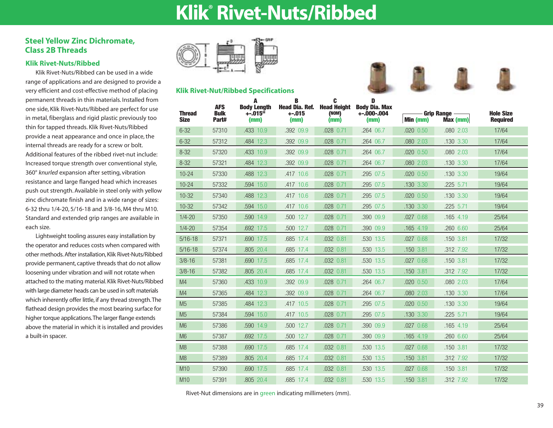## **Klik® Rivet-Nuts/Ribbed**

### **Steel Yellow Zinc Dichromate, Class 2B Threads**

#### **Klik Rivet-Nuts/Ribbed**

Klik Rivet-Nuts/Ribbed can be used in a wide range of applications and are designed to provide a very efficient and cost-effective method of placing permanent threads in thin materials. Installed from one side, Klik Rivet-Nuts/Ribbed are perfect for use in metal, fiberglass and rigid plastic previously too thin for tapped threads. Klik Rivet-Nuts/Ribbed provide a neat appearance and once in place, the internal threads are ready for a screw or bolt. Additional features of the ribbed rivet-nut include: Increased torque strength over conventional style, 360° *knurled* expansion after setting, vibration resistance and large flanged head which increases push out strength. Available in steel only with yellow zinc dichromate finish and in a wide range of sizes: 6-32 thru 1/4-20, 5/16-18 and 3/8-16, M4 thru M10. Standard and extended grip ranges are available in each size.

Lightweight tooling assures easy installation by the operator and reduces costs when compared with other methods. After installation, Klik Rivet-Nuts/Ribbed provide permanent, captive threads that do not allow loosening under vibration and will not rotate when attached to the mating material. Klik Rivet-Nuts/Ribbed with large diameter heads can be used in soft materials which inherently offer little, if any thread strength.The flathead design provides the most bearing surface for higher torque applications.The larger flange extends above the material in which it is installed and provides a built-in spacer.



**Klik Rivet-Nut/Ribbed Specifications** 





| <b>Thread</b><br><b>Size</b> | <b>AFS</b><br><b>Bulk</b><br>Part# | A<br><b>Body Length</b><br>$+.015$ <sup>ii</sup><br>(mm) | В<br><b>Head Dia, Ref.</b><br>$+.015$<br>(mm) | C<br><b>Head Height</b><br>(NOM)<br>(mm) | D<br><b>Body Dia. Max</b><br>$+.000-.004$<br>(mm) | Min (mm)      | <b>Grip Range -</b><br>$Max$ (mm) | <b>Hole Size</b><br><b>Required</b> |
|------------------------------|------------------------------------|----------------------------------------------------------|-----------------------------------------------|------------------------------------------|---------------------------------------------------|---------------|-----------------------------------|-------------------------------------|
| $6 - 32$                     | 57310                              | .433 10.9                                                | .392 09.9                                     | .028 0.71                                | .264 06.7                                         | .020 0.50     | .080 2.03                         | 17/64                               |
| $6 - 32$                     | 57312                              | .484 12.3                                                | .392 09.9                                     | .028 0.71                                | .264 06.7                                         | .080 2.03     | .130 3.30                         | 17/64                               |
| $8 - 32$                     | 57320                              | .433 10.9                                                | .392 09.9                                     | .028 0.71                                | .264 06.7                                         | .020 0.50     | .080 2.03                         | 17/64                               |
| $8 - 32$                     | 57321                              | .484 12.3                                                | .392 09.9                                     | .028 0.71                                | .264 06.7                                         | .080 2.03     | .130 3.30                         | 17/64                               |
| $10 - 24$                    | 57330                              | .488 12.3                                                | .417 10.6                                     | $.028$ 0.71                              | .295 07.5                                         | $.020$ $0.50$ | .130 3.30                         | 19/64                               |
| $10 - 24$                    | 57332                              | .594 15.0                                                | .417 10.6                                     | .028 0.71                                | .295 07.5                                         | .130 3.30     | .225 5.71                         | 19/64                               |
| $10-32$                      | 57340                              | .488 12.3                                                | .417 10.6                                     | .028 0.71                                | .295 07.5                                         | .020 0.50     | .130 3.30                         | 19/64                               |
| $10 - 32$                    | 57342                              | .594 15.0                                                | .417 10.6                                     | .028 0.71                                | .295 07.5                                         | .130 3.30     | .225 5.71                         | 19/64                               |
| $1/4 - 20$                   | 57350                              | .590 14.9                                                | .500 12.7                                     | .028 0.71                                | .390 09.9                                         | .027 0.68     | .165 4.19                         | 25/64                               |
| $1/4 - 20$                   | 57354                              | .692 17.5                                                | .500 12.7                                     | .028 0.71                                | .390 09.9                                         | .165 4.19     | .260 6.60                         | 25/64                               |
| $5/16 - 18$                  | 57371                              | .690 17.5                                                | .685 17.4                                     | .032 0.81                                | .530 13.5                                         | .027 0.68     | .150 3.81                         | 17/32                               |
| $5/16 - 18$                  | 57374                              | .805 20.4                                                | .685 17.4                                     | .032 0.81                                | .530 13.5                                         | .150 3.81     | .312 7.92                         | 17/32                               |
| $3/8 - 16$                   | 57381                              | .690 17.5                                                | .685 17.4                                     | .032 0.81                                | .530 13.5                                         | .027 0.68     | .150 3.81                         | 17/32                               |
| $3/8 - 16$                   | 57382                              | .805 20.4                                                | .685 17.4                                     | $.032$ $0.81$                            | .530 13.5                                         | .150 3.81     | .312 7.92                         | 17/32                               |
| M4                           | 57360                              | .433 10.9                                                | .392 09.9                                     | .028 0.71                                | .264 06.7                                         | .020 0.50     | .080 2.03                         | 17/64                               |
| M4                           | 57365                              | .484 12.3                                                | .392 09.9                                     | .028 0.71                                | .264 06.7                                         | .080 2.03     | .130 3.30                         | 17/64                               |
| M <sub>5</sub>               | 57385                              | .484 12.3                                                | .417 10.5                                     | $.028$ 0.71                              | .295 07.5                                         | .020 0.50     | .130 3.30                         | 19/64                               |
| M <sub>5</sub>               | 57384                              | .594 15.0                                                | .417 10.5                                     | .028 0.71                                | .295 07.5                                         | .130 3.30     | .225 5.71                         | 19/64                               |
| M <sub>6</sub>               | 57386                              | .590 14.9                                                | .500 12.7                                     | .028 0.71                                | .390 09.9                                         | .027 0.68     | $.165$ 4.19                       | 25/64                               |
| M <sub>6</sub>               | 57387                              | .692 17.5                                                | .500 12.7                                     | .028 0.71                                | .390 09.9                                         | .165 4.19     | .260 6.60                         | 25/64                               |
| M <sub>8</sub>               | 57388                              | .690 17.5                                                | .685 17.4                                     | .032 0.81                                | .530 13.5                                         | .027 0.68     | .150 3.81                         | 17/32                               |
| M8                           | 57389                              | .805 20.4                                                | .685 17.4                                     | .032 0.81                                | .530 13.5                                         | .150 3.81     | .312 7.92                         | 17/32                               |
| M10                          | 57390                              | .690 17.5                                                | .685 17.4                                     | $.032$ $0.81$                            | .530 13.5                                         | .027 0.68     | .150 3.81                         | 17/32                               |
|                              |                                    |                                                          |                                               |                                          |                                                   |               |                                   |                                     |

M10 57391 .805 20.4 .685 17.4 .032 0.81 .530 13.5 .150 3.81 .312 7.92 17/32

Rivet-Nut dimensions are in green indicating millimeters (mm).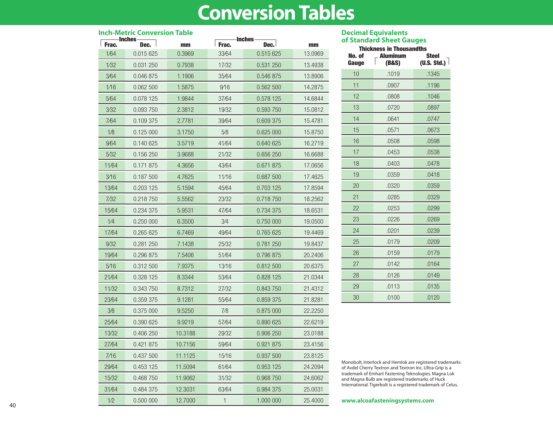## **Conversion Tables**

| <b>Inch-Metric Conversion Table</b> |           |         |                                |           |         |  |  |
|-------------------------------------|-----------|---------|--------------------------------|-----------|---------|--|--|
| <b>Inches</b><br>Frac.<br>Dec.      |           | mm      | <b>Inches</b><br>Frac.<br>Dec. |           | mm      |  |  |
| 1/64                                | 0.015 625 | 0.3969  | 33/64                          | 0.515 625 | 13.0969 |  |  |
| 1/32                                | 0.031 250 | 0.7938  | 17/32                          | 0.531 250 | 13.4938 |  |  |
| 3⁄64                                | 0.046 875 | 1.1906  | 35/64                          | 0.546 875 | 13.8906 |  |  |
| 1/16                                | 0.062 500 | 1.5875  | 9/16                           | 0.562 500 | 14.2875 |  |  |
| 5⁄64                                | 0.078 125 | 1.9844  | 37/64                          | 0.578 125 | 14.6844 |  |  |
| 3/32                                | 0.093 750 | 2.3812  | 19/32                          | 0.593 750 | 15.0812 |  |  |
| 7/64                                | 0.109 375 | 2.7781  | 39/64                          | 0.609 375 | 15.4781 |  |  |
| 1/8                                 | 0.125 000 | 3.1750  | 5⁄8                            | 0.625 000 | 15.8750 |  |  |
| 9⁄64                                | 0.140 625 | 3.5719  | 41/64                          | 0.640 625 | 16.2719 |  |  |
| 5/32                                | 0.156 250 | 3.9688  | 21/32                          | 0.656 250 | 16.6688 |  |  |
| 11/64                               | 0.171 875 | 4.3656  | 43/64                          | 0.671 875 | 17.0656 |  |  |
| 3/16                                | 0.187 500 | 4.7625  | 11/16                          | 0.687 500 | 17.4625 |  |  |
| 13/64                               | 0.203 125 | 5.1594  | 45/64                          | 0.703 125 | 17.8594 |  |  |
| 7/32                                | 0.218 750 | 5.5562  | 23/32                          | 0.718 750 | 18.2562 |  |  |
| 15/64                               | 0.234 375 | 5.9531  | 47/64                          | 0.734 375 | 18.6531 |  |  |
| 1/4                                 | 0.250 000 | 6.3500  | 3⁄4                            | 0.750 000 | 19,0500 |  |  |
| 17/64                               | 0.265 625 | 6.7469  | 49/64                          | 0.765 625 | 19.4469 |  |  |
| 9/32                                | 0.281 250 | 7.1438  | 25/32                          | 0.781 250 | 19.8437 |  |  |
| 19/64                               | 0.296 875 | 7.5406  | 51/64                          | 0.796 875 | 20.2406 |  |  |
| 5/16                                | 0.312 500 | 7.9375  | 13/16                          | 0.812 500 | 20.6375 |  |  |
| 21/64                               | 0.328 125 | 8.3344  | 53/64                          | 0.828 125 | 21.0344 |  |  |
| 11/32                               | 0.343 750 | 8.7312  | 27/32                          | 0.843 750 | 21.4312 |  |  |
| 23/64                               | 0.359 375 | 9.1281  | 55/64                          | 0.859 375 | 21.8281 |  |  |
| 3/8                                 | 0.375 000 | 9.5250  | 7/8                            | 0.875 000 | 22.2250 |  |  |
| 25/64                               | 0.390 625 | 9.9219  | 57/64                          | 0.890 625 | 22.6219 |  |  |
| 13/32                               | 0.406 250 | 10.3188 | 29/32                          | 0.906 250 | 23.0188 |  |  |
| 27/64                               | 0.421 875 | 10.7156 | 59/64                          | 0.921 875 | 23.4156 |  |  |
| 7/16                                | 0.437 500 | 11.1125 | 15/16                          | 0.937 500 | 23.8125 |  |  |
| 29/64                               | 0.453 125 | 11.5094 | 61/64                          | 0.953 125 | 24.2094 |  |  |
| 15/32                               | 0.468 750 | 11.9062 | 31/32                          | 0.968 750 | 24.6062 |  |  |
| 31/64                               | 0.484 375 | 12.3031 | 63/64                          | 0.984 375 | 25.0031 |  |  |
| 1/2                                 | 0.500 000 | 12.7000 | $\mathbf{1}$                   | 1,000 000 | 25,4000 |  |  |

#### **Decimal Equivalents of Standard Sheet Gauges**

| Thickness in Thousandths<br><b>Aluminum</b><br><b>Steel</b><br>No. of |       |                 |  |  |  |  |  |
|-----------------------------------------------------------------------|-------|-----------------|--|--|--|--|--|
| Gauge                                                                 | (B&S) | (U.S. Std.) $ $ |  |  |  |  |  |
| 10                                                                    | .1019 | .1345           |  |  |  |  |  |
| 11                                                                    | .0907 | .1196           |  |  |  |  |  |
| 12                                                                    | .0808 | .1046           |  |  |  |  |  |
| 13                                                                    | .0720 | .0897           |  |  |  |  |  |
| 14                                                                    | .0641 | .0747           |  |  |  |  |  |
| 15                                                                    | .0571 | .0673           |  |  |  |  |  |
| 16                                                                    | .0508 | .0598           |  |  |  |  |  |
| 17                                                                    | .0453 | .0538           |  |  |  |  |  |
| 18                                                                    | .0403 | .0478           |  |  |  |  |  |
| 19                                                                    | .0359 | .0418           |  |  |  |  |  |
| 20                                                                    | .0320 | .0359           |  |  |  |  |  |
| 21                                                                    | .0285 | .0329           |  |  |  |  |  |
| 22                                                                    | .0253 | .0299           |  |  |  |  |  |
| 23                                                                    | .0226 | .0269           |  |  |  |  |  |
| 24                                                                    | .0201 | .0239           |  |  |  |  |  |
| 25                                                                    | .0179 | .0209           |  |  |  |  |  |
| 26                                                                    | .0159 | .0179           |  |  |  |  |  |
| 27                                                                    | .0142 | .0164           |  |  |  |  |  |
| 28                                                                    | .0126 | .0149           |  |  |  |  |  |
| 29                                                                    | .0113 | .0135           |  |  |  |  |  |
| 30                                                                    | .0100 | .0120           |  |  |  |  |  |

Monobolt, Interlock and Hemlok are registered trademarks of Avdel Cherry Textron and Textron Inc. Ultra-Grip is a trademark of Emhart Fastening Teknologies. Magna Lok and Magna Bulb are registered trademarks of Huck International. Tigerbolt is a registered trademark of Celus.

#### **www.alcoafasteningsystems.com**